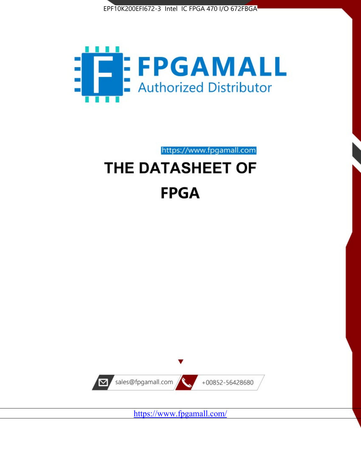



https://www.fpgamall.com THE DATASHEET OF

# **FPGA**



<https://www.fpgamall.com/>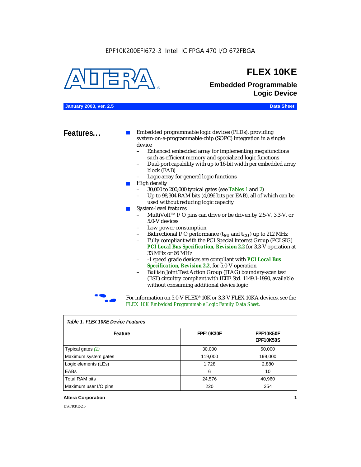#### EPF10K200EFI672-3 Intel IC FPGA 470 I/O 672FBGA



## **FLEX 10KE**

## **Embedded Programmable Logic Device**

**January 2003, ver. 2.5 Data Sheet**

**Features...** ■ Embedded programmable logic devices (PLDs), providing system-on-a-programmable-chip (SOPC) integration in a single device

- Enhanced embedded array for implementing megafunctions such as efficient memory and specialized logic functions
- Dual-port capability with up to 16-bit width per embedded array block (EAB)
- Logic array for general logic functions
- High density
	- 30,000 to 200,000 typical gates (see Tables 1 and 2)
	- Up to 98,304 RAM bits (4,096 bits per EAB), all of which can be used without reducing logic capacity
- System-level features
	- MultiVolt<sup>™</sup> I/O pins can drive or be driven by 2.5-V, 3.3-V, or 5.0-V devices
	- Low power consumption
	- Bidirectional I/O performance  $(t_{SI}$  and  $t_{CO}$ ) up to 212 MHz
	- Fully compliant with the PCI Special Interest Group (PCI SIG) *PCI Local Bus Specification, Revision 2.2* for 3.3-V operation at 33 MHz or 66 MHz
	- -1 speed grade devices are compliant with *PCI Local Bus Specification, Revision 2.2*, for 5.0-V operation
	- Built-in Joint Test Action Group (JTAG) boundary-scan test (BST) circuitry compliant with IEEE Std. 1149.1-1990, available without consuming additional device logic



For information on 5.0-V FLEX<sup>®</sup> 10K or 3.3-V FLEX 10KA devices, see the *FLEX 10K Embedded Programmable Logic Family Data Sheet*.

| iable 1.1 LLA TUNL DEVICET CAULES |           |                               |  |  |
|-----------------------------------|-----------|-------------------------------|--|--|
| Feature                           | EPF10K30E | EPF10K50E<br><b>EPF10K50S</b> |  |  |
| Typical gates (1)                 | 30,000    | 50,000                        |  |  |
| Maximum system gates              | 119,000   | 199,000                       |  |  |
| Logic elements (LEs)              | 1,728     | 2,880                         |  |  |
| EABs                              | 6         | 10                            |  |  |
| <b>Total RAM bits</b>             | 24,576    | 40,960                        |  |  |
| Maximum user I/O pins             | 220       | 254                           |  |  |

#### *Table 1. FLEX 10KE Device Features*

#### **Altera Corporation 1**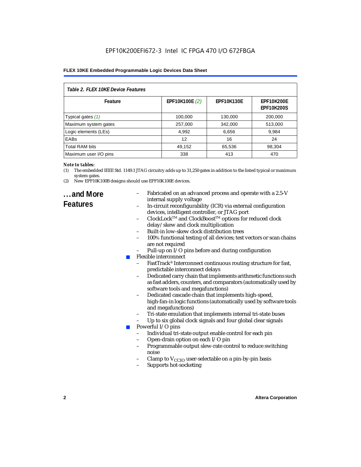| Table 2. FLEX 10KE Device Features |                |                   |                                        |  |  |
|------------------------------------|----------------|-------------------|----------------------------------------|--|--|
| Feature                            | EPF10K100E (2) | <b>EPF10K130E</b> | <b>EPF10K200E</b><br><b>EPF10K200S</b> |  |  |
| Typical gates (1)                  | 100,000        | 130,000           | 200,000                                |  |  |
| Maximum system gates               | 257,000        | 342,000           | 513,000                                |  |  |
| Logic elements (LEs)               | 4,992          | 6,656             | 9,984                                  |  |  |
| <b>EABs</b>                        | 12             | 16                | 24                                     |  |  |
| <b>Total RAM bits</b>              | 49,152         | 65,536            | 98,304                                 |  |  |
| Maximum user I/O pins              | 338            | 413               | 470                                    |  |  |

#### *Note to tables:*

- (1) The embedded IEEE Std. 1149.1 JTAG circuitry adds up to 31,250 gates in addition to the listed typical or maximum system gates.
- (2) New EPF10K100B designs should use EPF10K100E devices.

### **...and More Features**

- Fabricated on an advanced process and operate with a 2.5-V internal supply voltage
- In-circuit reconfigurability (ICR) via external configuration devices, intelligent controller, or JTAG port
- ClockLockTM and ClockBoostTM options for reduced clock delay/skew and clock multiplication
- Built-in low-skew clock distribution trees
- 100% functional testing of all devices; test vectors or scan chains are not required
- Pull-up on I/O pins before and during configuration
- Flexible interconnect
	- FastTrack<sup>®</sup> Interconnect continuous routing structure for fast, predictable interconnect delays
	- Dedicated carry chain that implements arithmetic functions such as fast adders, counters, and comparators (automatically used by software tools and megafunctions)
	- Dedicated cascade chain that implements high-speed, high-fan-in logic functions (automatically used by software tools and megafunctions)
	- Tri-state emulation that implements internal tri-state buses
	- Up to six global clock signals and four global clear signals
	- Powerful I/O pins
		- Individual tri-state output enable control for each pin
		- Open-drain option on each I/O pin
		- Programmable output slew-rate control to reduce switching noise
		- Clamp to  $V_{\text{CCIO}}$  user-selectable on a pin-by-pin basis
		- Supports hot-socketing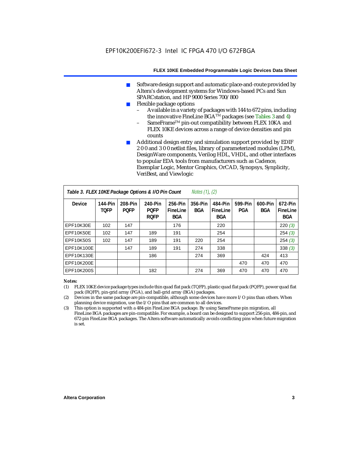- Software design support and automatic place-and-route provided by Altera's development systems for Windows-based PCs and Sun SPARCstation, and HP 9000 Series 700/800
- Flexible package options
	- Available in a variety of packages with 144 to 672 pins, including the innovative FineLine BGA<sup>TM</sup> packages (see Tables 3 and 4)
	- SameFrame™ pin-out compatibility between FLEX 10KA and FLEX 10KE devices across a range of device densities and pin counts
- Additional design entry and simulation support provided by EDIF 2 0 0 and 3 0 0 netlist files, library of parameterized modules (LPM), DesignWare components, Verilog HDL, VHDL, and other interfaces to popular EDA tools from manufacturers such as Cadence, Exemplar Logic, Mentor Graphics, OrCAD, Synopsys, Synplicity, VeriBest, and Viewlogic

| Table 3. FLEX 10KE Package Options & I/O Pin Count<br>Notes $(1)$ , $(2)$ |                        |                        |                                       |                                   |                       |                                   |                |                |                                   |
|---------------------------------------------------------------------------|------------------------|------------------------|---------------------------------------|-----------------------------------|-----------------------|-----------------------------------|----------------|----------------|-----------------------------------|
| <b>Device</b>                                                             | 144-Pin<br><b>TOFP</b> | 208-Pin<br><b>POFP</b> | 240-Pin<br><b>POFP</b><br><b>ROFP</b> | 256-Pin<br>FineLine<br><b>BGA</b> | 356-Pin<br><b>BGA</b> | 484-Pin<br>FineLine<br><b>BGA</b> | 599-Pin<br>PGA | 600-Pin<br>BGA | 672-Pin<br>FineLine<br><b>BGA</b> |
| EPF10K30E                                                                 | 102                    | 147                    |                                       | 176                               |                       | 220                               |                |                | 220(3)                            |
| EPF10K50E                                                                 | 102                    | 147                    | 189                                   | 191                               |                       | 254                               |                |                | 254(3)                            |
| <b>EPF10K50S</b>                                                          | 102                    | 147                    | 189                                   | 191                               | 220                   | 254                               |                |                | 254(3)                            |
| EPF10K100E                                                                |                        | 147                    | 189                                   | 191                               | 274                   | 338                               |                |                | 338(3)                            |
| EPF10K130E                                                                |                        |                        | 186                                   |                                   | 274                   | 369                               |                | 424            | 413                               |
| EPF10K200E                                                                |                        |                        |                                       |                                   |                       |                                   | 470            | 470            | 470                               |
| EPF10K200S                                                                |                        |                        | 182                                   |                                   | 274                   | 369                               | 470            | 470            | 470                               |

#### *Notes:*

- (1) FLEX 10KE device package types include thin quad flat pack (TQFP), plastic quad flat pack (PQFP), power quad flat pack (RQFP), pin-grid array (PGA), and ball-grid array (BGA) packages.
- (2) Devices in the same package are pin-compatible, although some devices have more I/O pins than others. When planning device migration, use the I/O pins that are common to all devices.
- (3) This option is supported with a 484-pin FineLine BGA package. By using SameFrame pin migration, all FineLine BGA packages are pin-compatible. For example, a board can be designed to support 256-pin, 484-pin, and 672-pin FineLine BGA packages. The Altera software automatically avoids conflicting pins when future migration is set.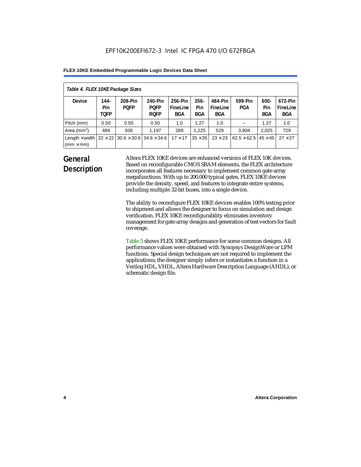| Table 4. FLEX 10KE Package Sizes          |                            |                                                      |                                       |                                   |                       |                            |                                     |                              |                                   |
|-------------------------------------------|----------------------------|------------------------------------------------------|---------------------------------------|-----------------------------------|-----------------------|----------------------------|-------------------------------------|------------------------------|-----------------------------------|
| <b>Device</b>                             | 144-<br>Pin<br><b>TOFP</b> | 208-Pin<br><b>POFP</b>                               | 240-Pin<br><b>POFP</b><br><b>ROFP</b> | 256-Pin<br>FineLine<br><b>BGA</b> | $356 -$<br>Pin<br>BGA | 484-Pin<br>FineLine<br>BGA | 599-Pin<br>PGA                      | $600 -$<br>Pin<br><b>BGA</b> | 672-Pin<br>FineLine<br><b>BGA</b> |
| Pitch (mm)                                | 0.50                       | 0.50                                                 | 0.50                                  | 1.0                               | 1.27                  | 1.0                        |                                     | 1.27                         | 1.0                               |
| Area $(mm2)$                              | 484                        | 936                                                  | 1,197                                 | 289                               | 1.225                 | 529                        | 3.904                               | 2,025                        | 729                               |
| Length $\times$ width<br>$(mm \times mm)$ |                            | $22 \times 22$ 30.6 $\times$ 30.6 34.6 $\times$ 34.6 |                                       | $17 \times 17$                    | $35 \times 35$        | $23 \times 23$             | $62.5 \times 62.5$   45 $\times$ 45 |                              | $27 \times 27$                    |

## **General Description**

Altera FLEX 10KE devices are enhanced versions of FLEX 10K devices. Based on reconfigurable CMOS SRAM elements, the FLEX architecture incorporates all features necessary to implement common gate array megafunctions. With up to 200,000 typical gates, FLEX 10KE devices provide the density, speed, and features to integrate entire systems, including multiple 32-bit buses, into a single device.

The ability to reconfigure FLEX 10KE devices enables 100% testing prior to shipment and allows the designer to focus on simulation and design verification. FLEX 10KE reconfigurability eliminates inventory management for gate array designs and generation of test vectors for fault coverage.

Table 5 shows FLEX 10KE performance for some common designs. All performance values were obtained with Synopsys DesignWare or LPM functions. Special design techniques are not required to implement the applications; the designer simply infers or instantiates a function in a Verilog HDL, VHDL, Altera Hardware Description Language (AHDL), or schematic design file.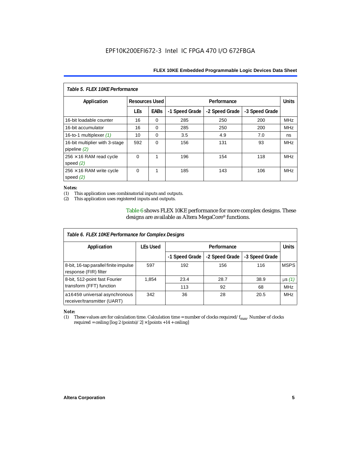| Table 5. FLEX 10KE Performance                   |                       |             |                |                |                |            |  |
|--------------------------------------------------|-----------------------|-------------|----------------|----------------|----------------|------------|--|
| Application                                      | <b>Resources Used</b> |             |                | Performance    |                |            |  |
|                                                  | <b>LEs</b>            | <b>EABs</b> | -1 Speed Grade | -2 Speed Grade | -3 Speed Grade |            |  |
| 16-bit loadable counter                          | 16                    | $\Omega$    | 285            | 250            | 200            | <b>MHz</b> |  |
| 16-bit accumulator                               | 16                    | $\Omega$    | 285            | 250            | 200            | <b>MHz</b> |  |
| 16-to-1 multiplexer $(1)$                        | 10                    | $\Omega$    | 3.5            | 4.9            | 7.0            | ns         |  |
| 16-bit multiplier with 3-stage<br>pipeline $(2)$ | 592                   | $\Omega$    | 156            | 131            | 93             | <b>MHz</b> |  |
| $256 \times 16$ RAM read cycle<br>speed $(2)$    | $\Omega$              | 1           | 196            | 154            | 118            | <b>MHz</b> |  |
| $256 \times 16$ RAM write cycle<br>speed $(2)$   | $\Omega$              | 1           | 185            | 143            | 106            | <b>MHz</b> |  |

#### *Notes:*

(1) This application uses combinatorial inputs and outputs.

This application uses registered inputs and outputs.

Table 6 shows FLEX 10KE performance for more complex designs. These designs are available as Altera MegaCore® functions.

| Table 6. FLEX 10KE Performance for Complex Designs             |                 |                |                |                |              |
|----------------------------------------------------------------|-----------------|----------------|----------------|----------------|--------------|
| Application                                                    | <b>LEs Used</b> | Performance    |                |                | <b>Units</b> |
|                                                                |                 | -1 Speed Grade | -2 Speed Grade | -3 Speed Grade |              |
| 8-bit, 16-tap parallel finite impulse<br>response (FIR) filter | 597             | 192            | 156            | 116            | <b>MSPS</b>  |
| 8-bit, 512-point fast Fourier                                  | 1,854           | 23.4           | 28.7           | 38.9           | $\mu s(1)$   |
| transform (FFT) function                                       |                 | 113            | 92             | 68             | <b>MHz</b>   |
| a16450 universal asynchronous<br>receiver/transmitter (UART)   | 342             | 36             | 28             | 20.5           | <b>MHz</b>   |

## *Note:*<br>(1) 1

These values are for calculation time. Calculation time = number of clocks required/ $f_{max}$ . Number of clocks required = ceiling [log 2 (points)/2]  $\times$  [points +14 + ceiling]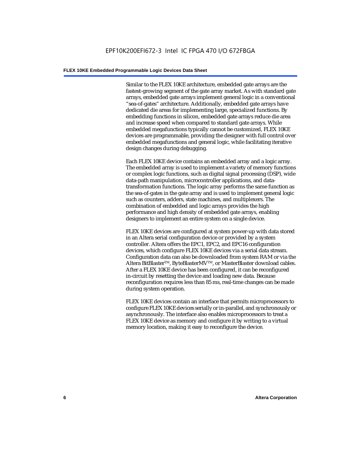Similar to the FLEX 10KE architecture, embedded gate arrays are the fastest-growing segment of the gate array market. As with standard gate arrays, embedded gate arrays implement general logic in a conventional "sea-of-gates" architecture. Additionally, embedded gate arrays have dedicated die areas for implementing large, specialized functions. By embedding functions in silicon, embedded gate arrays reduce die area and increase speed when compared to standard gate arrays. While embedded megafunctions typically cannot be customized, FLEX 10KE devices are programmable, providing the designer with full control over embedded megafunctions and general logic, while facilitating iterative design changes during debugging.

Each FLEX 10KE device contains an embedded array and a logic array. The embedded array is used to implement a variety of memory functions or complex logic functions, such as digital signal processing (DSP), wide data-path manipulation, microcontroller applications, and datatransformation functions. The logic array performs the same function as the sea-of-gates in the gate array and is used to implement general logic such as counters, adders, state machines, and multiplexers. The combination of embedded and logic arrays provides the high performance and high density of embedded gate arrays, enabling designers to implement an entire system on a single device.

FLEX 10KE devices are configured at system power-up with data stored in an Altera serial configuration device or provided by a system controller. Altera offers the EPC1, EPC2, and EPC16 configuration devices, which configure FLEX 10KE devices via a serial data stream. Configuration data can also be downloaded from system RAM or via the Altera BitBlaster™, ByteBlasterMV™, or MasterBlaster download cables. After a FLEX 10KE device has been configured, it can be reconfigured in-circuit by resetting the device and loading new data. Because reconfiguration requires less than 85 ms, real-time changes can be made during system operation.

FLEX 10KE devices contain an interface that permits microprocessors to configure FLEX 10KE devices serially or in-parallel, and synchronously or asynchronously. The interface also enables microprocessors to treat a FLEX 10KE device as memory and configure it by writing to a virtual memory location, making it easy to reconfigure the device.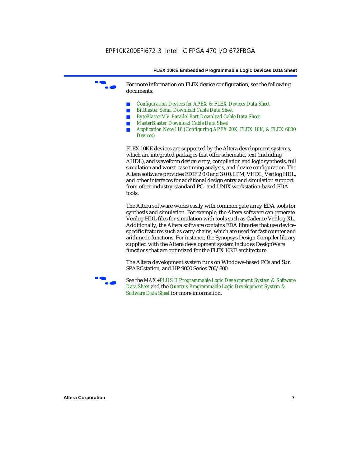For more information on FLEX device configuration, see the following documents:

- *Configuration Devices for APEX & FLEX Devices Data Sheet*
- *BitBlaster Serial Download Cable Data Sheet*
- *ByteBlasterMV Parallel Port Download Cable Data Sheet*
- *MasterBlaster Download Cable Data Sheet*
- *Application Note 116 (Configuring APEX 20K, FLEX 10K, & FLEX 6000 Devices)*

FLEX 10KE devices are supported by the Altera development systems, which are integrated packages that offer schematic, text (including AHDL), and waveform design entry, compilation and logic synthesis, full simulation and worst-case timing analysis, and device configuration. The Altera software provides EDIF 2 0 0 and 3 0 0, LPM, VHDL, Verilog HDL, and other interfaces for additional design entry and simulation support from other industry-standard PC- and UNIX workstation-based EDA tools.

The Altera software works easily with common gate array EDA tools for synthesis and simulation. For example, the Altera software can generate Verilog HDL files for simulation with tools such as Cadence Verilog-XL. Additionally, the Altera software contains EDA libraries that use devicespecific features such as carry chains, which are used for fast counter and arithmetic functions. For instance, the Synopsys Design Compiler library supplied with the Altera development system includes DesignWare functions that are optimized for the FLEX 10KE architecture.

The Altera development system runs on Windows-based PCs and Sun SPARCstation, and HP 9000 Series 700/800.



See the *MAX+PLUS II Programmable Logic Development System & Software Data Sheet* and the *Quartus Programmable Logic Development System & Software Data Sheet* for more information.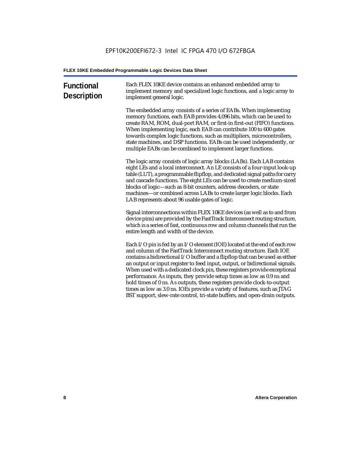| <b>Functional</b><br><b>Description</b> | Each FLEX 10KE device contains an enhanced embedded array to<br>implement memory and specialized logic functions, and a logic array to<br>implement general logic.                                                                                                                                                                                                                                                                                                                                                                                                                                                                                                                                             |
|-----------------------------------------|----------------------------------------------------------------------------------------------------------------------------------------------------------------------------------------------------------------------------------------------------------------------------------------------------------------------------------------------------------------------------------------------------------------------------------------------------------------------------------------------------------------------------------------------------------------------------------------------------------------------------------------------------------------------------------------------------------------|
|                                         | The embedded array consists of a series of EABs. When implementing<br>memory functions, each EAB provides 4,096 bits, which can be used to<br>create RAM, ROM, dual-port RAM, or first-in first-out (FIFO) functions.<br>When implementing logic, each EAB can contribute 100 to 600 gates<br>towards complex logic functions, such as multipliers, microcontrollers,<br>state machines, and DSP functions. EABs can be used independently, or<br>multiple EABs can be combined to implement larger functions.                                                                                                                                                                                                 |
|                                         | The logic array consists of logic array blocks (LABs). Each LAB contains<br>eight LEs and a local interconnect. An LE consists of a four-input look-up<br>table (LUT), a programmable flipflop, and dedicated signal paths for carry<br>and cascade functions. The eight LEs can be used to create medium-sized<br>blocks of logic-such as 8-bit counters, address decoders, or state<br>machines-or combined across LABs to create larger logic blocks. Each<br>LAB represents about 96 usable gates of logic.                                                                                                                                                                                                |
|                                         | Signal interconnections within FLEX 10KE devices (as well as to and from<br>device pins) are provided by the FastTrack Interconnect routing structure,<br>which is a series of fast, continuous row and column channels that run the<br>entire length and width of the device.                                                                                                                                                                                                                                                                                                                                                                                                                                 |
|                                         | Each I/O pin is fed by an I/O element (IOE) located at the end of each row<br>and column of the FastTrack Interconnect routing structure. Each IOE<br>contains a bidirectional I/O buffer and a flipflop that can be used as either<br>an output or input register to feed input, output, or bidirectional signals.<br>When used with a dedicated clock pin, these registers provide exceptional<br>performance. As inputs, they provide setup times as low as 0.9 ns and<br>hold times of 0 ns. As outputs, these registers provide clock-to-output<br>times as low as 3.0 ns. IOEs provide a variety of features, such as JTAG<br>BST support, slew-rate control, tri-state buffers, and open-drain outputs. |
|                                         |                                                                                                                                                                                                                                                                                                                                                                                                                                                                                                                                                                                                                                                                                                                |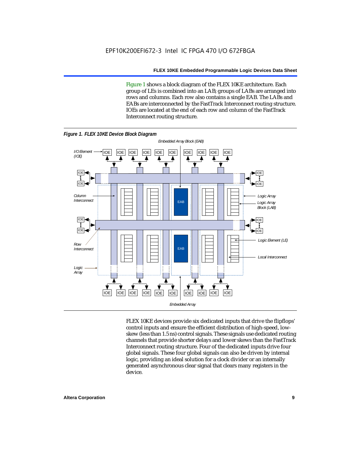Figure 1 shows a block diagram of the FLEX 10KE architecture. Each group of LEs is combined into an LAB; groups of LABs are arranged into rows and columns. Each row also contains a single EAB. The LABs and EABs are interconnected by the FastTrack Interconnect routing structure. IOEs are located at the end of each row and column of the FastTrack Interconnect routing structure.



FLEX 10KE devices provide six dedicated inputs that drive the flipflops' control inputs and ensure the efficient distribution of high-speed, lowskew (less than 1.5 ns) control signals. These signals use dedicated routing channels that provide shorter delays and lower skews than the FastTrack Interconnect routing structure. Four of the dedicated inputs drive four global signals. These four global signals can also be driven by internal logic, providing an ideal solution for a clock divider or an internally generated asynchronous clear signal that clears many registers in the device.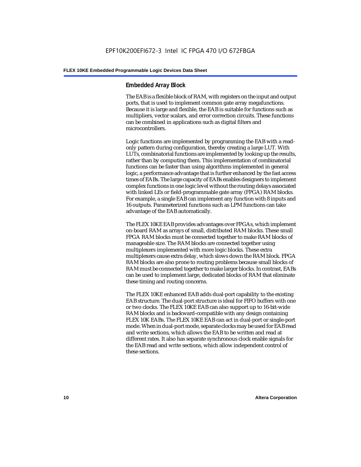#### **Embedded Array Block**

The EAB is a flexible block of RAM, with registers on the input and output ports, that is used to implement common gate array megafunctions. Because it is large and flexible, the EAB is suitable for functions such as multipliers, vector scalars, and error correction circuits. These functions can be combined in applications such as digital filters and microcontrollers.

Logic functions are implemented by programming the EAB with a readonly pattern during configuration, thereby creating a large LUT. With LUTs, combinatorial functions are implemented by looking up the results, rather than by computing them. This implementation of combinatorial functions can be faster than using algorithms implemented in general logic, a performance advantage that is further enhanced by the fast access times of EABs. The large capacity of EABs enables designers to implement complex functions in one logic level without the routing delays associated with linked LEs or field-programmable gate array (FPGA) RAM blocks. For example, a single EAB can implement any function with 8 inputs and 16 outputs. Parameterized functions such as LPM functions can take advantage of the EAB automatically.

The FLEX 10KE EAB provides advantages over FPGAs, which implement on-board RAM as arrays of small, distributed RAM blocks. These small FPGA RAM blocks must be connected together to make RAM blocks of manageable size. The RAM blocks are connected together using multiplexers implemented with more logic blocks. These extra multiplexers cause extra delay, which slows down the RAM block. FPGA RAM blocks are also prone to routing problems because small blocks of RAM must be connected together to make larger blocks. In contrast, EABs can be used to implement large, dedicated blocks of RAM that eliminate these timing and routing concerns.

The FLEX 10KE enhanced EAB adds dual-port capability to the existing EAB structure. The dual-port structure is ideal for FIFO buffers with one or two clocks. The FLEX 10KE EAB can also support up to 16-bit-wide RAM blocks and is backward-compatible with any design containing FLEX 10K EABs. The FLEX 10KE EAB can act in dual-port or single-port mode. When in dual-port mode, separate clocks may be used for EAB read and write sections, which allows the EAB to be written and read at different rates. It also has separate synchronous clock enable signals for the EAB read and write sections, which allow independent control of these sections.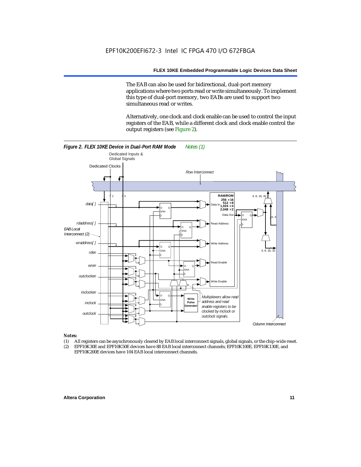The EAB can also be used for bidirectional, dual-port memory applications where two ports read or write simultaneously. To implement this type of dual-port memory, two EABs are used to support two simultaneous read or writes.

Alternatively, one clock and clock enable can be used to control the input registers of the EAB, while a different clock and clock enable control the output registers (see Figure 2).



#### *Notes:*

- (1) All registers can be asynchronously cleared by EAB local interconnect signals, global signals, or the chip-wide reset.
- (2) EPF10K30E and EPF10K50E devices have 88 EAB local interconnect channels; EPF10K100E, EPF10K130E, and EPF10K200E devices have 104 EAB local interconnect channels.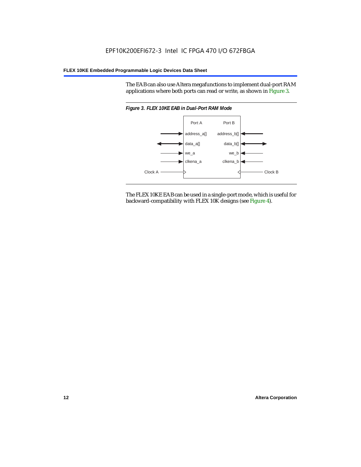The EAB can also use Altera megafunctions to implement dual-port RAM applications where both ports can read or write, as shown in Figure 3.



The FLEX 10KE EAB can be used in a single-port mode, which is useful for backward-compatibility with FLEX 10K designs (see Figure 4).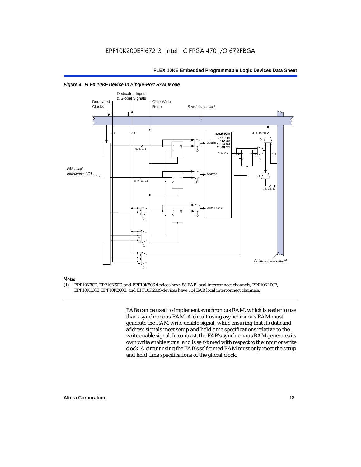

#### *Figure 4. FLEX 10KE Device in Single-Port RAM Mode*

## *Note:*<br>(1) **F**

(1) EPF10K30E, EPF10K50E, and EPF10K50S devices have 88 EAB local interconnect channels; EPF10K100E, EPF10K130E, EPF10K200E, and EPF10K200S devices have 104 EAB local interconnect channels.

> EABs can be used to implement synchronous RAM, which is easier to use than asynchronous RAM. A circuit using asynchronous RAM must generate the RAM write enable signal, while ensuring that its data and address signals meet setup and hold time specifications relative to the write enable signal. In contrast, the EAB's synchronous RAM generates its own write enable signal and is self-timed with respect to the input or write clock. A circuit using the EAB's self-timed RAM must only meet the setup and hold time specifications of the global clock.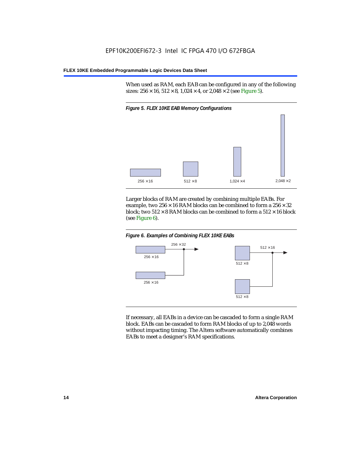When used as RAM, each EAB can be configured in any of the following sizes:  $256 \times 16$ ,  $512 \times 8$ ,  $1,024 \times 4$ , or  $2,048 \times 2$  (see Figure 5).



Larger blocks of RAM are created by combining multiple EABs. For example, two  $256 \times 16$  RAM blocks can be combined to form a  $256 \times 32$ block; two  $512 \times 8$  RAM blocks can be combined to form a  $512 \times 16$  block (see Figure 6).





If necessary, all EABs in a device can be cascaded to form a single RAM block. EABs can be cascaded to form RAM blocks of up to 2,048 words without impacting timing. The Altera software automatically combines EABs to meet a designer's RAM specifications.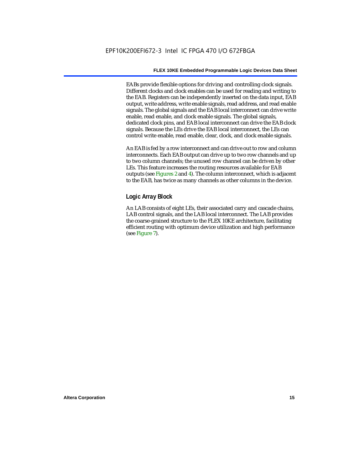EABs provide flexible options for driving and controlling clock signals. Different clocks and clock enables can be used for reading and writing to the EAB. Registers can be independently inserted on the data input, EAB output, write address, write enable signals, read address, and read enable signals. The global signals and the EAB local interconnect can drive write enable, read enable, and clock enable signals. The global signals, dedicated clock pins, and EAB local interconnect can drive the EAB clock signals. Because the LEs drive the EAB local interconnect, the LEs can control write enable, read enable, clear, clock, and clock enable signals.

An EAB is fed by a row interconnect and can drive out to row and column interconnects. Each EAB output can drive up to two row channels and up to two column channels; the unused row channel can be driven by other LEs. This feature increases the routing resources available for EAB outputs (see Figures 2 and 4). The column interconnect, which is adjacent to the EAB, has twice as many channels as other columns in the device.

#### **Logic Array Block**

An LAB consists of eight LEs, their associated carry and cascade chains, LAB control signals, and the LAB local interconnect. The LAB provides the coarse-grained structure to the FLEX 10KE architecture, facilitating efficient routing with optimum device utilization and high performance (see Figure 7).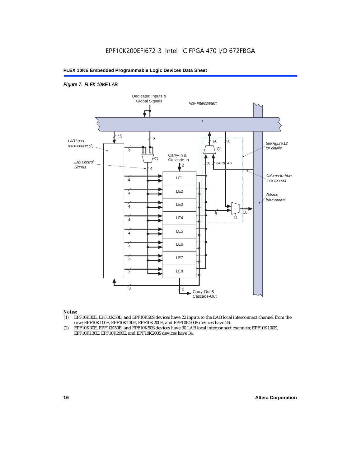#### *Figure 7. FLEX 10KE LAB*



#### *Notes:*

- (1) EPF10K30E, EPF10K50E, and EPF10K50S devices have 22 inputs to the LAB local interconnect channel from the row; EPF10K100E, EPF10K130E, EPF10K200E, and EPF10K200S devices have 26.
- (2) EPF10K30E, EPF10K50E, and EPF10K50S devices have 30 LAB local interconnect channels; EPF10K100E, EPF10K130E, EPF10K200E, and EPF10K200S devices have 34.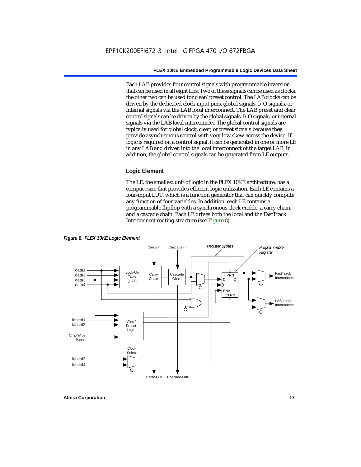Each LAB provides four control signals with programmable inversion that can be used in all eight LEs. Two of these signals can be used as clocks, the other two can be used for clear/preset control. The LAB clocks can be driven by the dedicated clock input pins, global signals, I/O signals, or internal signals via the LAB local interconnect. The LAB preset and clear control signals can be driven by the global signals, I/O signals, or internal signals via the LAB local interconnect. The global control signals are typically used for global clock, clear, or preset signals because they provide asynchronous control with very low skew across the device. If logic is required on a control signal, it can be generated in one or more LE in any LAB and driven into the local interconnect of the target LAB. In addition, the global control signals can be generated from LE outputs.

#### **Logic Element**

The LE, the smallest unit of logic in the FLEX 10KE architecture, has a compact size that provides efficient logic utilization. Each LE contains a four-input LUT, which is a function generator that can quickly compute any function of four variables. In addition, each LE contains a programmable flipflop with a synchronous clock enable, a carry chain, and a cascade chain. Each LE drives both the local and the FastTrack Interconnect routing structure (see Figure 8).

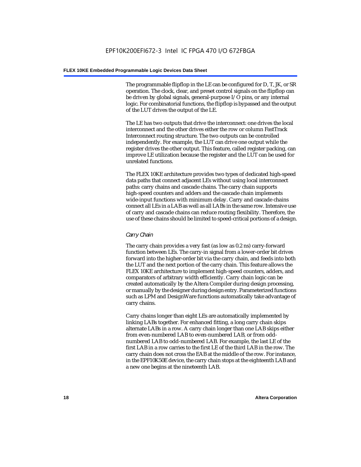The programmable flipflop in the LE can be configured for D, T, JK, or SR operation. The clock, clear, and preset control signals on the flipflop can be driven by global signals, general-purpose I/O pins, or any internal logic. For combinatorial functions, the flipflop is bypassed and the output of the LUT drives the output of the LE.

The LE has two outputs that drive the interconnect: one drives the local interconnect and the other drives either the row or column FastTrack Interconnect routing structure. The two outputs can be controlled independently. For example, the LUT can drive one output while the register drives the other output. This feature, called register packing, can improve LE utilization because the register and the LUT can be used for unrelated functions.

The FLEX 10KE architecture provides two types of dedicated high-speed data paths that connect adjacent LEs without using local interconnect paths: carry chains and cascade chains. The carry chain supports high-speed counters and adders and the cascade chain implements wide-input functions with minimum delay. Carry and cascade chains connect all LEs in a LAB as well as all LABs in the same row. Intensive use of carry and cascade chains can reduce routing flexibility. Therefore, the use of these chains should be limited to speed-critical portions of a design.

#### *Carry Chain*

The carry chain provides a very fast (as low as 0.2 ns) carry-forward function between LEs. The carry-in signal from a lower-order bit drives forward into the higher-order bit via the carry chain, and feeds into both the LUT and the next portion of the carry chain. This feature allows the FLEX 10KE architecture to implement high-speed counters, adders, and comparators of arbitrary width efficiently. Carry chain logic can be created automatically by the Altera Compiler during design processing, or manually by the designer during design entry. Parameterized functions such as LPM and DesignWare functions automatically take advantage of carry chains.

Carry chains longer than eight LEs are automatically implemented by linking LABs together. For enhanced fitting, a long carry chain skips alternate LABs in a row. A carry chain longer than one LAB skips either from even-numbered LAB to even-numbered LAB, or from oddnumbered LAB to odd-numbered LAB. For example, the last LE of the first LAB in a row carries to the first LE of the third LAB in the row. The carry chain does not cross the EAB at the middle of the row. For instance, in the EPF10K50E device, the carry chain stops at the eighteenth LAB and a new one begins at the nineteenth LAB.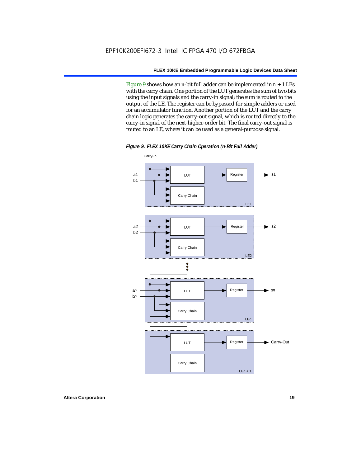Figure 9 shows how an *n*-bit full adder can be implemented in  $n + 1$  LEs with the carry chain. One portion of the LUT generates the sum of two bits using the input signals and the carry-in signal; the sum is routed to the output of the LE. The register can be bypassed for simple adders or used for an accumulator function. Another portion of the LUT and the carry chain logic generates the carry-out signal, which is routed directly to the carry-in signal of the next-higher-order bit. The final carry-out signal is routed to an LE, where it can be used as a general-purpose signal.



*Figure 9. FLEX 10KE Carry Chain Operation (n-Bit Full Adder)*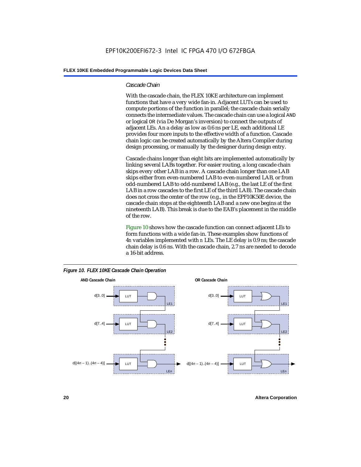#### *Cascade Chain*

With the cascade chain, the FLEX 10KE architecture can implement functions that have a very wide fan-in. Adjacent LUTs can be used to compute portions of the function in parallel; the cascade chain serially connects the intermediate values. The cascade chain can use a logical AND or logical OR (via De Morgan's inversion) to connect the outputs of adjacent LEs. An a delay as low as 0.6 ns per LE, each additional LE provides four more inputs to the effective width of a function. Cascade chain logic can be created automatically by the Altera Compiler during design processing, or manually by the designer during design entry.

Cascade chains longer than eight bits are implemented automatically by linking several LABs together. For easier routing, a long cascade chain skips every other LAB in a row. A cascade chain longer than one LAB skips either from even-numbered LAB to even-numbered LAB, or from odd-numbered LAB to odd-numbered LAB (e.g., the last LE of the first LAB in a row cascades to the first LE of the third LAB). The cascade chain does not cross the center of the row (e.g., in the EPF10K50E device, the cascade chain stops at the eighteenth LAB and a new one begins at the nineteenth LAB). This break is due to the EAB's placement in the middle of the row.

Figure 10 shows how the cascade function can connect adjacent LEs to form functions with a wide fan-in. These examples show functions of 4*n* variables implemented with *n* LEs. The LE delay is 0.9 ns; the cascade chain delay is 0.6 ns. With the cascade chain, 2.7 ns are needed to decode a 16-bit address.



*Figure 10. FLEX 10KE Cascade Chain Operation*

**20 Altera Corporation**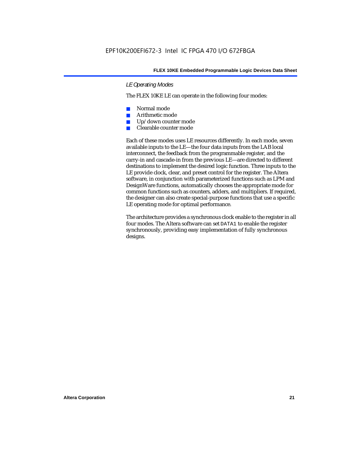#### *LE Operating Modes*

The FLEX 10KE LE can operate in the following four modes:

- Normal mode
- Arithmetic mode
- Up/down counter mode
- Clearable counter mode

Each of these modes uses LE resources differently. In each mode, seven available inputs to the LE—the four data inputs from the LAB local interconnect, the feedback from the programmable register, and the carry-in and cascade-in from the previous LE—are directed to different destinations to implement the desired logic function. Three inputs to the LE provide clock, clear, and preset control for the register. The Altera software, in conjunction with parameterized functions such as LPM and DesignWare functions, automatically chooses the appropriate mode for common functions such as counters, adders, and multipliers. If required, the designer can also create special-purpose functions that use a specific LE operating mode for optimal performance.

The architecture provides a synchronous clock enable to the register in all four modes. The Altera software can set DATA1 to enable the register synchronously, providing easy implementation of fully synchronous designs.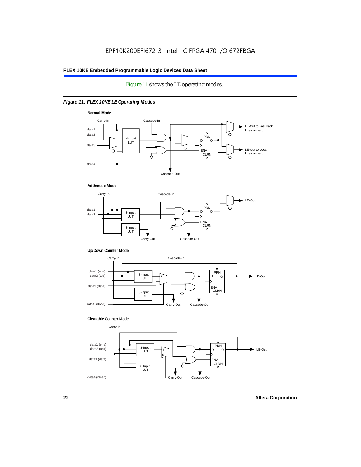#### Figure 11 shows the LE operating modes.

#### *Figure 11. FLEX 10KE LE Operating Modes*









#### **Clearable Counter Mode**

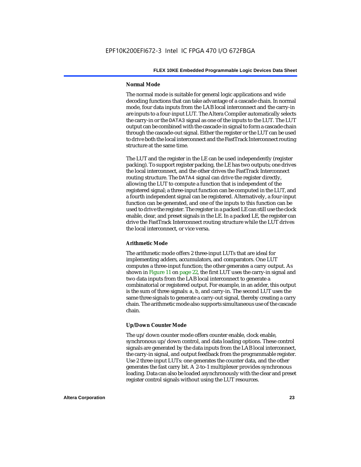#### **Normal Mode**

The normal mode is suitable for general logic applications and wide decoding functions that can take advantage of a cascade chain. In normal mode, four data inputs from the LAB local interconnect and the carry-in are inputs to a four-input LUT. The Altera Compiler automatically selects the carry-in or the DATA3 signal as one of the inputs to the LUT. The LUT output can be combined with the cascade-in signal to form a cascade chain through the cascade-out signal. Either the register or the LUT can be used to drive both the local interconnect and the FastTrack Interconnect routing structure at the same time.

The LUT and the register in the LE can be used independently (register packing). To support register packing, the LE has two outputs; one drives the local interconnect, and the other drives the FastTrack Interconnect routing structure. The DATA4 signal can drive the register directly, allowing the LUT to compute a function that is independent of the registered signal; a three-input function can be computed in the LUT, and a fourth independent signal can be registered. Alternatively, a four-input function can be generated, and one of the inputs to this function can be used to drive the register. The register in a packed LE can still use the clock enable, clear, and preset signals in the LE. In a packed LE, the register can drive the FastTrack Interconnect routing structure while the LUT drives the local interconnect, or vice versa.

#### **Arithmetic Mode**

The arithmetic mode offers 2 three-input LUTs that are ideal for implementing adders, accumulators, and comparators. One LUT computes a three-input function; the other generates a carry output. As shown in Figure 11 on page 22, the first LUT uses the carry-in signal and two data inputs from the LAB local interconnect to generate a combinatorial or registered output. For example, in an adder, this output is the sum of three signals: a, b, and carry-in. The second LUT uses the same three signals to generate a carry-out signal, thereby creating a carry chain. The arithmetic mode also supports simultaneous use of the cascade chain.

#### **Up/Down Counter Mode**

The up/down counter mode offers counter enable, clock enable, synchronous up/down control, and data loading options. These control signals are generated by the data inputs from the LAB local interconnect, the carry-in signal, and output feedback from the programmable register. Use 2 three-input LUTs: one generates the counter data, and the other generates the fast carry bit. A 2-to-1 multiplexer provides synchronous loading. Data can also be loaded asynchronously with the clear and preset register control signals without using the LUT resources.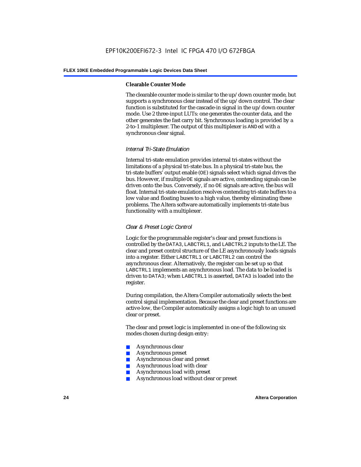#### **Clearable Counter Mode**

The clearable counter mode is similar to the up/down counter mode, but supports a synchronous clear instead of the up/down control. The clear function is substituted for the cascade-in signal in the up/down counter mode. Use 2 three-input LUTs: one generates the counter data, and the other generates the fast carry bit. Synchronous loading is provided by a 2-to-1 multiplexer. The output of this multiplexer is ANDed with a synchronous clear signal.

#### *Internal Tri-State Emulation*

Internal tri-state emulation provides internal tri-states without the limitations of a physical tri-state bus. In a physical tri-state bus, the tri-state buffers' output enable (OE) signals select which signal drives the bus. However, if multiple OE signals are active, contending signals can be driven onto the bus. Conversely, if no OE signals are active, the bus will float. Internal tri-state emulation resolves contending tri-state buffers to a low value and floating buses to a high value, thereby eliminating these problems. The Altera software automatically implements tri-state bus functionality with a multiplexer.

#### *Clear & Preset Logic Control*

Logic for the programmable register's clear and preset functions is controlled by the DATA3, LABCTRL1, and LABCTRL2 inputs to the LE. The clear and preset control structure of the LE asynchronously loads signals into a register. Either LABCTRL1 or LABCTRL2 can control the asynchronous clear. Alternatively, the register can be set up so that LABCTRL1 implements an asynchronous load. The data to be loaded is driven to DATA3; when LABCTRL1 is asserted, DATA3 is loaded into the register.

During compilation, the Altera Compiler automatically selects the best control signal implementation. Because the clear and preset functions are active-low, the Compiler automatically assigns a logic high to an unused clear or preset.

The clear and preset logic is implemented in one of the following six modes chosen during design entry:

- Asynchronous clear
- Asynchronous preset
- Asynchronous clear and preset
- Asynchronous load with clear
- Asynchronous load with preset
- Asynchronous load without clear or preset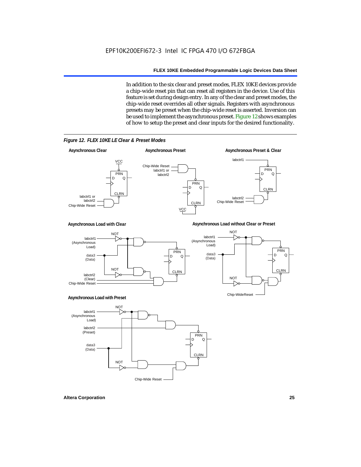In addition to the six clear and preset modes, FLEX 10KE devices provide a chip-wide reset pin that can reset all registers in the device. Use of this feature is set during design entry. In any of the clear and preset modes, the chip-wide reset overrides all other signals. Registers with asynchronous presets may be preset when the chip-wide reset is asserted. Inversion can be used to implement the asynchronous preset. Figure 12 shows examples of how to setup the preset and clear inputs for the desired functionality.



*Figure 12. FLEX 10KE LE Clear & Preset Modes*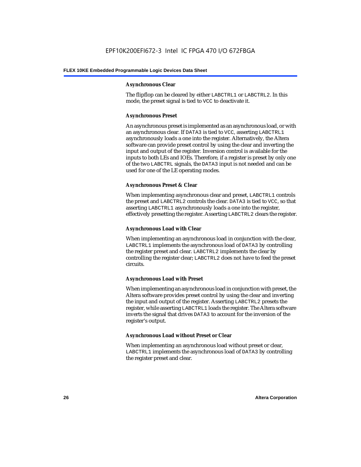#### **Asynchronous Clear**

The flipflop can be cleared by either LABCTRL1 or LABCTRL2. In this mode, the preset signal is tied to VCC to deactivate it.

#### **Asynchronous Preset**

An asynchronous preset is implemented as an asynchronous load, or with an asynchronous clear. If DATA3 is tied to VCC, asserting LABCTRL1 asynchronously loads a one into the register. Alternatively, the Altera software can provide preset control by using the clear and inverting the input and output of the register. Inversion control is available for the inputs to both LEs and IOEs. Therefore, if a register is preset by only one of the two LABCTRL signals, the DATA3 input is not needed and can be used for one of the LE operating modes.

#### **Asynchronous Preset & Clear**

When implementing asynchronous clear and preset, LABCTRL1 controls the preset and LABCTRL2 controls the clear. DATA3 is tied to VCC, so that asserting LABCTRL1 asynchronously loads a one into the register, effectively presetting the register. Asserting LABCTRL2 clears the register.

#### **Asynchronous Load with Clear**

When implementing an asynchronous load in conjunction with the clear, LABCTRL1 implements the asynchronous load of DATA3 by controlling the register preset and clear. LABCTRL2 implements the clear by controlling the register clear; LABCTRL2 does not have to feed the preset circuits.

#### **Asynchronous Load with Preset**

When implementing an asynchronous load in conjunction with preset, the Altera software provides preset control by using the clear and inverting the input and output of the register. Asserting LABCTRL2 presets the register, while asserting LABCTRL1 loads the register. The Altera software inverts the signal that drives DATA3 to account for the inversion of the register's output.

#### **Asynchronous Load without Preset or Clear**

When implementing an asynchronous load without preset or clear, LABCTRL1 implements the asynchronous load of DATA3 by controlling the register preset and clear.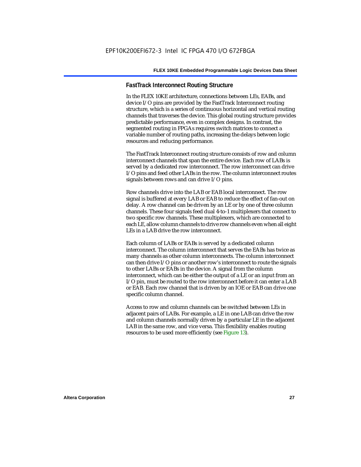#### **FastTrack Interconnect Routing Structure**

In the FLEX 10KE architecture, connections between LEs, EABs, and device I/O pins are provided by the FastTrack Interconnect routing structure, which is a series of continuous horizontal and vertical routing channels that traverses the device. This global routing structure provides predictable performance, even in complex designs. In contrast, the segmented routing in FPGAs requires switch matrices to connect a variable number of routing paths, increasing the delays between logic resources and reducing performance.

The FastTrack Interconnect routing structure consists of row and column interconnect channels that span the entire device. Each row of LABs is served by a dedicated row interconnect. The row interconnect can drive I/O pins and feed other LABs in the row. The column interconnect routes signals between rows and can drive I/O pins.

Row channels drive into the LAB or EAB local interconnect. The row signal is buffered at every LAB or EAB to reduce the effect of fan-out on delay. A row channel can be driven by an LE or by one of three column channels. These four signals feed dual 4-to-1 multiplexers that connect to two specific row channels. These multiplexers, which are connected to each LE, allow column channels to drive row channels even when all eight LEs in a LAB drive the row interconnect.

Each column of LABs or EABs is served by a dedicated column interconnect. The column interconnect that serves the EABs has twice as many channels as other column interconnects. The column interconnect can then drive I/O pins or another row's interconnect to route the signals to other LABs or EABs in the device. A signal from the column interconnect, which can be either the output of a LE or an input from an I/O pin, must be routed to the row interconnect before it can enter a LAB or EAB. Each row channel that is driven by an IOE or EAB can drive one specific column channel.

Access to row and column channels can be switched between LEs in adjacent pairs of LABs. For example, a LE in one LAB can drive the row and column channels normally driven by a particular LE in the adjacent LAB in the same row, and vice versa. This flexibility enables routing resources to be used more efficiently (see Figure 13).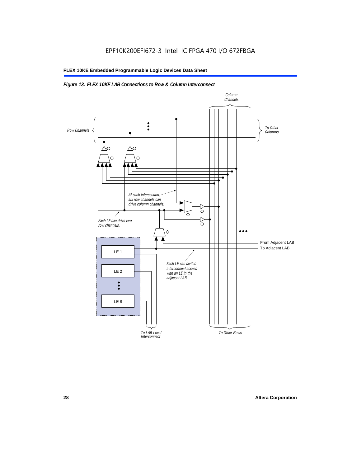#### *Figure 13. FLEX 10KE LAB Connections to Row & Column Interconnect*

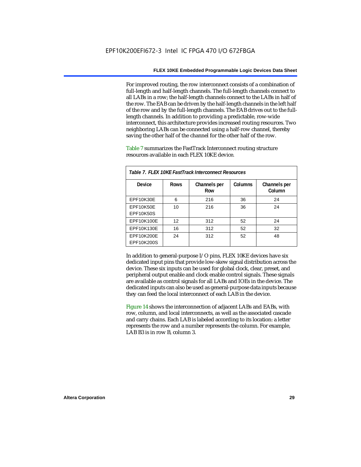For improved routing, the row interconnect consists of a combination of full-length and half-length channels. The full-length channels connect to all LABs in a row; the half-length channels connect to the LABs in half of the row. The EAB can be driven by the half-length channels in the left half of the row and by the full-length channels. The EAB drives out to the fulllength channels. In addition to providing a predictable, row-wide interconnect, this architecture provides increased routing resources. Two neighboring LABs can be connected using a half-row channel, thereby saving the other half of the channel for the other half of the row.

Table 7 summarizes the FastTrack Interconnect routing structure resources available in each FLEX 10KE device.

| Table 7. FLEX 10KE FastTrack Interconnect Resources |             |                     |         |                        |
|-----------------------------------------------------|-------------|---------------------|---------|------------------------|
| Device                                              | <b>Rows</b> | Channels per<br>Row | Columns | Channels per<br>Column |
| <b>EPF10K30E</b>                                    | 6           | 216                 | 36      | 24                     |
| EPF10K50E<br>EPF10K50S                              | 10          | 216                 | 36      | 24                     |
| EPF10K100E                                          | 12          | 312                 | 52      | 24                     |
| EPF10K130E                                          | 16          | 312                 | 52      | 32                     |
| EPF10K200E<br>EPF10K200S                            | 24          | 312                 | 52      | 48                     |

In addition to general-purpose I/O pins, FLEX 10KE devices have six dedicated input pins that provide low-skew signal distribution across the device. These six inputs can be used for global clock, clear, preset, and peripheral output enable and clock enable control signals. These signals are available as control signals for all LABs and IOEs in the device. The dedicated inputs can also be used as general-purpose data inputs because they can feed the local interconnect of each LAB in the device.

Figure 14 shows the interconnection of adjacent LABs and EABs, with row, column, and local interconnects, as well as the associated cascade and carry chains. Each LAB is labeled according to its location: a letter represents the row and a number represents the column. For example, LAB B3 is in row B, column 3.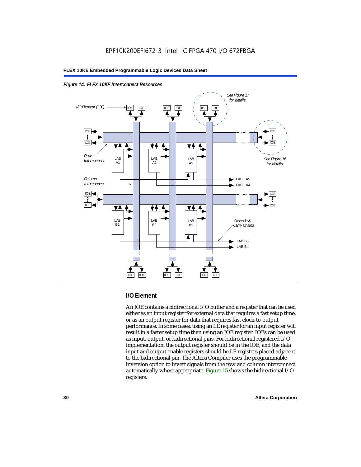



#### **I/O Element**

An IOE contains a bidirectional I/O buffer and a register that can be used either as an input register for external data that requires a fast setup time, or as an output register for data that requires fast clock-to-output performance. In some cases, using an LE register for an input register will result in a faster setup time than using an IOE register. IOEs can be used as input, output, or bidirectional pins. For bidirectional registered I/O implementation, the output register should be in the IOE, and the data input and output enable registers should be LE registers placed adjacent to the bidirectional pin. The Altera Compiler uses the programmable inversion option to invert signals from the row and column interconnect automatically where appropriate. Figure 15 shows the bidirectional I/O registers.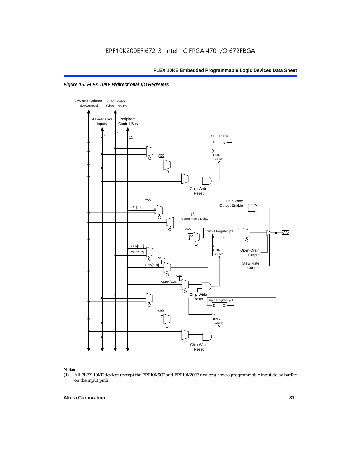



## *Note:*<br>(1) *A*

(1) All FLEX 10KE devices (except the EPF10K50E and EPF10K200E devices) have a programmable input delay buffer on the input path.

#### **Altera Corporation 31**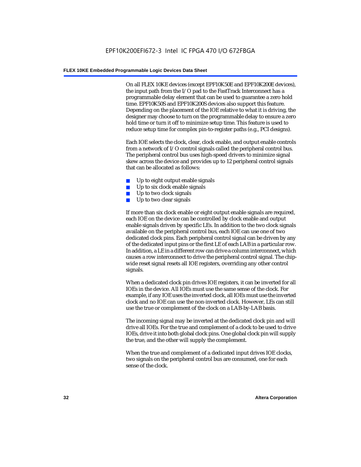On all FLEX 10KE devices (except EPF10K50E and EPF10K200E devices), the input path from the I/O pad to the FastTrack Interconnect has a programmable delay element that can be used to guarantee a zero hold time. EPF10K50S and EPF10K200S devices also support this feature. Depending on the placement of the IOE relative to what it is driving, the designer may choose to turn on the programmable delay to ensure a zero hold time or turn it off to minimize setup time. This feature is used to reduce setup time for complex pin-to-register paths (e.g., PCI designs).

Each IOE selects the clock, clear, clock enable, and output enable controls from a network of I/O control signals called the peripheral control bus. The peripheral control bus uses high-speed drivers to minimize signal skew across the device and provides up to 12 peripheral control signals that can be allocated as follows:

- Up to eight output enable signals
- Up to six clock enable signals
- Up to two clock signals
- Up to two clear signals

If more than six clock enable or eight output enable signals are required, each IOE on the device can be controlled by clock enable and output enable signals driven by specific LEs. In addition to the two clock signals available on the peripheral control bus, each IOE can use one of two dedicated clock pins. Each peripheral control signal can be driven by any of the dedicated input pins or the first LE of each LAB in a particular row. In addition, a LE in a different row can drive a column interconnect, which causes a row interconnect to drive the peripheral control signal. The chipwide reset signal resets all IOE registers, overriding any other control signals.

When a dedicated clock pin drives IOE registers, it can be inverted for all IOEs in the device. All IOEs must use the same sense of the clock. For example, if any IOE uses the inverted clock, all IOEs must use the inverted clock and no IOE can use the non-inverted clock. However, LEs can still use the true or complement of the clock on a LAB-by-LAB basis.

The incoming signal may be inverted at the dedicated clock pin and will drive all IOEs. For the true and complement of a clock to be used to drive IOEs, drive it into both global clock pins. One global clock pin will supply the true, and the other will supply the complement.

When the true and complement of a dedicated input drives IOE clocks, two signals on the peripheral control bus are consumed, one for each sense of the clock.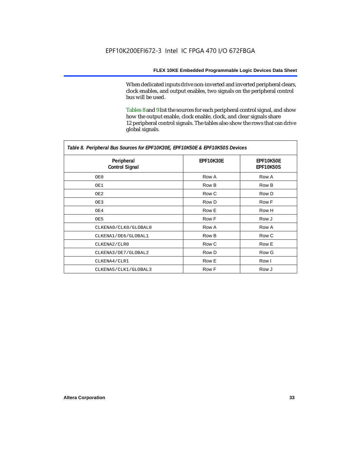When dedicated inputs drive non-inverted and inverted peripheral clears, clock enables, and output enables, two signals on the peripheral control bus will be used.

Tables 8 and 9 list the sources for each peripheral control signal, and show how the output enable, clock enable, clock, and clear signals share 12 peripheral control signals. The tables also show the rows that can drive global signals.

| Table 8. Peripheral Bus Sources for EPF10K30E, EPF10K50E & EPF10K50S Devices |                  |                        |  |  |
|------------------------------------------------------------------------------|------------------|------------------------|--|--|
| Peripheral<br><b>Control Signal</b>                                          | <b>EPF10K30E</b> | EPF10K50E<br>EPF10K50S |  |  |
| OE0                                                                          | Row A            | Row A                  |  |  |
| OE1                                                                          | Row B            | Row B                  |  |  |
| OE2                                                                          | Row C            | Row D                  |  |  |
| OE3                                                                          | Row D            | Row F                  |  |  |
| OE4                                                                          | Row E            | Row H                  |  |  |
| OE5                                                                          | Row F            | Row J                  |  |  |
| CLKENA0/CLK0/GLOBAL0                                                         | Row A            | Row A                  |  |  |
| CLKENA1/OE6/GLOBAL1                                                          | Row B            | Row C                  |  |  |
| CLKENA2/CLR0                                                                 | Row C            | Row E                  |  |  |
| CLKENA3/OE7/GLOBAL2                                                          | Row D            | Row G                  |  |  |
| CLKENA4/CLR1                                                                 | Row E            | Row I                  |  |  |
| CLKENA5/CLK1/GLOBAL3                                                         | Row F            | Row J                  |  |  |

*Table 8. Peripheral Bus Sources for EPF10K30E, EPF10K50E & EPF10K50S Devices*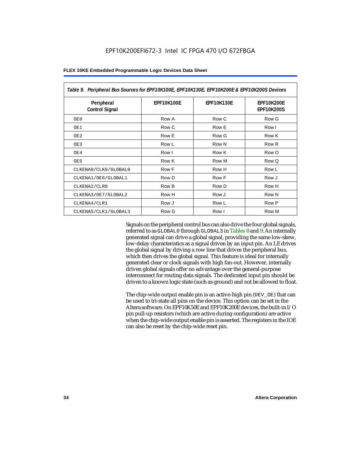| Table 9. Peripheral Bus Sources for EPF10K100E, EPF10K130E, EPF10K200E & EPF10K200S Devices |                   |                   |                                        |  |  |
|---------------------------------------------------------------------------------------------|-------------------|-------------------|----------------------------------------|--|--|
| Peripheral<br><b>Control Signal</b>                                                         | <b>EPF10K100E</b> | <b>EPF10K130E</b> | <b>EPF10K200E</b><br><b>EPF10K200S</b> |  |  |
| OE0                                                                                         | Row A             | Row C             | Row G                                  |  |  |
| OE1                                                                                         | Row C             | Row E             | Row I                                  |  |  |
| OE <sub>2</sub>                                                                             | Row E             | Row G             | Row K                                  |  |  |
| OE3                                                                                         | Row L             | Row N             | Row R                                  |  |  |
| OE4                                                                                         | Row I             | Row K             | Row O                                  |  |  |
| OE5                                                                                         | Row K             | Row M             | Row Q                                  |  |  |
| CLKENA0/CLK0/GLOBAL0                                                                        | Row F             | Row H             | Row L                                  |  |  |
| CLKENA1/OE6/GLOBAL1                                                                         | Row D             | Row F             | Row J                                  |  |  |
| CLKENA2/CLR0                                                                                | Row B             | Row D             | Row H                                  |  |  |
| CLKENA3/OE7/GLOBAL2                                                                         | Row H             | Row J             | Row N                                  |  |  |
| CLKENA4/CLR1                                                                                | Row J             | Row L             | Row P                                  |  |  |
| CLKENA5/CLK1/GLOBAL3                                                                        | Row G             | Row I             | Row M                                  |  |  |

Signals on the peripheral control bus can also drive the four global signals, referred to as GLOBAL0 through GLOBAL3 in Tables 8 and 9. An internally generated signal can drive a global signal, providing the same low-skew, low-delay characteristics as a signal driven by an input pin. An LE drives the global signal by driving a row line that drives the peripheral bus, which then drives the global signal. This feature is ideal for internally generated clear or clock signals with high fan-out. However, internally driven global signals offer no advantage over the general-purpose interconnect for routing data signals. The dedicated input pin should be driven to a known logic state (such as ground) and not be allowed to float.

The chip-wide output enable pin is an active-high pin (DEV\_OE) that can be used to tri-state all pins on the device. This option can be set in the Altera software. On EPF10K50E and EPF10K200E devices, the built-in I/O pin pull-up resistors (which are active during configuration) are active when the chip-wide output enable pin is asserted. The registers in the IOE can also be reset by the chip-wide reset pin.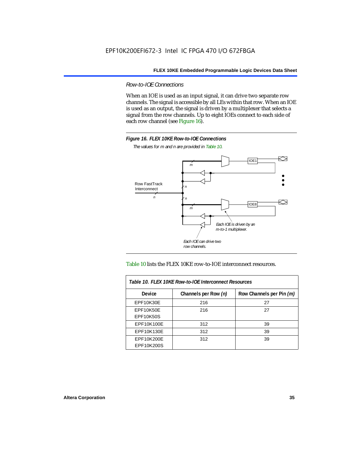*Row-to-IOE Connections*

When an IOE is used as an input signal, it can drive two separate row channels. The signal is accessible by all LEs within that row. When an IOE is used as an output, the signal is driven by a multiplexer that selects a signal from the row channels. Up to eight IOEs connect to each side of each row channel (see Figure 16).



*The values for m and n are provided in Table 10.*





| Table 10. FLEX 10KE Row-to-IOE Interconnect Resources |                      |                          |  |  |  |
|-------------------------------------------------------|----------------------|--------------------------|--|--|--|
| <b>Device</b>                                         | Channels per Row (n) | Row Channels per Pin (m) |  |  |  |
| EPF10K30E                                             | 216                  | 27                       |  |  |  |
| EPF10K50E<br><b>EPF10K50S</b>                         | 216                  | 27                       |  |  |  |
| EPF10K100E                                            | 312                  | 39                       |  |  |  |
| EPF10K130E                                            | 312                  | 39                       |  |  |  |
| EPF10K200E<br>EPF10K200S                              | 312                  | 39                       |  |  |  |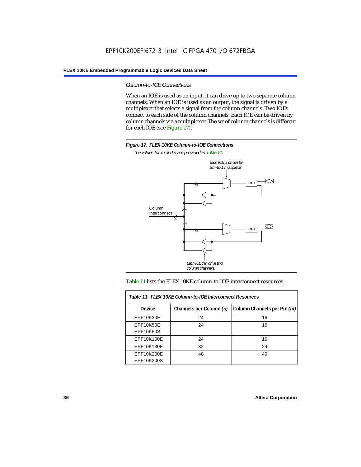#### *Column-to-IOE Connections*

When an IOE is used as an input, it can drive up to two separate column channels. When an IOE is used as an output, the signal is driven by a multiplexer that selects a signal from the column channels. Two IOEs connect to each side of the column channels. Each IOE can be driven by column channels via a multiplexer. The set of column channels is different for each IOE (see Figure 17).



*The values for m and n are provided in Table 11.*



#### Table 11 lists the FLEX 10KE column-to-IOE interconnect resources.

| Table 11. FLEX 10KE Column-to-IOE Interconnect Resources |                         |                             |  |  |  |
|----------------------------------------------------------|-------------------------|-----------------------------|--|--|--|
| <b>Device</b>                                            | Channels per Column (n) | Column Channels per Pin (m) |  |  |  |
| EPF10K30E                                                | 24                      | 16                          |  |  |  |
| <b>EPF10K50E</b><br><b>EPF10K50S</b>                     | 24                      | 16                          |  |  |  |
| EPF10K100E                                               | 24                      | 16                          |  |  |  |
| EPF10K130E                                               | 32                      | 24                          |  |  |  |
| EPF10K200E<br>EPF10K200S                                 | 48                      | 40                          |  |  |  |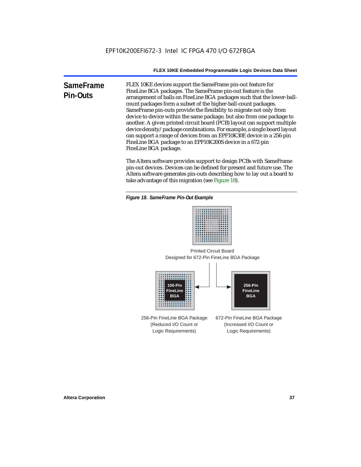**SameFrame Pin-Outs** FLEX 10KE devices support the SameFrame pin-out feature for FineLine BGA packages. The SameFrame pin-out feature is the arrangement of balls on FineLine BGA packages such that the lower-ballcount packages form a subset of the higher-ball-count packages. SameFrame pin-outs provide the flexibility to migrate not only from device to device within the same package, but also from one package to another. A given printed circuit board (PCB) layout can support multiple device density/package combinations. For example, a single board layout can support a range of devices from an EPF10K30E device in a 256-pin FineLine BGA package to an EPF10K200S device in a 672-pin FineLine BGA package.

> The Altera software provides support to design PCBs with SameFrame pin-out devices. Devices can be defined for present and future use. The Altera software generates pin-outs describing how to lay out a board to take advantage of this migration (see Figure 18).





Designed for 672-Pin FineLine BGA Package Printed Circuit Board



256-Pin FineLine BGA Package (Reduced I/O Count or Logic Requirements) 672-Pin FineLine BGA Package (Increased I/O Count or Logic Requirements)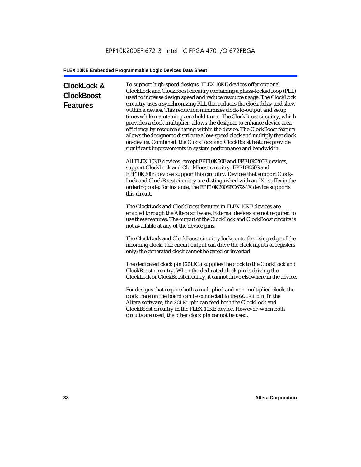# **ClockLock & ClockBoost Features**

To support high-speed designs, FLEX 10KE devices offer optional ClockLock and ClockBoost circuitry containing a phase-locked loop (PLL) used to increase design speed and reduce resource usage. The ClockLock circuitry uses a synchronizing PLL that reduces the clock delay and skew within a device. This reduction minimizes clock-to-output and setup times while maintaining zero hold times. The ClockBoost circuitry, which provides a clock multiplier, allows the designer to enhance device area efficiency by resource sharing within the device. The ClockBoost feature allows the designer to distribute a low-speed clock and multiply that clock on-device. Combined, the ClockLock and ClockBoost features provide significant improvements in system performance and bandwidth.

All FLEX 10KE devices, except EPF10K50E and EPF10K200E devices, support ClockLock and ClockBoost circuitry. EPF10K50S and EPF10K200S devices support this circuitry. Devices that support Clock-Lock and ClockBoost circuitry are distinguished with an "X" suffix in the ordering code; for instance, the EPF10K200SFC672-1X device supports this circuit.

The ClockLock and ClockBoost features in FLEX 10KE devices are enabled through the Altera software. External devices are not required to use these features. The output of the ClockLock and ClockBoost circuits is not available at any of the device pins.

The ClockLock and ClockBoost circuitry locks onto the rising edge of the incoming clock. The circuit output can drive the clock inputs of registers only; the generated clock cannot be gated or inverted.

The dedicated clock pin (GCLK1) supplies the clock to the ClockLock and ClockBoost circuitry. When the dedicated clock pin is driving the ClockLock or ClockBoost circuitry, it cannot drive elsewhere in the device.

For designs that require both a multiplied and non-multiplied clock, the clock trace on the board can be connected to the GCLK1 pin. In the Altera software, the GCLK1 pin can feed both the ClockLock and ClockBoost circuitry in the FLEX 10KE device. However, when both circuits are used, the other clock pin cannot be used.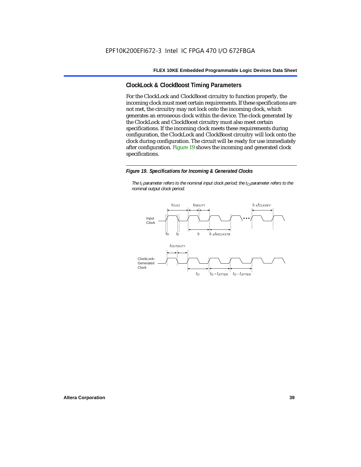### **ClockLock & ClockBoost Timing Parameters**

For the ClockLock and ClockBoost circuitry to function properly, the incoming clock must meet certain requirements. If these specifications are not met, the circuitry may not lock onto the incoming clock, which generates an erroneous clock within the device. The clock generated by the ClockLock and ClockBoost circuitry must also meet certain specifications. If the incoming clock meets these requirements during configuration, the ClockLock and ClockBoost circuitry will lock onto the clock during configuration. The circuit will be ready for use immediately after configuration. Figure 19 shows the incoming and generated clock specifications.

#### *Figure 19. Specifications for Incoming & Generated Clocks*

*The t<sub>I</sub> parameter refers to the nominal input clock period; the t<sub>0</sub> parameter refers to the nominal output clock period.*

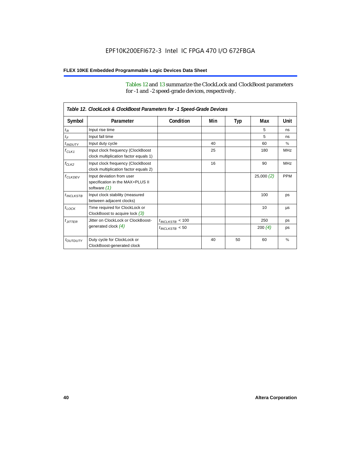Tables 12 and 13 summarize the ClockLock and ClockBoost parameters for -1 and -2 speed-grade devices, respectively.

| Table 12. ClockLock & ClockBoost Parameters for -1 Speed-Grade Devices |                                                                               |                      |     |     |           |               |
|------------------------------------------------------------------------|-------------------------------------------------------------------------------|----------------------|-----|-----|-----------|---------------|
| Symbol                                                                 | Parameter                                                                     | Condition            | Min | Typ | Max       | Unit          |
| $t_R$                                                                  | Input rise time                                                               |                      |     |     | 5         | ns            |
| $t_F$                                                                  | Input fall time                                                               |                      |     |     | 5         | ns            |
| $t$ <sub>INDUTY</sub>                                                  | Input duty cycle                                                              |                      | 40  |     | 60        | $\%$          |
| $f_{CLK1}$                                                             | Input clock frequency (ClockBoost<br>clock multiplication factor equals 1)    |                      | 25  |     | 180       | <b>MHz</b>    |
| $f_{CLK2}$                                                             | Input clock frequency (ClockBoost<br>clock multiplication factor equals 2)    |                      | 16  |     | 90        | <b>MHz</b>    |
| $f_{CLKDEV}$                                                           | Input deviation from user<br>specification in the MAX+PLUS II<br>software (1) |                      |     |     | 25,000(2) | <b>PPM</b>    |
| $t_{INCLKSTB}$                                                         | Input clock stability (measured<br>between adjacent clocks)                   |                      |     |     | 100       | ps            |
| $t_{\text{LOCK}}$                                                      | Time required for ClockLock or<br>ClockBoost to acquire lock $(3)$            |                      |     |     | 10        | μs            |
| $t_{JITTER}$                                                           | Jitter on ClockLock or ClockBoost-                                            | $t_{INCLKSTB} < 100$ |     |     | 250       | ps            |
|                                                                        | generated clock $(4)$                                                         | $t_{INCLKSTB}$ < 50  |     |     | 200 $(4)$ | ps            |
| <i>t<sub>OUTDUTY</sub></i>                                             | Duty cycle for ClockLock or<br>ClockBoost-generated clock                     |                      | 40  | 50  | 60        | $\frac{9}{6}$ |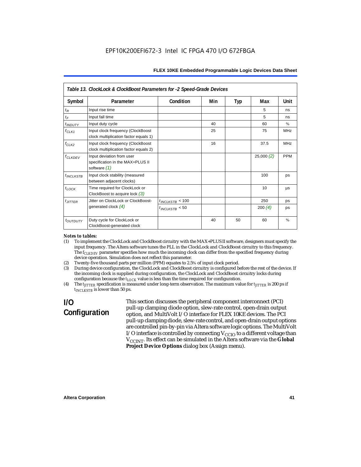| Table 13. ClockLock & ClockBoost Parameters for -2 Speed-Grade Devices |                                                                               |                      |     |     |           |            |
|------------------------------------------------------------------------|-------------------------------------------------------------------------------|----------------------|-----|-----|-----------|------------|
| Symbol                                                                 | Parameter                                                                     | Condition            | Min | Typ | Max       | Unit       |
| $t_{R}$                                                                | Input rise time                                                               |                      |     |     | 5         | ns         |
| $t_F$                                                                  | Input fall time                                                               |                      |     |     | 5         | ns         |
| $t_{INDUTY}$                                                           | Input duty cycle                                                              |                      | 40  |     | 60        | $\%$       |
| $f_{CLK1}$                                                             | Input clock frequency (ClockBoost<br>clock multiplication factor equals 1)    |                      | 25  |     | 75        | <b>MHz</b> |
| $f_{CLK2}$                                                             | Input clock frequency (ClockBoost<br>clock multiplication factor equals 2)    |                      | 16  |     | 37.5      | <b>MHz</b> |
| $f_{\ensuremath{\text{CLKDFV}}}$                                       | Input deviation from user<br>specification in the MAX+PLUS II<br>software (1) |                      |     |     | 25,000(2) | <b>PPM</b> |
| $t_{INCLKSTB}$                                                         | Input clock stability (measured<br>between adjacent clocks)                   |                      |     |     | 100       | ps         |
| $t_{LOCK}$                                                             | Time required for ClockLock or<br>ClockBoost to acquire lock $(3)$            |                      |     |     | 10        | μs         |
| $t_{JITTER}$                                                           | Jitter on ClockLock or ClockBoost-                                            | $t_{INCLKSTB}$ < 100 |     |     | 250       | ps         |
|                                                                        | generated clock $(4)$                                                         | $t_{INCLKSTB}$ < 50  |     |     | 200 $(4)$ | ps         |
| t <sub>OUTDUTY</sub>                                                   | Duty cycle for ClockLock or<br>ClockBoost-generated clock                     |                      | 40  | 50  | 60        | $\%$       |

#### *Notes to tables:*

- (1) To implement the ClockLock and ClockBoost circuitry with the MAX+PLUS II software, designers must specify the input frequency. The Altera software tunes the PLL in the ClockLock and ClockBoost circuitry to this frequency. The *f<sub>CLKDEV</sub>* parameter specifies how much the incoming clock can differ from the specified frequency during device operation. Simulation does not reflect this parameter.
- (2) Twenty-five thousand parts per million (PPM) equates to 2.5% of input clock period.<br>(3) During device configuration, the ClockLock and ClockBoost circuitry is configured b
- (3) During device configuration, the ClockLock and ClockBoost circuitry is configured before the rest of the device. If the incoming clock is supplied during configuration, the ClockLock and ClockBoost circuitry locks during configuration because the  $t_{LOCK}$  value is less than the time required for configuration.
- (4) The *tJITTER* specification is measured under long-term observation. The maximum value for *tJITTER* is 200 ps if  $t_{INCI KSTB}$  is lower than 50 ps.

# **I/O Configuration**

This section discusses the peripheral component interconnect (PCI) pull-up clamping diode option, slew-rate control, open-drain output option, and MultiVolt I/O interface for FLEX 10KE devices. The PCI pull-up clamping diode, slew-rate control, and open-drain output options are controlled pin-by-pin via Altera software logic options. The MultiVolt I/O interface is controlled by connecting  $V_{CCIO}$  to a different voltage than V<sub>CCINT</sub>. Its effect can be simulated in the Altera software via the Global **Project Device Options** dialog box (Assign menu).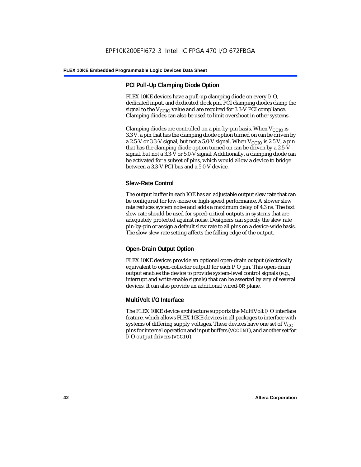### **PCI Pull-Up Clamping Diode Option**

FLEX 10KE devices have a pull-up clamping diode on every I/O, dedicated input, and dedicated clock pin. PCI clamping diodes clamp the signal to the  $V_{\text{CCIO}}$  value and are required for 3.3-V PCI compliance. Clamping diodes can also be used to limit overshoot in other systems.

Clamping diodes are controlled on a pin-by-pin basis. When  $V_{CCIO}$  is 3.3 V, a pin that has the clamping diode option turned on can be driven by a 2.5-V or 3.3-V signal, but not a 5.0-V signal. When  $V_{CCIO}$  is 2.5 V, a pin that has the clamping diode option turned on can be driven by a 2.5-V signal, but not a 3.3-V or 5.0-V signal. Additionally, a clamping diode can be activated for a subset of pins, which would allow a device to bridge between a 3.3-V PCI bus and a 5.0-V device.

### **Slew-Rate Control**

The output buffer in each IOE has an adjustable output slew rate that can be configured for low-noise or high-speed performance. A slower slew rate reduces system noise and adds a maximum delay of 4.3 ns. The fast slew rate should be used for speed-critical outputs in systems that are adequately protected against noise. Designers can specify the slew rate pin-by-pin or assign a default slew rate to all pins on a device-wide basis. The slow slew rate setting affects the falling edge of the output.

### **Open-Drain Output Option**

FLEX 10KE devices provide an optional open-drain output (electrically equivalent to open-collector output) for each I/O pin. This open-drain output enables the device to provide system-level control signals (e.g., interrupt and write enable signals) that can be asserted by any of several devices. It can also provide an additional wired-OR plane.

### **MultiVolt I/O Interface**

The FLEX 10KE device architecture supports the MultiVolt I/O interface feature, which allows FLEX 10KE devices in all packages to interface with systems of differing supply voltages. These devices have one set of  $V_{CC}$ pins for internal operation and input buffers (VCCINT), and another set for I/O output drivers (VCCIO).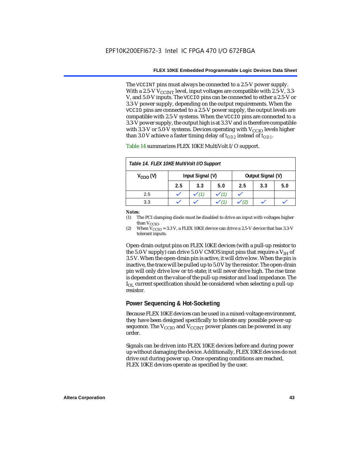The VCCINT pins must always be connected to a 2.5-V power supply. With a 2.5-V  $V_{CCMT}$  level, input voltages are compatible with 2.5-V, 3.3-V, and 5.0-V inputs. The VCCIO pins can be connected to either a 2.5-V or 3.3-V power supply, depending on the output requirements. When the VCCIO pins are connected to a 2.5-V power supply, the output levels are compatible with 2.5-V systems. When the VCCIO pins are connected to a 3.3-V power supply, the output high is at 3.3 V and is therefore compatible with 3.3-V or 5.0-V systems. Devices operating with  $V_{CCIO}$  levels higher than 3.0 V achieve a faster timing delay of  $t_{OD2}$  instead of  $t_{OD1}$ .

| Table 14. FLEX 10KE MultiVolt I/O Support |                                       |     |     |     |     |     |
|-------------------------------------------|---------------------------------------|-----|-----|-----|-----|-----|
| $V_{\text{CCIO}}(V)$                      | Input Signal (V)<br>Output Signal (V) |     |     |     |     |     |
|                                           | 2.5                                   | 3.3 | 5.0 | 2.5 | 3.3 | 5.0 |
| 2.5                                       |                                       |     |     |     |     |     |
| 3.3                                       |                                       |     |     |     |     |     |

Table 14 summarizes FLEX 10KE MultiVolt I/O support.

#### *Notes:*

(1) The PCI clamping diode must be disabled to drive an input with voltages higher than  $V_{CCIO}$ .

(2) When  $V_{\text{CCIO}} = 3.3$  V, a FLEX 10KE device can drive a 2.5-V device that has 3.3-V tolerant inputs.

Open-drain output pins on FLEX 10KE devices (with a pull-up resistor to the 5.0-V supply) can drive 5.0-V CMOS input pins that require a  $V_{\text{H}}$  of 3.5 V. When the open-drain pin is active, it will drive low. When the pin is inactive, the trace will be pulled up to 5.0 V by the resistor. The open-drain pin will only drive low or tri-state; it will never drive high. The rise time is dependent on the value of the pull-up resistor and load impedance. The  $I_{\text{OL}}$  current specification should be considered when selecting a pull-up resistor.

### **Power Sequencing & Hot-Socketing**

Because FLEX 10KE devices can be used in a mixed-voltage environment, they have been designed specifically to tolerate any possible power-up sequence. The  $V_{\text{CCIO}}$  and  $V_{\text{CCINT}}$  power planes can be powered in any order.

Signals can be driven into FLEX 10KE devices before and during power up without damaging the device. Additionally, FLEX 10KE devices do not drive out during power up. Once operating conditions are reached, FLEX 10KE devices operate as specified by the user.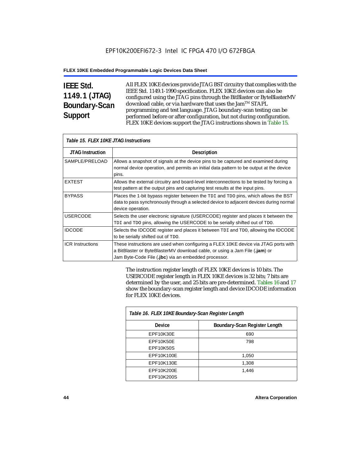# **IEEE Std. 1149.1 (JTAG) Boundary-Scan Support**

All FLEX 10KE devices provide JTAG BST circuitry that complies with the IEEE Std. 1149.1-1990 specification. FLEX 10KE devices can also be configured using the JTAG pins through the BitBlaster or ByteBlasterMV download cable, or via hardware that uses the Jam™ STAPL programming and test language. JTAG boundary-scan testing can be performed before or after configuration, but not during configuration. FLEX 10KE devices support the JTAG instructions shown in Table 15.

| Table 15. FLEX 10KE JTAG Instructions |                                                                                                                                                                                                                            |  |  |  |
|---------------------------------------|----------------------------------------------------------------------------------------------------------------------------------------------------------------------------------------------------------------------------|--|--|--|
| <b>JTAG Instruction</b>               | <b>Description</b>                                                                                                                                                                                                         |  |  |  |
| SAMPLE/PRELOAD                        | Allows a snapshot of signals at the device pins to be captured and examined during<br>normal device operation, and permits an initial data pattern to be output at the device<br>pins.                                     |  |  |  |
| <b>EXTEST</b>                         | Allows the external circuitry and board-level interconnections to be tested by forcing a<br>test pattern at the output pins and capturing test results at the input pins.                                                  |  |  |  |
| <b>BYPASS</b>                         | Places the 1-bit bypass register between the TDI and TDO pins, which allows the BST<br>data to pass synchronously through a selected device to adjacent devices during normal<br>device operation.                         |  |  |  |
| <b>USERCODE</b>                       | Selects the user electronic signature (USERCODE) register and places it between the<br>TDI and TDO pins, allowing the USERCODE to be serially shifted out of TDO.                                                          |  |  |  |
| <b>IDCODE</b>                         | Selects the IDCODE register and places it between TDI and TDO, allowing the IDCODE<br>to be serially shifted out of TDO.                                                                                                   |  |  |  |
| <b>ICR Instructions</b>               | These instructions are used when configuring a FLEX 10KE device via JTAG ports with<br>a BitBlaster or ByteBlasterMV download cable, or using a Jam File (.jam) or<br>Jam Byte-Code File (.jbc) via an embedded processor. |  |  |  |

The instruction register length of FLEX 10KE devices is 10 bits. The USERCODE register length in FLEX 10KE devices is 32 bits; 7 bits are determined by the user, and 25 bits are pre-determined. Tables 16 and 17 show the boundary-scan register length and device IDCODE information for FLEX 10KE devices.

| Table 16. FLEX 10KE Boundary-Scan Register Length |                               |  |  |  |
|---------------------------------------------------|-------------------------------|--|--|--|
| Device                                            | Boundary-Scan Register Length |  |  |  |
| EPF10K30E                                         | 690                           |  |  |  |
| EPF10K50E                                         | 798                           |  |  |  |
| <b>EPF10K50S</b>                                  |                               |  |  |  |
| EPF10K100E                                        | 1,050                         |  |  |  |
| EPF10K130E                                        | 1,308                         |  |  |  |
| EPF10K200E                                        | 1.446                         |  |  |  |
| EPF10K200S                                        |                               |  |  |  |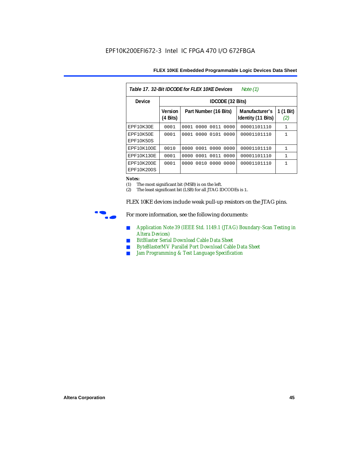| FLEX 10KE Embedded Programmable Logic Devices Data Sheet |  |  |
|----------------------------------------------------------|--|--|
|----------------------------------------------------------|--|--|

| Table 17, 32-Bit IDCODE for FLEX 10KE Devices<br>Note $(1)$ |                                      |                              |                                      |                  |  |  |  |
|-------------------------------------------------------------|--------------------------------------|------------------------------|--------------------------------------|------------------|--|--|--|
| Device                                                      | IDCODE (32 Bits)                     |                              |                                      |                  |  |  |  |
|                                                             | <b>Version</b><br>$(4 \text{ Bits})$ | Part Number (16 Bits)        | Manufacturer's<br>Identity (11 Bits) | 1 (1 Bit)<br>(2) |  |  |  |
| <b>EPF10K30E</b>                                            | 0001                                 | 0000<br>0011<br>0001<br>0000 | 00001101110                          | $\mathbf{1}$     |  |  |  |
| EPF10K50E<br>EPF10K50S                                      | 0001                                 | 0101<br>0000<br>0001<br>0000 | 00001101110                          | $\mathbf{1}$     |  |  |  |
| EPF10K100E                                                  | 0010                                 | 0000 0001 0000 0000          | 00001101110                          | $\mathbf{1}$     |  |  |  |
| EPF10K130E                                                  | 0001                                 | 0011<br>0001<br>0000<br>0000 | 00001101110                          | $\mathbf{1}$     |  |  |  |
| EPF10K200E<br>EPF10K200S                                    | 0001                                 | 0010<br>0000<br>0000<br>0000 | 00001101110                          | 1                |  |  |  |

#### *Notes:*

(1) The most significant bit (MSB) is on the left.

(2) The least significant bit (LSB) for all JTAG IDCODEs is 1.

FLEX 10KE devices include weak pull-up resistors on the JTAG pins.



For more information, see the following documents:

- *Application Note 39 (IEEE Std. 1149.1 (JTAG) Boundary-Scan Testing in Altera Devices)*
- *BitBlaster Serial Download Cable Data Sheet*
- *ByteBlasterMV Parallel Port Download Cable Data Sheet*
- *Jam Programming & Test Language Specification*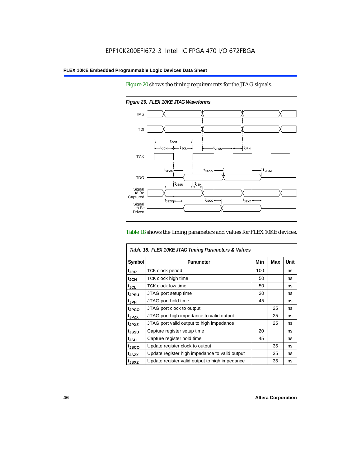Figure 20 shows the timing requirements for the JTAG signals.



*Figure 20. FLEX 10KE JTAG Waveforms*

#### Table 18 shows the timing parameters and values for FLEX 10KE devices.

| Table 18. FLEX 10KE JTAG Timing Parameters & Values |                                                |     |     |      |  |
|-----------------------------------------------------|------------------------------------------------|-----|-----|------|--|
| Symbol                                              | Parameter                                      | Min | Max | Unit |  |
| t <sub>JCP</sub>                                    | <b>TCK clock period</b>                        | 100 |     | ns   |  |
| $t_{JCH}$                                           | TCK clock high time                            | 50  |     | ns   |  |
| $t_{JCL}$                                           | TCK clock low time                             | 50  |     | ns   |  |
| tjpsu                                               | JTAG port setup time                           | 20  |     | ns   |  |
| t <sub>JPH</sub>                                    | JTAG port hold time                            | 45  |     | ns   |  |
| t <sub>JPCO</sub>                                   | JTAG port clock to output                      |     | 25  | ns   |  |
| t <sub>.IPZX</sub>                                  | JTAG port high impedance to valid output       |     | 25  | ns   |  |
| t <sub>JPXZ</sub>                                   | JTAG port valid output to high impedance       |     | 25  | ns   |  |
| tjssu                                               | Capture register setup time                    | 20  |     | ns   |  |
| $t_{JSH}$                                           | Capture register hold time                     | 45  |     | ns   |  |
| tjsco                                               | Update register clock to output                |     | 35  | ns   |  |
| t <sub>JSZX</sub>                                   | Update register high impedance to valid output |     | 35  | ns   |  |
| t <sub>JSXZ</sub>                                   | Update register valid output to high impedance |     | 35  | ns   |  |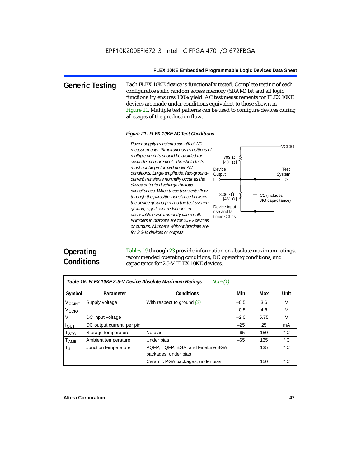**Generic Testing** Each FLEX 10KE device is functionally tested. Complete testing of each configurable static random access memory (SRAM) bit and all logic functionality ensures 100% yield. AC test measurements for FLEX 10KE devices are made under conditions equivalent to those shown in Figure 21. Multiple test patterns can be used to configure devices during all stages of the production flow.

#### *Figure 21. FLEX 10KE AC Test Conditions*

*measurements. Simultaneous transitions of multiple outputs should be avoided for accurate measurement. Threshold tests must not be performed under AC conditions. Large-amplitude, fast-groundcurrent transients normally occur as the device outputs discharge the load capacitances. When these transients flow through the parasitic inductance between the device ground pin and the test system ground, significant reductions in observable noise immunity can result. Numbers in brackets are for 2.5-V devices or outputs. Numbers without brackets are for 3.3-V. devices or outputs.*



# **Operating Conditions**

Tables 19 through 23 provide information on absolute maximum ratings, recommended operating conditions, DC operating conditions, and capacitance for 2.5-V FLEX 10KE devices.

| Table 19. FLEX 10KE 2.5-V Device Absolute Maximum Ratings<br>Note $(1)$ |                            |                                                           |        |      |              |  |  |
|-------------------------------------------------------------------------|----------------------------|-----------------------------------------------------------|--------|------|--------------|--|--|
| Symbol                                                                  | Parameter                  | <b>Conditions</b>                                         | Min    | Max  | Unit         |  |  |
| V <sub>CCINT</sub>                                                      | Supply voltage             | With respect to ground (2)                                | $-0.5$ | 3.6  | V            |  |  |
| V <sub>CCIO</sub>                                                       |                            |                                                           | $-0.5$ | 4.6  | $\vee$       |  |  |
| $V_{I}$                                                                 | DC input voltage           |                                                           | $-2.0$ | 5.75 | V            |  |  |
| $I_{\text{OUT}}$                                                        | DC output current, per pin |                                                           | $-25$  | 25   | mA           |  |  |
| T <sub>STG</sub>                                                        | Storage temperature        | No bias                                                   | $-65$  | 150  | $^{\circ}$ C |  |  |
| $T_{AMB}$                                                               | Ambient temperature        | Under bias                                                | $-65$  | 135  | $^{\circ}$ C |  |  |
| $T_{\rm J}$                                                             | Junction temperature       | PQFP, TQFP, BGA, and FineLine BGA<br>packages, under bias |        | 135  | $^{\circ}$ C |  |  |
|                                                                         |                            | Ceramic PGA packages, under bias                          |        | 150  | $^{\circ}$ C |  |  |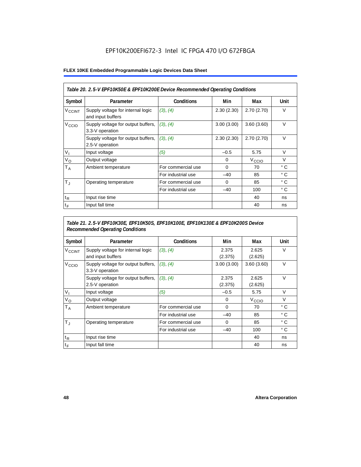## EPF10K200EFI672-3 Intel IC FPGA 470 I/O 672FBGA

#### **FLEX 10KE Embedded Programmable Logic Devices Data Sheet**

| Table 20. 2.5-V EPF10K50E & EPF10K200E Device Recommended Operating Conditions |                                                        |                    |            |                   |              |  |
|--------------------------------------------------------------------------------|--------------------------------------------------------|--------------------|------------|-------------------|--------------|--|
| Symbol                                                                         | Parameter                                              | <b>Conditions</b>  | Min        | Max               | Unit         |  |
| <b>V<sub>CCINT</sub></b>                                                       | Supply voltage for internal logic<br>and input buffers | (3), (4)           | 2.30(2.30) | 2.70(2.70)        | $\vee$       |  |
| V <sub>CCIO</sub>                                                              | Supply voltage for output buffers,<br>3.3-V operation  | (3), (4)           | 3.00(3.00) | 3.60(3.60)        | $\vee$       |  |
|                                                                                | Supply voltage for output buffers,<br>2.5-V operation  | (3), (4)           | 2.30(2.30) | 2.70(2.70)        | $\vee$       |  |
| $V_{1}$                                                                        | Input voltage                                          | (5)                | $-0.5$     | 5.75              | $\vee$       |  |
| $V_{\rm O}$                                                                    | Output voltage                                         |                    | 0          | V <sub>CCIO</sub> | $\vee$       |  |
| Т <sub>А</sub>                                                                 | Ambient temperature                                    | For commercial use | $\Omega$   | 70                | $^{\circ}$ C |  |
|                                                                                |                                                        | For industrial use | $-40$      | 85                | $^{\circ}$ C |  |
| $T_{\rm J}$                                                                    | Operating temperature                                  | For commercial use | $\Omega$   | 85                | $^{\circ}$ C |  |
|                                                                                |                                                        | For industrial use | $-40$      | 100               | $^{\circ}$ C |  |
| $t_{R}$                                                                        | Input rise time                                        |                    |            | 40                | ns           |  |
| $t_F$                                                                          | Input fall time                                        |                    |            | 40                | ns           |  |

### *Table 21. 2.5-V EPF10K30E, EPF10K50S, EPF10K100E, EPF10K130E & EPF10K200S Device Recommended Operating Conditions*

| Symbol                   | Parameter                                              | <b>Conditions</b>  | Min              | Max               | Unit         |
|--------------------------|--------------------------------------------------------|--------------------|------------------|-------------------|--------------|
| <b>V<sub>CCINT</sub></b> | Supply voltage for internal logic<br>and input buffers | (3), (4)           | 2.375<br>(2.375) | 2.625<br>(2.625)  | $\vee$       |
| V <sub>CCIO</sub>        | Supply voltage for output buffers,<br>3.3-V operation  | (3), (4)           | 3.00(3.00)       | 3.60(3.60)        | $\vee$       |
|                          | Supply voltage for output buffers,<br>2.5-V operation  | (3), (4)           | 2.375<br>(2.375) | 2.625<br>(2.625)  | $\vee$       |
| $V_{1}$                  | Input voltage                                          | (5)                | $-0.5$           | 5.75              | $\vee$       |
| $V_{\rm O}$              | Output voltage                                         |                    | 0                | V <sub>CCIO</sub> | $\vee$       |
| $T_A$                    | Ambient temperature                                    | For commercial use | 0                | 70                | ° C          |
|                          |                                                        | For industrial use | $-40$            | 85                | $^{\circ}$ C |
| $T_{\rm J}$              | Operating temperature                                  | For commercial use | $\mathbf 0$      | 85                | °C           |
|                          |                                                        | For industrial use | $-40$            | 100               | $^{\circ}$ C |
| $t_{R}$                  | Input rise time                                        |                    |                  | 40                | ns           |
| $t_F$                    | Input fall time                                        |                    |                  | 40                | ns           |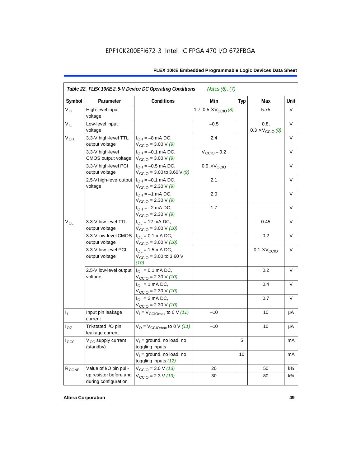| Symbol            | Parameter                                      | Conditions                                                              | Min                                   | <b>Typ</b> | Max                                      | Unit           |
|-------------------|------------------------------------------------|-------------------------------------------------------------------------|---------------------------------------|------------|------------------------------------------|----------------|
| V <sub>IH</sub>   | High-level input<br>voltage                    |                                                                         | 1.7, $0.5 \times V_{\text{CCIO}}$ (8) |            | 5.75                                     | V              |
| $V_{IL}$          | Low-level input<br>voltage                     |                                                                         | $-0.5$                                |            | 0.8,<br>$0.3 \times V_{\text{CCIO}}$ (8) | $\vee$         |
| V <sub>OH</sub>   | 3.3-V high-level TTL<br>output voltage         | $I_{OH} = -8$ mA DC,<br>$V_{\text{CCIO}} = 3.00 \text{ V} (9)$          | 2.4                                   |            |                                          | V              |
|                   | 3.3-V high-level<br>CMOS output voltage        | $I_{OH} = -0.1$ mA DC,<br>$V_{\text{CCIO}} = 3.00 V (9)$                | $V_{\text{CCIO}} - 0.2$               |            |                                          | V              |
|                   | 3.3-V high-level PCI<br>output voltage         | $I_{OH} = -0.5$ mA DC,<br>$V_{\text{CCIO}} = 3.00$ to 3.60 V (9)        | $0.9 \times V_{\text{CCIO}}$          |            |                                          | $\vee$         |
|                   | 2.5-V high-level output<br>voltage             | $I_{OH} = -0.1$ mA DC,<br>$V_{\text{CCIO}} = 2.30 \text{ V} (9)$        | 2.1                                   |            |                                          | V              |
|                   |                                                | $I_{OH} = -1$ mA DC,<br>$V_{\text{CCIO}} = 2.30 \text{ V} (9)$          | 2.0                                   |            |                                          | V              |
|                   |                                                | $I_{OH} = -2$ mA DC,<br>$V_{\text{CCIO}} = 2.30 V (9)$                  | 1.7                                   |            |                                          | V              |
| $V_{OL}$          | 3.3-V low-level TTL<br>output voltage          | $I_{\text{OI}} = 12 \text{ mA DC}$ ,<br>$V_{\text{CCIO}} = 3.00 V (10)$ |                                       |            | 0.45                                     | $\vee$         |
|                   | 3.3-V low-level CMOS<br>output voltage         | $I_{OL} = 0.1$ mA DC,<br>$V_{\text{CCIO}} = 3.00 V (10)$                |                                       |            | 0.2                                      | V              |
|                   | 3.3-V low-level PCI<br>output voltage          | $I_{OL}$ = 1.5 mA DC,<br>$V_{\text{CCIO}} = 3.00$ to 3.60 V<br>(10)     |                                       |            | $0.1 \times V_{\text{CCIO}}$             | V              |
|                   | 2.5-V low-level output<br>voltage              | $I_{\Omega} = 0.1$ mA DC,<br>$V_{\text{CCIO}} = 2.30 \text{ V} (10)$    |                                       |            | 0.2                                      | $\vee$         |
|                   |                                                | $I_{OL}$ = 1 mA DC,<br>$V_{\text{CCIO}} = 2.30 V (10)$                  |                                       |            | 0.4                                      | V              |
|                   |                                                | $I_{OL} = 2$ mA DC,<br>$V_{\text{CCIO}} = 2.30 V (10)$                  |                                       |            | 0.7                                      | $\vee$         |
| $I_1$             | Input pin leakage<br>current                   | $V_1 = V_{\text{CCIOMax}}$ to 0 V (11)                                  | $-10$                                 |            | 10                                       | μA             |
| $I_{OZ}$          | Tri-stated I/O pin<br>leakage current          | $V_{\rm O}$ = $V_{\rm CClOmax}$ to 0 V (11)                             | $-10$                                 |            | 10                                       | μA             |
| $I_{CC0}$         | V <sub>CC</sub> supply current<br>(standby)    | $V_1$ = ground, no load, no<br>toggling inputs                          |                                       | 5          |                                          | mA             |
|                   |                                                | $V_1$ = ground, no load, no<br>toggling inputs (12)                     |                                       | 10         |                                          | mA             |
| R <sub>CONF</sub> | Value of I/O pin pull-                         | $V_{\text{CCIO}} = 3.0 V (13)$                                          | 20                                    |            | 50                                       | $k\frac{3}{4}$ |
|                   | up resistor before and<br>during configuration | $V_{\text{CCIO}} = 2.3 V (13)$                                          | 30                                    |            | 80                                       | $k\frac{3}{4}$ |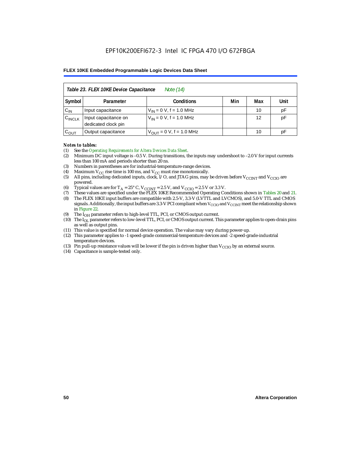| Table 23. FLEX 10KE Device Capacitance<br>Note (14) |                                                      |                               |  |    |    |  |  |  |
|-----------------------------------------------------|------------------------------------------------------|-------------------------------|--|----|----|--|--|--|
| Symbol                                              | Min<br>Unit<br><b>Conditions</b><br>Max<br>Parameter |                               |  |    |    |  |  |  |
| $C_{IN}$                                            | Input capacitance                                    | $V_{IN} = 0 V$ , f = 1.0 MHz  |  | 10 | pF |  |  |  |
| $C_{\text{INCLK}}$                                  | Input capacitance on<br>dedicated clock pin          | $V_{IN} = 0 V$ , f = 1.0 MHz  |  | 12 | pF |  |  |  |
| $C_{OUT}$                                           | Output capacitance                                   | $V_{OUT} = 0 V$ , f = 1.0 MHz |  | 10 | рF |  |  |  |

#### *Notes to tables:*

- (1) See the *Operating Requirements for Altera Devices Data Sheet*.
- (2) Minimum DC input voltage is –0.5 V. During transitions, the inputs may undershoot to –2.0 V for input currents less than 100 mA and periods shorter than 20 ns.
- (3) Numbers in parentheses are for industrial-temperature-range devices.
- (4) Maximum  $V_{CC}$  rise time is 100 ms, and  $V_{CC}$  must rise monotonically.<br>(5) All pins, including dedicated inputs, clock, I/O, and JTAG pins, may
- All pins, including dedicated inputs, clock, I/O, and JTAG pins, may be driven before  $V_{CCTNT}$  and  $V_{CCTO}$  are powered.
- (6) Typical values are for  $T_A = 25^\circ$  C,  $V_{CClNT} = 2.5$  V, and  $V_{CClO} = 2.5$  V or 3.3 V.<br>(7) These values are specified under the FLEX 10KE Recommended Operating Co
- (7) These values are specified under the FLEX 10KE Recommended Operating Conditions shown in Tables 20 and 21.<br>(8) The FLEX 10KE input buffers are compatible with 2.5-V. 3.3-V (LVTTL and LVCMOS), and 5.0-V TTL and CMOS (8) The FLEX 10KE input buffers are compatible with 2.5-V, 3.3-V (LVTTL and LVCMOS), and 5.0-V TTL and CMOS
- signals. Additionally, the input buffers are 3.3-V PCI compliant when  $V_{CCIO}$  and  $V_{CCIVT}$  meet the relationship shown in Figure 22.
- (9) The  $I<sub>OH</sub>$  parameter refers to high-level TTL, PCI, or CMOS output current.
- (10) The IOL parameter refers to low-level TTL, PCI, or CMOS output current. This parameter applies to open-drain pins as well as output pins.
- (11) This value is specified for normal device operation. The value may vary during power-up.
- (12) This parameter applies to -1 speed-grade commercial-temperature devices and -2 speed-grade-industrial temperature devices.
- (13) Pin pull-up resistance values will be lower if the pin is driven higher than  $V_{CCIO}$  by an external source.
- (14) Capacitance is sample-tested only.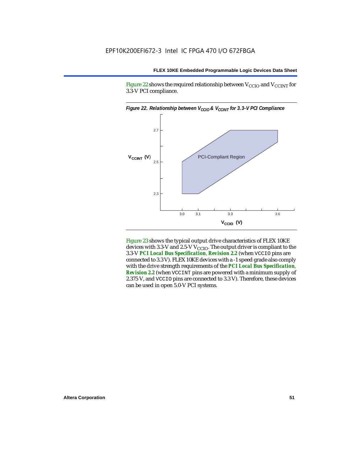Figure 22 shows the required relationship between  $V_{\text{CCIO}}$  and  $V_{\text{CCINT}}$  for 3.3-V PCI compliance.



Figure 23 shows the typical output drive characteristics of FLEX 10KE devices with 3.3-V and 2.5-V  $V_{\text{CCIO}}$ . The output driver is compliant to the 3.3-V *PCI Local Bus Specification*, *Revision 2.2* (when VCCIO pins are connected to 3.3 V). FLEX 10KE devices with a -1 speed grade also comply with the drive strength requirements of the *PCI Local Bus Specification*, *Revision 2.2* (when VCCINT pins are powered with a minimum supply of 2.375 V, and VCCIO pins are connected to 3.3 V). Therefore, these devices can be used in open 5.0-V PCI systems.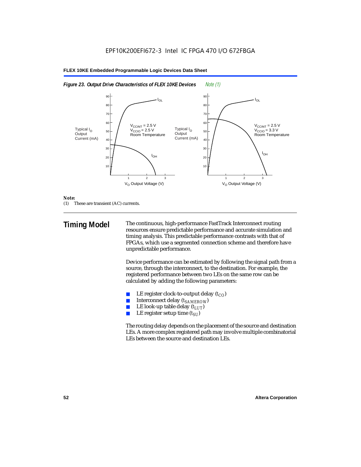



#### *Note:*

(1) These are transient (AC) currents.

**Timing Model** The continuous, high-performance FastTrack Interconnect routing resources ensure predictable performance and accurate simulation and timing analysis. This predictable performance contrasts with that of FPGAs, which use a segmented connection scheme and therefore have unpredictable performance.

> Device performance can be estimated by following the signal path from a source, through the interconnect, to the destination. For example, the registered performance between two LEs on the same row can be calculated by adding the following parameters:

- LE register clock-to-output delay  $(t_{CO})$
- **■** Interconnect delay  $(t_{SAMEROW})$ <br> **■** I.E look-up table delay  $(t_{LUT})$
- LE look-up table delay  $(t_{LUT})$
- LE register setup time  $(t_{SI})$

The routing delay depends on the placement of the source and destination LEs. A more complex registered path may involve multiple combinatorial LEs between the source and destination LEs.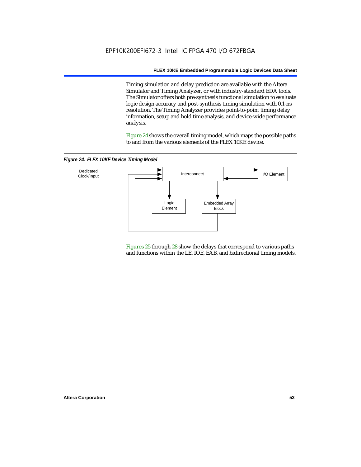Timing simulation and delay prediction are available with the Altera Simulator and Timing Analyzer, or with industry-standard EDA tools. The Simulator offers both pre-synthesis functional simulation to evaluate logic design accuracy and post-synthesis timing simulation with 0.1-ns resolution. The Timing Analyzer provides point-to-point timing delay information, setup and hold time analysis, and device-wide performance analysis.

Figure 24 shows the overall timing model, which maps the possible paths to and from the various elements of the FLEX 10KE device.

*Figure 24. FLEX 10KE Device Timing Model*



Figures 25 through 28 show the delays that correspond to various paths and functions within the LE, IOE, EAB, and bidirectional timing models.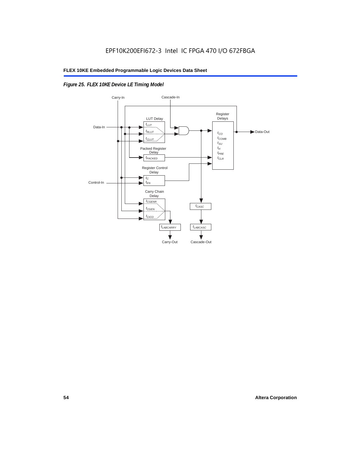### *Figure 25. FLEX 10KE Device LE Timing Model*

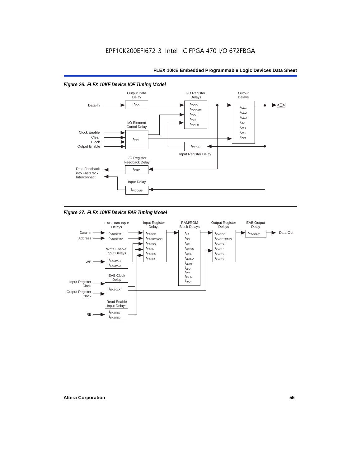

*Figure 27. FLEX 10KE Device EAB Timing Model*

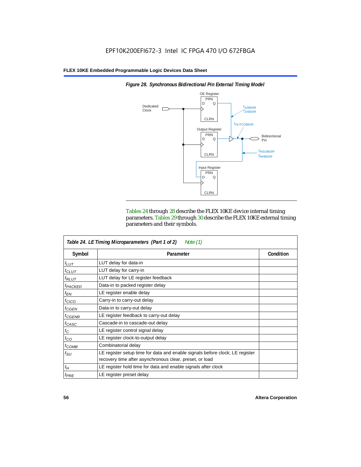

*Figure 28. Synchronous Bidirectional Pin External Timing Model*

Tables 24 through 28 describe the FLEX 10KE device internal timing parameters. Tables 29 through 30 describe the FLEX 10KE external timing parameters and their symbols.

| Table 24. LE Timing Microparameters (Part 1 of 2)<br>Note $(1)$ |                                                                                                                                         |           |  |  |  |  |
|-----------------------------------------------------------------|-----------------------------------------------------------------------------------------------------------------------------------------|-----------|--|--|--|--|
| Symbol                                                          | Parameter                                                                                                                               | Condition |  |  |  |  |
| $t_{LUT}$                                                       | LUT delay for data-in                                                                                                                   |           |  |  |  |  |
| $t_{CLUT}$                                                      | LUT delay for carry-in                                                                                                                  |           |  |  |  |  |
| $t_{RLUT}$                                                      | LUT delay for LE register feedback                                                                                                      |           |  |  |  |  |
| <sup>t</sup> PACKED                                             | Data-in to packed register delay                                                                                                        |           |  |  |  |  |
| $t_{EN}$                                                        | LE register enable delay                                                                                                                |           |  |  |  |  |
| $t_{CICO}$                                                      | Carry-in to carry-out delay                                                                                                             |           |  |  |  |  |
| $t_{GEN}$                                                       | Data-in to carry-out delay                                                                                                              |           |  |  |  |  |
| ${}^{t}$ CGENR                                                  | LE register feedback to carry-out delay                                                                                                 |           |  |  |  |  |
| t <sub>CASC</sub>                                               | Cascade-in to cascade-out delay                                                                                                         |           |  |  |  |  |
| $t_C$                                                           | LE register control signal delay                                                                                                        |           |  |  |  |  |
| $t_{CO}$                                                        | LE register clock-to-output delay                                                                                                       |           |  |  |  |  |
| $t_{COMB}$                                                      | Combinatorial delay                                                                                                                     |           |  |  |  |  |
| $t_{\rm SU}$                                                    | LE register setup time for data and enable signals before clock; LE register<br>recovery time after asynchronous clear, preset, or load |           |  |  |  |  |
| $t_H$                                                           | LE register hold time for data and enable signals after clock                                                                           |           |  |  |  |  |
| $t_{PRE}$                                                       | LE register preset delay                                                                                                                |           |  |  |  |  |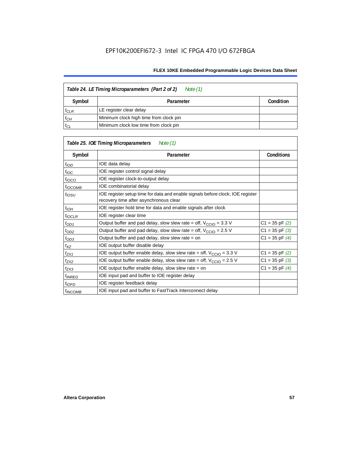| Table 24. LE Timing Microparameters (Part 2 of 2)<br>Note (1) |                                        |           |  |  |  |  |
|---------------------------------------------------------------|----------------------------------------|-----------|--|--|--|--|
| Symbol                                                        | Parameter                              | Condition |  |  |  |  |
| $t_{CLR}$                                                     | LE register clear delay                |           |  |  |  |  |
| $t_{CH}$                                                      | Minimum clock high time from clock pin |           |  |  |  |  |
| $t_{CL}$                                                      | Minimum clock low time from clock pin  |           |  |  |  |  |

|                     | Table 25. IOE Timing Microparameters<br>Note (1)                                                                         |                    |
|---------------------|--------------------------------------------------------------------------------------------------------------------------|--------------------|
| Symbol              | Parameter                                                                                                                | <b>Conditions</b>  |
| $t$ <sub>IOD</sub>  | IOE data delay                                                                                                           |                    |
| $t_{\text{IOC}}$    | IOE register control signal delay                                                                                        |                    |
| $t_{\text{IOCO}}$   | IOE register clock-to-output delay                                                                                       |                    |
| <sup>t</sup> іОСОМВ | IOE combinatorial delay                                                                                                  |                    |
| $t_{IOSU}$          | IOE register setup time for data and enable signals before clock; IOE register<br>recovery time after asynchronous clear |                    |
| $t_{IOH}$           | IOE register hold time for data and enable signals after clock                                                           |                    |
| $t_{IOCLR}$         | IOE register clear time                                                                                                  |                    |
| $t_{OD1}$           | Output buffer and pad delay, slow slew rate = off, $V_{\text{CCIO}} = 3.3 \text{ V}$                                     | $C1 = 35$ pF $(2)$ |
| $t_{OD2}$           | Output buffer and pad delay, slow slew rate = off, $V_{\text{CCIO}} = 2.5$ V                                             | $C1 = 35$ pF $(3)$ |
| $t_{OD3}$           | Output buffer and pad delay, slow slew rate = on                                                                         | $C1 = 35$ pF $(4)$ |
| $t_{XZ}$            | IOE output buffer disable delay                                                                                          |                    |
| $t_{ZX1}$           | IOE output buffer enable delay, slow slew rate = off, $V_{\text{CCIO}} = 3.3$ V                                          | $C1 = 35$ pF $(2)$ |
| t <sub>ZX2</sub>    | IOE output buffer enable delay, slow slew rate = off, $V_{\text{CCIO}} = 2.5 V$                                          | $C1 = 35$ pF $(3)$ |
| $t_{ZX3}$           | IOE output buffer enable delay, slow slew rate = on                                                                      | $C1 = 35$ pF $(4)$ |
| <sup>t</sup> INREG  | IOE input pad and buffer to IOE register delay                                                                           |                    |
| $t_{IOFD}$          | IOE register feedback delay                                                                                              |                    |
| <sup>t</sup> INCOMB | IOE input pad and buffer to FastTrack Interconnect delay                                                                 |                    |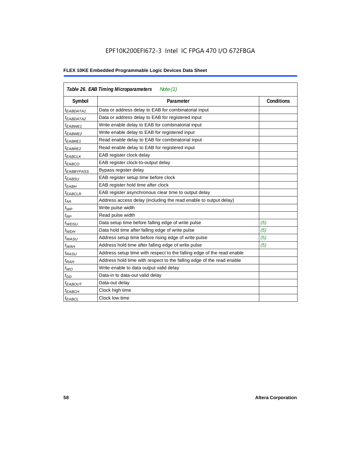## EPF10K200EFI672-3 Intel IC FPGA 470 I/O 672FBGA

| Table 26. EAB Timing Microparameters<br>Note $(1)$ |                                                                        |                   |  |  |  |
|----------------------------------------------------|------------------------------------------------------------------------|-------------------|--|--|--|
| Symbol                                             | Parameter                                                              | <b>Conditions</b> |  |  |  |
| $t_{EABDATA1}$                                     | Data or address delay to EAB for combinatorial input                   |                   |  |  |  |
| <sup>t</sup> EABDATA2                              | Data or address delay to EAB for registered input                      |                   |  |  |  |
| <sup>t</sup> EABWE1                                | Write enable delay to EAB for combinatorial input                      |                   |  |  |  |
| <sup>t</sup> EABWE2                                | Write enable delay to EAB for registered input                         |                   |  |  |  |
| t <sub>EABRE1</sub>                                | Read enable delay to EAB for combinatorial input                       |                   |  |  |  |
| t <sub>EABRE2</sub>                                | Read enable delay to EAB for registered input                          |                   |  |  |  |
| <sup>t</sup> EABCLK                                | EAB register clock delay                                               |                   |  |  |  |
| <sup>t</sup> ЕАВСО                                 | EAB register clock-to-output delay                                     |                   |  |  |  |
| <sup>t</sup> EABBYPASS                             | Bypass register delay                                                  |                   |  |  |  |
| <sup>t</sup> EABSU                                 | EAB register setup time before clock                                   |                   |  |  |  |
| <sup>t</sup> EABH                                  | EAB register hold time after clock                                     |                   |  |  |  |
| $t_{EABCLR}$                                       | EAB register asynchronous clear time to output delay                   |                   |  |  |  |
| $t_{AA}$                                           | Address access delay (including the read enable to output delay)       |                   |  |  |  |
| $t_{WP}$                                           | Write pulse width                                                      |                   |  |  |  |
| $t_{RP}$                                           | Read pulse width                                                       |                   |  |  |  |
| $t_{WDSU}$                                         | Data setup time before falling edge of write pulse                     | (5)               |  |  |  |
| $t_{WDH}$                                          | Data hold time after falling edge of write pulse                       | (5)               |  |  |  |
| $t_{WASU}$                                         | Address setup time before rising edge of write pulse                   | (5)               |  |  |  |
| $t_{WAH}$                                          | Address hold time after falling edge of write pulse                    | (5)               |  |  |  |
| t <sub>RASU</sub>                                  | Address setup time with respect to the falling edge of the read enable |                   |  |  |  |
| $t_{RAH}$                                          | Address hold time with respect to the falling edge of the read enable  |                   |  |  |  |
| $t_{WO}$                                           | Write enable to data output valid delay                                |                   |  |  |  |
| $t_{DD}$                                           | Data-in to data-out valid delay                                        |                   |  |  |  |
| <sup>t</sup> EABOUT                                | Data-out delay                                                         |                   |  |  |  |
| <sup>t</sup> EABCH                                 | Clock high time                                                        |                   |  |  |  |
| t <sub>EABCL</sub>                                 | Clock low time                                                         |                   |  |  |  |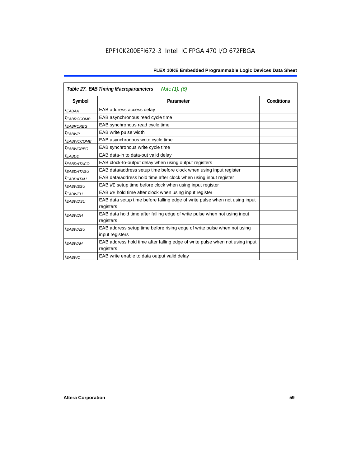| Table 27. EAB Timing Macroparameters<br>Note (1), (6) |                                                                                           |  |  |  |  |
|-------------------------------------------------------|-------------------------------------------------------------------------------------------|--|--|--|--|
| Symbol                                                | <b>Conditions</b><br>Parameter                                                            |  |  |  |  |
| <sup>t</sup> EABAA                                    | EAB address access delay                                                                  |  |  |  |  |
| <sup>t</sup> EABRCCOMB                                | EAB asynchronous read cycle time                                                          |  |  |  |  |
| <sup>t</sup> EABRCREG                                 | EAB synchronous read cycle time                                                           |  |  |  |  |
| <sup>t</sup> EABWP                                    | EAB write pulse width                                                                     |  |  |  |  |
| <sup>t</sup> ЕАВWССОМВ                                | EAB asynchronous write cycle time                                                         |  |  |  |  |
| <sup>t</sup> EABWCREG                                 | EAB synchronous write cycle time                                                          |  |  |  |  |
| t <sub>EABDD</sub>                                    | EAB data-in to data-out valid delay                                                       |  |  |  |  |
| <sup>t</sup> EABDATACO                                | EAB clock-to-output delay when using output registers                                     |  |  |  |  |
| <sup>t</sup> EABDATASU                                | EAB data/address setup time before clock when using input register                        |  |  |  |  |
| <sup>t</sup> EABDATAH                                 | EAB data/address hold time after clock when using input register                          |  |  |  |  |
| <sup>t</sup> EABWESU                                  | EAB WE setup time before clock when using input register                                  |  |  |  |  |
| t <sub>FARWFH</sub>                                   | EAB WE hold time after clock when using input register                                    |  |  |  |  |
| t <sub>EABWDSU</sub>                                  | EAB data setup time before falling edge of write pulse when not using input               |  |  |  |  |
|                                                       | registers                                                                                 |  |  |  |  |
| <sup>t</sup> EABWDH                                   | EAB data hold time after falling edge of write pulse when not using input                 |  |  |  |  |
|                                                       | registers                                                                                 |  |  |  |  |
| <sup>t</sup> EABWASU                                  | EAB address setup time before rising edge of write pulse when not using                   |  |  |  |  |
|                                                       | input registers                                                                           |  |  |  |  |
| <sup>t</sup> EABWAH                                   | EAB address hold time after falling edge of write pulse when not using input<br>registers |  |  |  |  |
| <sup>t</sup> EABWO                                    | EAB write enable to data output valid delay                                               |  |  |  |  |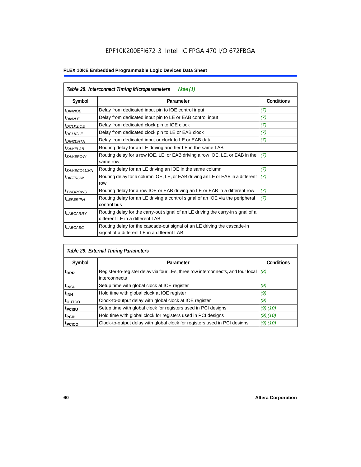## EPF10K200EFI672-3 Intel IC FPGA 470 I/O 672FBGA

| Table 28. Interconnect Timing Microparameters<br>Note $(1)$ |                                                                                                                         |                   |  |  |  |  |
|-------------------------------------------------------------|-------------------------------------------------------------------------------------------------------------------------|-------------------|--|--|--|--|
| Symbol                                                      | Parameter                                                                                                               | <b>Conditions</b> |  |  |  |  |
| <i>t<sub>DIN2IOE</sub></i>                                  | Delay from dedicated input pin to IOE control input                                                                     | (7)               |  |  |  |  |
| $t_{DIN2LE}$                                                | Delay from dedicated input pin to LE or EAB control input                                                               | (7)               |  |  |  |  |
| <sup>t</sup> DCLK2IOE                                       | Delay from dedicated clock pin to IOE clock                                                                             | (7)               |  |  |  |  |
| $t_{DCLK2LE}$                                               | Delay from dedicated clock pin to LE or EAB clock                                                                       | (7)               |  |  |  |  |
| <sup>t</sup> DIN2DATA                                       | Delay from dedicated input or clock to LE or EAB data                                                                   | (7)               |  |  |  |  |
| <sup>t</sup> SAMELAB                                        | Routing delay for an LE driving another LE in the same LAB                                                              |                   |  |  |  |  |
| <i>t</i> SAMEROW                                            | Routing delay for a row IOE, LE, or EAB driving a row IOE, LE, or EAB in the<br>same row                                | (7)               |  |  |  |  |
| <sup>I</sup> SAMECOLUMN                                     | Routing delay for an LE driving an IOE in the same column                                                               | (7)               |  |  |  |  |
| <i>t<sub>DIFFROW</sub></i>                                  | Routing delay for a column IOE, LE, or EAB driving an LE or EAB in a different<br>row                                   | (7)               |  |  |  |  |
| <i>t</i> TWOROWS                                            | Routing delay for a row IOE or EAB driving an LE or EAB in a different row                                              | (7)               |  |  |  |  |
| <sup>t</sup> LEPERIPH                                       | Routing delay for an LE driving a control signal of an IOE via the peripheral<br>control bus                            | (7)               |  |  |  |  |
| $t_{LABCARRY}$                                              | Routing delay for the carry-out signal of an LE driving the carry-in signal of a<br>different LE in a different LAB     |                   |  |  |  |  |
| $t_{LABCASC}$                                               | Routing delay for the cascade-out signal of an LE driving the cascade-in<br>signal of a different LE in a different LAB |                   |  |  |  |  |

| Table 29. External Timing Parameters |                                                                                                   |                   |  |  |  |  |  |
|--------------------------------------|---------------------------------------------------------------------------------------------------|-------------------|--|--|--|--|--|
| Symbol                               | Parameter                                                                                         | <b>Conditions</b> |  |  |  |  |  |
| <sup>t</sup> DRR                     | Register-to-register delay via four LEs, three row interconnects, and four local<br>interconnects | (8)               |  |  |  |  |  |
| t <sub>insu</sub>                    | Setup time with global clock at IOE register                                                      | (9)               |  |  |  |  |  |
| $t_{\rm INH}$                        | Hold time with global clock at IOE register                                                       | (9)               |  |  |  |  |  |
| toutco                               | Clock-to-output delay with global clock at IOE register                                           | (9)               |  |  |  |  |  |
| t <sub>PCISU</sub>                   | Setup time with global clock for registers used in PCI designs                                    | $(9)$ , $(10)$    |  |  |  |  |  |
| <sup>t</sup> PCIH                    | Hold time with global clock for registers used in PCI designs                                     | $(9)$ , $(10)$    |  |  |  |  |  |
| <sup>T</sup> PCICO                   | Clock-to-output delay with global clock for registers used in PCI designs                         | $(9)$ , $(10)$    |  |  |  |  |  |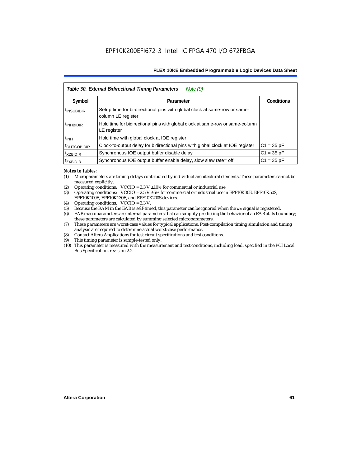|                           | Table 30. External Bidirectional Timing Parameters<br>Note $(9)$                                |                   |
|---------------------------|-------------------------------------------------------------------------------------------------|-------------------|
| Symbol                    | Parameter                                                                                       | <b>Conditions</b> |
| <sup>t</sup> INSUBIDIR    | Setup time for bi-directional pins with global clock at same-row or same-<br>column LE register |                   |
| <sup>t</sup> INHBIDIR     | Hold time for bidirectional pins with global clock at same-row or same-column<br>LE register    |                   |
| <sup>t</sup> INH          | Hold time with global clock at IOE register                                                     |                   |
| <b><i>LOUTCOBIDIR</i></b> | Clock-to-output delay for bidirectional pins with global clock at IOE register                  | $C1 = 35 pF$      |
| <sup>t</sup> xzbidir      | Synchronous IOE output buffer disable delay                                                     | $C1 = 35 pF$      |
| <sup>T</sup> ZXBIDIR      | Synchronous IOE output buffer enable delay, slow slew rate= off                                 | $C1 = 35 pF$      |

#### *Notes to tables:*

- (1) Microparameters are timing delays contributed by individual architectural elements. These parameters cannot be measured explicitly.
- (2) Operating conditions:  $VCCIO = 3.3 V ±10%$  for commercial or industrial use.<br>(3) Operating conditions:  $VCCIO = 2.5 V ±5%$  for commercial or industrial use in
- Operating conditions: VCCIO =  $2.5$  V  $\pm 5$ % for commercial or industrial use in EPF10K30E, EPF10K50S, EPF10K100E, EPF10K130E, and EPF10K200S devices.
- (4) Operating conditions: VCCIO = 3.3 V.
- (5) Because the RAM in the EAB is self-timed, this parameter can be ignored when the WE signal is registered.<br>(6) EAB macroparameters are internal parameters that can simplify predicting the behavior of an EAB at its bor
- EAB macroparameters are internal parameters that can simplify predicting the behavior of an EAB at its boundary; these parameters are calculated by summing selected microparameters.
- (7) These parameters are worst-case values for typical applications. Post-compilation timing simulation and timing analysis are required to determine actual worst-case performance.
- (8) Contact Altera Applications for test circuit specifications and test conditions.
- (9) This timing parameter is sample-tested only.
- (10) This parameter is measured with the measurement and test conditions, including load, specified in the PCI Local Bus Specification, revision 2.2.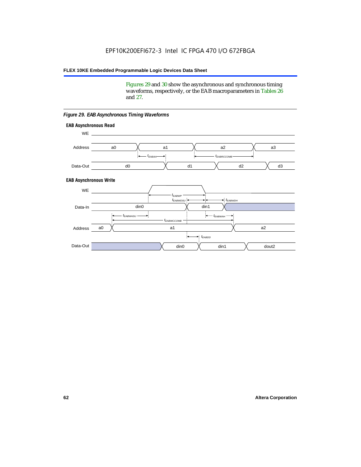Figures 29 and 30 show the asynchronous and synchronous timing waveforms, respectively, or the EAB macroparameters in Tables 26 and 27.

**EAB Asynchronous Write EAB Asynchronous Read** WE. a0 d0 d3  $t_{EABRCCOMB}$ a1 a2 a3 d2  $t_{FABA}$ d1 Address Data-Out WE a0 din1  $\chi$  dout2  $t_{EABDD}$ a1 a2 din1 din0  $t_{EABWCCOMB}$  $t_{EABWASU}$   $\longrightarrow$  $t_{EABWDSU}$  +  $\longrightarrow$   $t_{EABWDH}$  $t_{EABWP}$ Data-In din0 Address Data-Out

#### *Figure 29. EAB Asynchronous Timing Waveforms*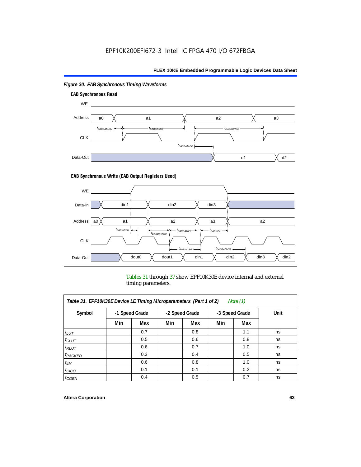

### *Figure 30. EAB Synchronous Timing Waveforms*

### **EAB Synchronous Write (EAB Output Registers Used)**



Tables 31 through 37 show EPF10K30E device internal and external timing parameters.

| Table 31. EPF10K30E Device LE Timing Microparameters (Part 1 of 2)<br>Note $(1)$ |     |                |     |                                  |     |     |      |  |  |
|----------------------------------------------------------------------------------|-----|----------------|-----|----------------------------------|-----|-----|------|--|--|
| Symbol                                                                           |     | -1 Speed Grade |     | -2 Speed Grade<br>-3 Speed Grade |     |     | Unit |  |  |
|                                                                                  | Min | Max            | Min | Max                              | Min | Max |      |  |  |
| $t_{LUT}$                                                                        |     | 0.7            |     | 0.8                              |     | 1.1 | ns   |  |  |
| $t_{CLUT}$                                                                       |     | 0.5            |     | 0.6                              |     | 0.8 | ns   |  |  |
| $t_{RLUT}$                                                                       |     | 0.6            |     | 0.7                              |     | 1.0 | ns   |  |  |
| $t_{PACKED}$                                                                     |     | 0.3            |     | 0.4                              |     | 0.5 | ns   |  |  |
| $t_{EN}$                                                                         |     | 0.6            |     | 0.8                              |     | 1.0 | ns   |  |  |
| $t_{CICO}$                                                                       |     | 0.1            |     | 0.1                              |     | 0.2 | ns   |  |  |
| $t_{GEN}$                                                                        |     | 0.4            |     | 0.5                              |     | 0.7 | ns   |  |  |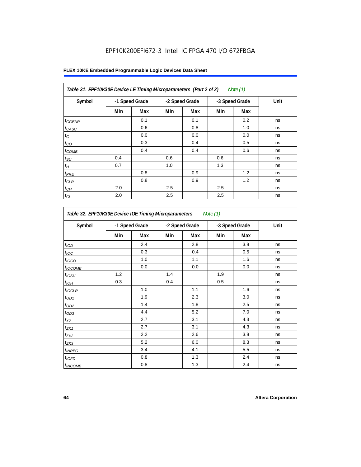## EPF10K200EFI672-3 Intel IC FPGA 470 I/O 672FBGA

|  |  |  | FLEX 10KE Embedded Programmable Logic Devices Data Sheet |  |  |  |
|--|--|--|----------------------------------------------------------|--|--|--|
|--|--|--|----------------------------------------------------------|--|--|--|

| Table 31. EPF10K30E Device LE Timing Microparameters (Part 2 of 2)<br>Note $(1)$ |     |                |     |                |     |                |      |  |  |  |
|----------------------------------------------------------------------------------|-----|----------------|-----|----------------|-----|----------------|------|--|--|--|
| Symbol                                                                           |     | -1 Speed Grade |     | -2 Speed Grade |     | -3 Speed Grade | Unit |  |  |  |
|                                                                                  | Min | Max            | Min | Max            | Min | Max            |      |  |  |  |
| $t_{GENR}$                                                                       |     | 0.1            |     | 0.1            |     | 0.2            | ns   |  |  |  |
| $t_{CASC}$                                                                       |     | 0.6            |     | 0.8            |     | 1.0            | ns   |  |  |  |
| $t_C$                                                                            |     | 0.0            |     | 0.0            |     | 0.0            | ns   |  |  |  |
| $t_{CO}$                                                                         |     | 0.3            |     | 0.4            |     | 0.5            | ns   |  |  |  |
| $t_{COMB}$                                                                       |     | 0.4            |     | 0.4            |     | 0.6            | ns   |  |  |  |
| $t_{\rm SU}$                                                                     | 0.4 |                | 0.6 |                | 0.6 |                | ns   |  |  |  |
| $t_H$                                                                            | 0.7 |                | 1.0 |                | 1.3 |                | ns   |  |  |  |
| $t_{PRE}$                                                                        |     | 0.8            |     | 0.9            |     | 1.2            | ns   |  |  |  |
| $t_{CLR}$                                                                        |     | 0.8            |     | 0.9            |     | 1.2            | ns   |  |  |  |
| $t_{CH}$                                                                         | 2.0 |                | 2.5 |                | 2.5 |                | ns   |  |  |  |
| $t_{CL}$                                                                         | 2.0 |                | 2.5 |                | 2.5 |                | ns   |  |  |  |

| Table 32. EPF10K30E Device IOE Timing Microparameters<br>Note (1) |                |     |                |     |                |     |      |  |  |
|-------------------------------------------------------------------|----------------|-----|----------------|-----|----------------|-----|------|--|--|
| Symbol                                                            | -1 Speed Grade |     | -2 Speed Grade |     | -3 Speed Grade |     | Unit |  |  |
|                                                                   | Min            | Max | Min            | Max | Min            | Max |      |  |  |
| t <sub>IOD</sub>                                                  |                | 2.4 |                | 2.8 |                | 3.8 | ns   |  |  |
| $t_{\text{loc}}$                                                  |                | 0.3 |                | 0.4 |                | 0.5 | ns   |  |  |
| $t_{IOCO}$                                                        |                | 1.0 |                | 1.1 |                | 1.6 | ns   |  |  |
| $t_{\text{IOCOMB}}$                                               |                | 0.0 |                | 0.0 |                | 0.0 | ns   |  |  |
| $t_{IOSU}$                                                        | 1.2            |     | 1.4            |     | 1.9            |     | ns   |  |  |
| $t_{I\underline{OH}}$                                             | 0.3            |     | 0.4            |     | 0.5            |     | ns   |  |  |
| $t_{IOCLR}$                                                       |                | 1.0 |                | 1.1 |                | 1.6 | ns   |  |  |
| $t_{OD1}$                                                         |                | 1.9 |                | 2.3 |                | 3.0 | ns   |  |  |
| $t_{OD2}$                                                         |                | 1.4 |                | 1.8 |                | 2.5 | ns   |  |  |
| $t_{OD3}$                                                         |                | 4.4 |                | 5.2 |                | 7.0 | ns   |  |  |
| $t_{XZ}$                                                          |                | 2.7 |                | 3.1 |                | 4.3 | ns   |  |  |
| $t_{ZX1}$                                                         |                | 2.7 |                | 3.1 |                | 4.3 | ns   |  |  |
| $t_{ZX2}$                                                         |                | 2.2 |                | 2.6 |                | 3.8 | ns   |  |  |
| $t_{ZX3}$                                                         |                | 5.2 |                | 6.0 |                | 8.3 | ns   |  |  |
| $t_{INREG}$                                                       |                | 3.4 |                | 4.1 |                | 5.5 | ns   |  |  |
| $t_{IOED}$                                                        |                | 0.8 |                | 1.3 |                | 2.4 | ns   |  |  |
| $t_{INCOMB}$                                                      |                | 0.8 |                | 1.3 |                | 2.4 | ns   |  |  |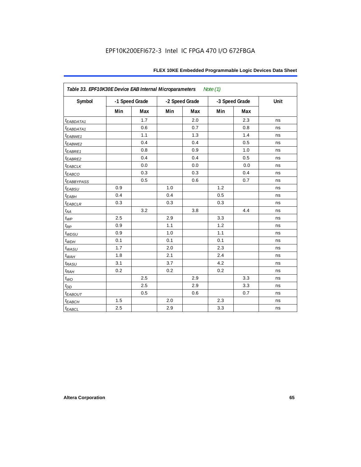| FLEX 10KE Embedded Programmable Logic Devices Data Sheet |  |  |
|----------------------------------------------------------|--|--|
|----------------------------------------------------------|--|--|

| Table 33. EPF10K30E Device EAB Internal Microparameters<br>Note $(1)$ |     |                |     |                |     |                |      |  |  |
|-----------------------------------------------------------------------|-----|----------------|-----|----------------|-----|----------------|------|--|--|
| Symbol                                                                |     | -1 Speed Grade |     | -2 Speed Grade |     | -3 Speed Grade | Unit |  |  |
|                                                                       | Min | <b>Max</b>     | Min | Max            | Min | <b>Max</b>     |      |  |  |
| $t_{EABDATA1}$                                                        |     | 1.7            |     | 2.0            |     | 2.3            | ns   |  |  |
| <i>EABDATA1</i>                                                       |     | 0.6            |     | 0.7            |     | 0.8            | ns   |  |  |
| t <sub>EABWE1</sub>                                                   |     | 1.1            |     | 1.3            |     | 1.4            | ns   |  |  |
| t <sub>EABWE2</sub>                                                   |     | 0.4            |     | 0.4            |     | 0.5            | ns   |  |  |
| t <sub>EABRE1</sub>                                                   |     | 0.8            |     | 0.9            |     | 1.0            | ns   |  |  |
| t <sub>EABRE2</sub>                                                   |     | 0.4            |     | 0.4            |     | 0.5            | ns   |  |  |
| <b><i>EABCLK</i></b>                                                  |     | 0.0            |     | $0.0\,$        |     | 0.0            | ns   |  |  |
| t <sub>EABCO</sub>                                                    |     | 0.3            |     | 0.3            |     | 0.4            | ns   |  |  |
| <b><i>EABBYPASS</i></b>                                               |     | 0.5            |     | 0.6            |     | 0.7            | ns   |  |  |
| $t_{EABSU}$                                                           | 0.9 |                | 1.0 |                | 1.2 |                | ns   |  |  |
| t <sub>EABH</sub>                                                     | 0.4 |                | 0.4 |                | 0.5 |                | ns   |  |  |
| <sup>t</sup> EABCLR                                                   | 0.3 |                | 0.3 |                | 0.3 |                | ns   |  |  |
| $t_{AA}$                                                              |     | 3.2            |     | 3.8            |     | 4.4            | ns   |  |  |
| $t_{WP}$                                                              | 2.5 |                | 2.9 |                | 3.3 |                | ns   |  |  |
| $t_{\mathsf{RP}}$                                                     | 0.9 |                | 1.1 |                | 1.2 |                | ns   |  |  |
| $t_{WDSU}$                                                            | 0.9 |                | 1.0 |                | 1.1 |                | ns   |  |  |
| $t_{WDH}$                                                             | 0.1 |                | 0.1 |                | 0.1 |                | ns   |  |  |
| $t_{WASU}$                                                            | 1.7 |                | 2.0 |                | 2.3 |                | ns   |  |  |
| $t_{W\!AH}$                                                           | 1.8 |                | 2.1 |                | 2.4 |                | ns   |  |  |
| $t_{RASU}$                                                            | 3.1 |                | 3.7 |                | 4.2 |                | ns   |  |  |
| $t_{RAH}$                                                             | 0.2 |                | 0.2 |                | 0.2 |                | ns   |  |  |
| $t_{WO}$                                                              |     | 2.5            |     | 2.9            |     | 3.3            | ns   |  |  |
| $t_{DD}$                                                              |     | 2.5            |     | 2.9            |     | 3.3            | ns   |  |  |
| $t_{EABOUT}$                                                          |     | 0.5            |     | 0.6            |     | 0.7            | ns   |  |  |
| $t_{EABCH}$                                                           | 1.5 |                | 2.0 |                | 2.3 |                | ns   |  |  |
| $t_{EABCL}$                                                           | 2.5 |                | 2.9 |                | 3.3 |                | ns   |  |  |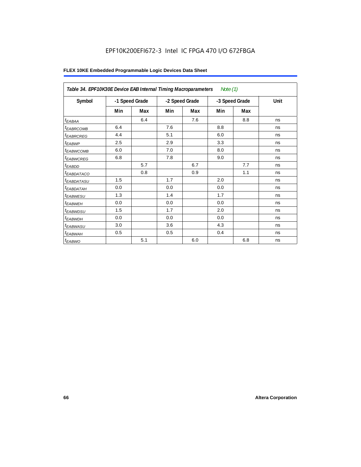## EPF10K200EFI672-3 Intel IC FPGA 470 I/O 672FBGA

| Table 34. EPF10K30E Device EAB Internal Timing Macroparameters<br>Note $(1)$ |                |     |                |     |                |     |      |  |  |
|------------------------------------------------------------------------------|----------------|-----|----------------|-----|----------------|-----|------|--|--|
| Symbol                                                                       | -1 Speed Grade |     | -2 Speed Grade |     | -3 Speed Grade |     | Unit |  |  |
|                                                                              | Min            | Max | Min            | Max | Min            | Max |      |  |  |
| $t_{EABA}$                                                                   |                | 6.4 |                | 7.6 |                | 8.8 | ns   |  |  |
| <sup>t</sup> EABRCOMB                                                        | 6.4            |     | 7.6            |     | 8.8            |     | ns   |  |  |
| <sup>t</sup> EABRCREG                                                        | 4.4            |     | 5.1            |     | 6.0            |     | ns   |  |  |
| t <sub>EABWP</sub>                                                           | 2.5            |     | 2.9            |     | 3.3            |     | ns   |  |  |
| <sup>t</sup> EABWCOMB                                                        | 6.0            |     | 7.0            |     | 8.0            |     | ns   |  |  |
| <sup>t</sup> EABWCREG                                                        | 6.8            |     | 7.8            |     | 9.0            |     | ns   |  |  |
| $t_{EABDD}$                                                                  |                | 5.7 |                | 6.7 |                | 7.7 | ns   |  |  |
| <sup>t</sup> EABDATACO                                                       |                | 0.8 |                | 0.9 |                | 1.1 | ns   |  |  |
| <sup>t</sup> EABDATASU                                                       | 1.5            |     | 1.7            |     | 2.0            |     | ns   |  |  |
| <sup>t</sup> EABDATAH                                                        | 0.0            |     | 0.0            |     | 0.0            |     | ns   |  |  |
| t <sub>EABWESU</sub>                                                         | 1.3            |     | 1.4            |     | 1.7            |     | ns   |  |  |
| <sup>t</sup> EABWEH                                                          | 0.0            |     | 0.0            |     | 0.0            |     | ns   |  |  |
| <sup>t</sup> EABWDSU                                                         | 1.5            |     | 1.7            |     | 2.0            |     | ns   |  |  |
| t <sub>EABWDH</sub>                                                          | 0.0            |     | 0.0            |     | 0.0            |     | ns   |  |  |
| t <sub>EABWASU</sub>                                                         | 3.0            |     | 3.6            |     | 4.3            |     | ns   |  |  |
| <sup>t</sup> EABWAH                                                          | 0.5            |     | 0.5            |     | 0.4            |     | ns   |  |  |
| $t_{EABWO}$                                                                  |                | 5.1 |                | 6.0 |                | 6.8 | ns   |  |  |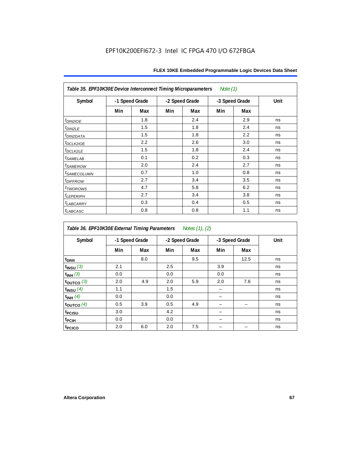| Table 35. EPF10K30E Device Interconnect Timing Microparameters<br>Note $(1)$ |     |                |     |                |     |                |      |  |  |  |
|------------------------------------------------------------------------------|-----|----------------|-----|----------------|-----|----------------|------|--|--|--|
| Symbol                                                                       |     | -1 Speed Grade |     | -2 Speed Grade |     | -3 Speed Grade | Unit |  |  |  |
|                                                                              | Min | Max            | Min | Max            | Min | Max            |      |  |  |  |
| $tD$ IN2IOE                                                                  |     | 1.8            |     | 2.4            |     | 2.9            | ns   |  |  |  |
| t <sub>DIN2LE</sub>                                                          |     | 1.5            |     | 1.8            |     | 2.4            | ns   |  |  |  |
| <sup>t</sup> DIN2DATA                                                        |     | 1.5            |     | 1.8            |     | 2.2            | ns   |  |  |  |
| t <sub>DCLK2IOE</sub>                                                        |     | 2.2            |     | 2.6            |     | 3.0            | ns   |  |  |  |
| $t_{DCLK2LE}$                                                                |     | 1.5            |     | 1.8            |     | 2.4            | ns   |  |  |  |
| <sup>t</sup> SAMELAB                                                         |     | 0.1            |     | 0.2            |     | 0.3            | ns   |  |  |  |
| <i>t<sub>SAMEROW</sub></i>                                                   |     | 2.0            |     | 2.4            |     | 2.7            | ns   |  |  |  |
| <i>t<sub>SAMECOLUMN</sub></i>                                                |     | 0.7            |     | 1.0            |     | 0.8            | ns   |  |  |  |
| t <sub>DIFFROW</sub>                                                         |     | 2.7            |     | 3.4            |     | 3.5            | ns   |  |  |  |
| <i>t</i> <sub>TWOROWS</sub>                                                  |     | 4.7            |     | 5.8            |     | 6.2            | ns   |  |  |  |
| <b><i>LEPERIPH</i></b>                                                       |     | 2.7            |     | 3.4            |     | 3.8            | ns   |  |  |  |
| t <sub>LABCARRY</sub>                                                        |     | 0.3            |     | 0.4            |     | 0.5            | ns   |  |  |  |
| t <sub>LABCASC</sub>                                                         |     | 0.8            |     | 0.8            |     | 1.1            | ns   |  |  |  |

| Table 36. EPF10K30E External Timing Parameters Notes (1), (2) |                |     |     |                |     |                |      |  |  |  |
|---------------------------------------------------------------|----------------|-----|-----|----------------|-----|----------------|------|--|--|--|
| Symbol                                                        | -1 Speed Grade |     |     | -2 Speed Grade |     | -3 Speed Grade | Unit |  |  |  |
|                                                               | Min            | Max | Min | Max            | Min | Max            |      |  |  |  |
| $t_{DRR}$                                                     |                | 8.0 |     | 9.5            |     | 12.5           | ns   |  |  |  |
| $t_{INSU}$ (3)                                                | 2.1            |     | 2.5 |                | 3.9 |                | ns   |  |  |  |
| $t_{INH}$ (3)                                                 | 0.0            |     | 0.0 |                | 0.0 |                | ns   |  |  |  |
| $t_{OUTCO}$ (3)                                               | 2.0            | 4.9 | 2.0 | 5.9            | 2.0 | 7.6            | ns   |  |  |  |
| $t_{INSU}$ (4)                                                | 1.1            |     | 1.5 |                |     |                | ns   |  |  |  |
| $t_{INH}$ (4)                                                 | 0.0            |     | 0.0 |                |     |                | ns   |  |  |  |
| $t_{\text{OUTCO}}(4)$                                         | 0.5            | 3.9 | 0.5 | 4.9            |     |                | ns   |  |  |  |
| t <sub>PCISU</sub>                                            | 3.0            |     | 4.2 |                |     |                | ns   |  |  |  |
| t <sub>PCIH</sub>                                             | 0.0            |     | 0.0 |                |     |                | ns   |  |  |  |
| t <sub>PCICO</sub>                                            | 2.0            | 6.0 | 2.0 | 7.5            |     |                | ns   |  |  |  |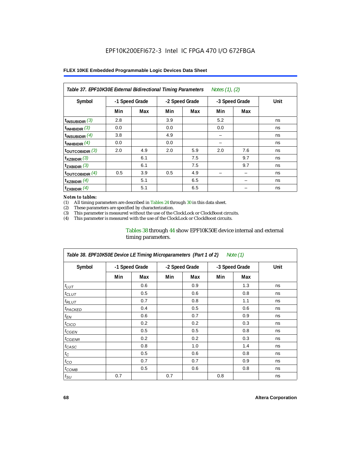| Notes (1), (2)<br>Table 37. EPF10K30E External Bidirectional Timing Parameters |                |     |     |                |     |                |      |  |  |  |
|--------------------------------------------------------------------------------|----------------|-----|-----|----------------|-----|----------------|------|--|--|--|
| Symbol                                                                         | -1 Speed Grade |     |     | -2 Speed Grade |     | -3 Speed Grade | Unit |  |  |  |
|                                                                                | Min            | Max | Min | Max            | Min | Max            |      |  |  |  |
| $t_{INSUBIDIR}$ (3)                                                            | 2.8            |     | 3.9 |                | 5.2 |                | ns   |  |  |  |
| $t_{INHBIDIR}$ (3)                                                             | 0.0            |     | 0.0 |                | 0.0 |                | ns   |  |  |  |
| $t_{INSUBIDIR}(4)$                                                             | 3.8            |     | 4.9 |                |     |                | ns   |  |  |  |
| $t_{INHBIDIR}$ (4)                                                             | 0.0            |     | 0.0 |                |     |                | ns   |  |  |  |
| toutcobidir $(3)$                                                              | 2.0            | 4.9 | 2.0 | 5.9            | 2.0 | 7.6            | ns   |  |  |  |
| $t_{XZBIDIR}$ (3)                                                              |                | 6.1 |     | 7.5            |     | 9.7            | ns   |  |  |  |
| $t_{ZXBIDIR}$ (3)                                                              |                | 6.1 |     | 7.5            |     | 9.7            | ns   |  |  |  |
| $t_{\text{OUTCOBIDIR}}$ (4)                                                    | 0.5            | 3.9 | 0.5 | 4.9            |     |                | ns   |  |  |  |
| $t_{XZBIDIR}$ (4)                                                              |                | 5.1 |     | 6.5            |     |                | ns   |  |  |  |
| $t_{ZXBIDIR}$ (4)                                                              |                | 5.1 |     | 6.5            |     |                | ns   |  |  |  |

#### *Notes to tables:*

(1) All timing parameters are described in Tables 24 through 30 in this data sheet.<br>(2) These parameters are specified by characterization.

(2) These parameters are specified by characterization.<br>(3) This parameter is measured without the use of the C

This parameter is measured without the use of the ClockLock or ClockBoost circuits.

(4) This parameter is measured with the use of the ClockLock or ClockBoost circuits.

#### Tables 38 through 44 show EPF10K50E device internal and external timing parameters.

| Table 38. EPF10K50E Device LE Timing Microparameters (Part 1 of 2)<br>Note (1) |     |                |     |                |     |                |      |  |  |
|--------------------------------------------------------------------------------|-----|----------------|-----|----------------|-----|----------------|------|--|--|
| Symbol                                                                         |     | -1 Speed Grade |     | -2 Speed Grade |     | -3 Speed Grade | Unit |  |  |
|                                                                                | Min | Max            | Min | Max            | Min | Max            |      |  |  |
| $t_{LUT}$                                                                      |     | 0.6            |     | 0.9            |     | 1.3            | ns   |  |  |
| $t_{CLUT}$                                                                     |     | 0.5            |     | 0.6            |     | 0.8            | ns   |  |  |
| $t_{RLUT}$                                                                     |     | 0.7            |     | 0.8            |     | 1.1            | ns   |  |  |
| <b><i>t<sub>PACKED</sub></i></b>                                               |     | 0.4            |     | 0.5            |     | 0.6            | ns   |  |  |
| $t_{EN}$                                                                       |     | 0.6            |     | 0.7            |     | 0.9            | ns   |  |  |
| $t_{CICO}$                                                                     |     | 0.2            |     | 0.2            |     | 0.3            | ns   |  |  |
| $t_{GEN}$                                                                      |     | 0.5            |     | 0.5            |     | 0.8            | ns   |  |  |
| ${}^{t}$ CGENR                                                                 |     | 0.2            |     | 0.2            |     | 0.3            | ns   |  |  |
| t <sub>CASC</sub>                                                              |     | 0.8            |     | 1.0            |     | 1.4            | ns   |  |  |
| $t_C$                                                                          |     | 0.5            |     | 0.6            |     | 0.8            | ns   |  |  |
| $t_{CO}$                                                                       |     | 0.7            |     | 0.7            |     | 0.9            | ns   |  |  |
| $t_{\text{COMB}}$                                                              |     | 0.5            |     | 0.6            |     | 0.8            | ns   |  |  |
| $t_{\text{SU}}$                                                                | 0.7 |                | 0.7 |                | 0.8 |                | ns   |  |  |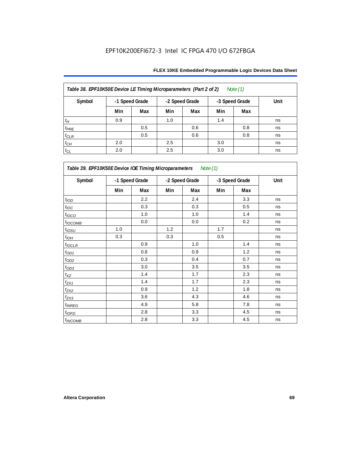| Table 38. EPF10K50E Device LE Timing Microparameters (Part 2 of 2)<br>Note $(1)$ |                |     |                |     |                |     |      |  |  |  |
|----------------------------------------------------------------------------------|----------------|-----|----------------|-----|----------------|-----|------|--|--|--|
| Symbol                                                                           | -1 Speed Grade |     | -2 Speed Grade |     | -3 Speed Grade |     | Unit |  |  |  |
|                                                                                  | Min            | Max | Min            | Max | Min            | Max |      |  |  |  |
| $t_H$                                                                            | 0.9            |     | 1.0            |     | 1.4            |     | ns   |  |  |  |
| $t_{PRE}$                                                                        |                | 0.5 |                | 0.6 |                | 0.8 | ns   |  |  |  |
| $t_{CLR}$                                                                        |                | 0.5 |                | 0.6 |                | 0.8 | ns   |  |  |  |
| $t_{CH}$                                                                         | 2.0            |     | 2.5            |     | 3.0            |     | ns   |  |  |  |
| $t_{CL}$                                                                         | 2.0            |     | 2.5            |     | 3.0            |     | ns   |  |  |  |

| Table 39. EPF10K50E Device IOE Timing Microparameters Note (1) |                |         |                |     |                |     |      |  |  |
|----------------------------------------------------------------|----------------|---------|----------------|-----|----------------|-----|------|--|--|
| Symbol                                                         | -1 Speed Grade |         | -2 Speed Grade |     | -3 Speed Grade |     | Unit |  |  |
|                                                                | Min            | Max     | Min            | Max | Min            | Max |      |  |  |
| t <sub>IOD</sub>                                               |                | 2.2     |                | 2.4 |                | 3.3 | ns   |  |  |
| $t_{\text{IOC}}$                                               |                | 0.3     |                | 0.3 |                | 0.5 | ns   |  |  |
| $t_{IOCO}$                                                     |                | 1.0     |                | 1.0 |                | 1.4 | ns   |  |  |
| $t_{IOCOMB}$                                                   |                | 0.0     |                | 0.0 |                | 0.2 | ns   |  |  |
| $t_{IOSU}$                                                     | 1.0            |         | 1.2            |     | 1.7            |     | ns   |  |  |
| $t_{IOM}$                                                      | 0.3            |         | 0.3            |     | 0.5            |     | ns   |  |  |
| $t_{IOCLR}$                                                    |                | 0.9     |                | 1.0 |                | 1.4 | ns   |  |  |
| $t_{OD1}$                                                      |                | 0.8     |                | 0.9 |                | 1.2 | ns   |  |  |
| $t_{OD2}$                                                      |                | 0.3     |                | 0.4 |                | 0.7 | ns   |  |  |
| $t_{OD3}$                                                      |                | 3.0     |                | 3.5 |                | 3.5 | ns   |  |  |
| $t_{\mathsf{XZ}}$                                              |                | 1.4     |                | 1.7 |                | 2.3 | ns   |  |  |
| $t_{ZX1}$                                                      |                | 1.4     |                | 1.7 |                | 2.3 | ns   |  |  |
| $t_{ZX2}$                                                      |                | 0.9     |                | 1.2 |                | 1.8 | ns   |  |  |
| $t_{ZX3}$                                                      |                | 3.6     |                | 4.3 |                | 4.6 | ns   |  |  |
| $t_{INREG}$                                                    |                | 4.9     |                | 5.8 |                | 7.8 | ns   |  |  |
| $t_{IOFD}$                                                     |                | 2.8     |                | 3.3 |                | 4.5 | ns   |  |  |
| $t_{INCOMB}$                                                   |                | $2.8\,$ |                | 3.3 |                | 4.5 | ns   |  |  |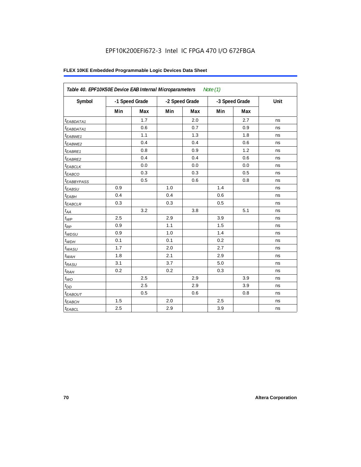## EPF10K200EFI672-3 Intel IC FPGA 470 I/O 672FBGA

| Table 40. EPF10K50E Device EAB Internal Microparameters<br>Note $(1)$ |     |                |     |                |     |                |      |  |  |
|-----------------------------------------------------------------------|-----|----------------|-----|----------------|-----|----------------|------|--|--|
| Symbol                                                                |     | -1 Speed Grade |     | -2 Speed Grade |     | -3 Speed Grade | Unit |  |  |
|                                                                       | Min | Max            | Min | Max            | Min | Max            |      |  |  |
| <sup>t</sup> EABDATA1                                                 |     | 1.7            |     | 2.0            |     | 2.7            | ns   |  |  |
| $t_{EABDATA1}$                                                        |     | 0.6            |     | 0.7            |     | 0.9            | ns   |  |  |
| <sup>t</sup> EABWE1                                                   |     | 1.1            |     | 1.3            |     | 1.8            | ns   |  |  |
| <sup>t</sup> EABWE2                                                   |     | 0.4            |     | 0.4            |     | 0.6            | ns   |  |  |
| t <sub>EABRE1</sub>                                                   |     | 0.8            |     | 0.9            |     | 1.2            | ns   |  |  |
| $t_{EABRE2}$                                                          |     | 0.4            |     | 0.4            |     | 0.6            | ns   |  |  |
| t <sub>EABCLK</sub>                                                   |     | 0.0            |     | 0.0            |     | 0.0            | ns   |  |  |
| t <sub>EABCO</sub>                                                    |     | 0.3            |     | 0.3            |     | 0.5            | ns   |  |  |
| <sup>t</sup> EABBYPASS                                                |     | 0.5            |     | 0.6            |     | 0.8            | ns   |  |  |
| t <sub>EABSU</sub>                                                    | 0.9 |                | 1.0 |                | 1.4 |                | ns   |  |  |
| $t_{EABH}$                                                            | 0.4 |                | 0.4 |                | 0.6 |                | ns   |  |  |
| $t_{EABCLR}$                                                          | 0.3 |                | 0.3 |                | 0.5 |                | ns   |  |  |
| $t_{AA}$                                                              |     | 3.2            |     | 3.8            |     | 5.1            | ns   |  |  |
| $t_{WP}$                                                              | 2.5 |                | 2.9 |                | 3.9 |                | ns   |  |  |
| $t_{\mathsf{RP}}$                                                     | 0.9 |                | 1.1 |                | 1.5 |                | ns   |  |  |
| $t_{W\!D\!S\!U}$                                                      | 0.9 |                | 1.0 |                | 1.4 |                | ns   |  |  |
| $t_{WDH}$                                                             | 0.1 |                | 0.1 |                | 0.2 |                | ns   |  |  |
| $t_{WASU}$                                                            | 1.7 |                | 2.0 |                | 2.7 |                | ns   |  |  |
| $t_{WAH}$                                                             | 1.8 |                | 2.1 |                | 2.9 |                | ns   |  |  |
| $t_{RASU}$                                                            | 3.1 |                | 3.7 |                | 5.0 |                | ns   |  |  |
| t <sub>RAH</sub>                                                      | 0.2 |                | 0.2 |                | 0.3 |                | ns   |  |  |
| $t_{WO}$                                                              |     | 2.5            |     | 2.9            |     | 3.9            | ns   |  |  |
| $t_{DD}$                                                              |     | 2.5            |     | 2.9            |     | 3.9            | ns   |  |  |
| <b><i>EABOUT</i></b>                                                  |     | 0.5            |     | 0.6            |     | 0.8            | ns   |  |  |
| $t_{EABCH}$                                                           | 1.5 |                | 2.0 |                | 2.5 |                | ns   |  |  |
| $t_{EABCL}$                                                           | 2.5 |                | 2.9 |                | 3.9 |                | ns   |  |  |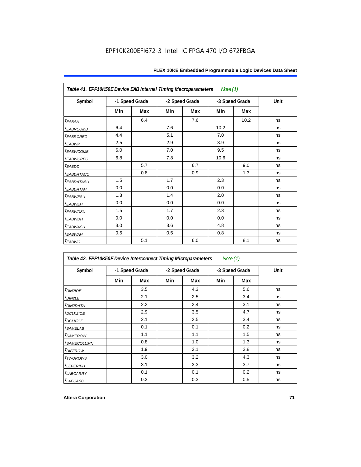| Table 41. EPF10K50E Device EAB Internal Timing Macroparameters<br>Note $(1)$ |                |     |                |     |                |      |      |  |  |  |
|------------------------------------------------------------------------------|----------------|-----|----------------|-----|----------------|------|------|--|--|--|
| Symbol                                                                       | -1 Speed Grade |     | -2 Speed Grade |     | -3 Speed Grade |      | Unit |  |  |  |
|                                                                              | Min            | Max | Min            | Max | Min            | Max  |      |  |  |  |
| $t_{EABA}$                                                                   |                | 6.4 |                | 7.6 |                | 10.2 | ns   |  |  |  |
| <b><i>EABRCOMB</i></b>                                                       | 6.4            |     | 7.6            |     | 10.2           |      | ns   |  |  |  |
| t <sub>EABRCREG</sub>                                                        | 4.4            |     | 5.1            |     | 7.0            |      | ns   |  |  |  |
| t <sub>EABWP</sub>                                                           | 2.5            |     | 2.9            |     | 3.9            |      | ns   |  |  |  |
| <sup>t</sup> EABWCOMB                                                        | 6.0            |     | 7.0            |     | 9.5            |      | ns   |  |  |  |
| <b><i>EABWCREG</i></b>                                                       | 6.8            |     | 7.8            |     | 10.6           |      | ns   |  |  |  |
| $t_{EABDD}$                                                                  |                | 5.7 |                | 6.7 |                | 9.0  | ns   |  |  |  |
| <sup>t</sup> EABDATACO                                                       |                | 0.8 |                | 0.9 |                | 1.3  | ns   |  |  |  |
| <sup>t</sup> EABDATASU                                                       | 1.5            |     | 1.7            |     | 2.3            |      | ns   |  |  |  |
| <sup>t</sup> EABDATAH                                                        | 0.0            |     | 0.0            |     | 0.0            |      | ns   |  |  |  |
| t <sub>EABWESU</sub>                                                         | 1.3            |     | 1.4            |     | 2.0            |      | ns   |  |  |  |
| t <sub>EABWEH</sub>                                                          | 0.0            |     | 0.0            |     | 0.0            |      | ns   |  |  |  |
| <sup>t</sup> EABWDSU                                                         | 1.5            |     | 1.7            |     | 2.3            |      | ns   |  |  |  |
| <sup>t</sup> EABWDH                                                          | 0.0            |     | 0.0            |     | 0.0            |      | ns   |  |  |  |
| <sup>t</sup> EABWASU                                                         | 3.0            |     | 3.6            |     | 4.8            |      | ns   |  |  |  |
| t <sub>EABWAH</sub>                                                          | 0.5            |     | 0.5            |     | 0.8            |      | ns   |  |  |  |
| $t_{EABWO}$                                                                  |                | 5.1 |                | 6.0 |                | 8.1  | ns   |  |  |  |

| Table 42. EPF10K50E Device Interconnect Timing Microparameters<br>Note $(1)$ |                |     |                |     |                |     |      |  |  |
|------------------------------------------------------------------------------|----------------|-----|----------------|-----|----------------|-----|------|--|--|
| Symbol                                                                       | -1 Speed Grade |     | -2 Speed Grade |     | -3 Speed Grade |     | Unit |  |  |
|                                                                              | Min            | Max | Min            | Max | Min            | Max |      |  |  |
| $tD$ IN2IOE                                                                  |                | 3.5 |                | 4.3 |                | 5.6 | ns   |  |  |
| $t_{DIN2LE}$                                                                 |                | 2.1 |                | 2.5 |                | 3.4 | ns   |  |  |
| <sup>t</sup> DIN2DATA                                                        |                | 2.2 |                | 2.4 |                | 3.1 | ns   |  |  |
| $t$ DCLK2IOE                                                                 |                | 2.9 |                | 3.5 |                | 4.7 | ns   |  |  |
| $t$ DCLK2LE                                                                  |                | 2.1 |                | 2.5 |                | 3.4 | ns   |  |  |
| <sup>t</sup> SAMELAB                                                         |                | 0.1 |                | 0.1 |                | 0.2 | ns   |  |  |
| <i>t</i> SAMEROW                                                             |                | 1.1 |                | 1.1 |                | 1.5 | ns   |  |  |
| <i><b>ISAMECOLUMN</b></i>                                                    |                | 0.8 |                | 1.0 |                | 1.3 | ns   |  |  |
| <i>t<sub>DIFFROW</sub></i>                                                   |                | 1.9 |                | 2.1 |                | 2.8 | ns   |  |  |
| <i>t</i> TWOROWS                                                             |                | 3.0 |                | 3.2 |                | 4.3 | ns   |  |  |
| <b><i>LEPERIPH</i></b>                                                       |                | 3.1 |                | 3.3 |                | 3.7 | ns   |  |  |
| <b><i>LABCARRY</i></b>                                                       |                | 0.1 |                | 0.1 |                | 0.2 | ns   |  |  |
| t <sub>LABCASC</sub>                                                         |                | 0.3 |                | 0.3 |                | 0.5 | ns   |  |  |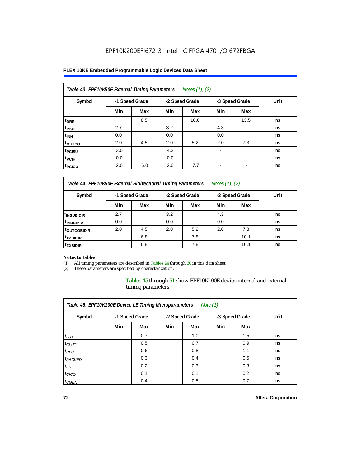#### **FLEX 10KE Embedded Programmable Logic Devices Data Sheet**

| Table 43. EPF10K50E External Timing Parameters<br>Notes (1), (2) |                |     |     |                |                          |                |      |  |  |  |
|------------------------------------------------------------------|----------------|-----|-----|----------------|--------------------------|----------------|------|--|--|--|
| Symbol                                                           | -1 Speed Grade |     |     | -2 Speed Grade |                          | -3 Speed Grade | Unit |  |  |  |
|                                                                  | Min            | Max | Min | Max            | Min                      | Max            |      |  |  |  |
| t <sub>DRR</sub>                                                 |                | 8.5 |     | 10.0           |                          | 13.5           | ns   |  |  |  |
| t <sub>insu</sub>                                                | 2.7            |     | 3.2 |                | 4.3                      |                | ns   |  |  |  |
| $t_{\rm INH}$                                                    | 0.0            |     | 0.0 |                | 0.0                      |                | ns   |  |  |  |
| toutco                                                           | 2.0            | 4.5 | 2.0 | 5.2            | 2.0                      | 7.3            | ns   |  |  |  |
| t <sub>PCISU</sub>                                               | 3.0            |     | 4.2 |                |                          |                | ns   |  |  |  |
| <sup>t</sup> PCIH                                                | 0.0            |     | 0.0 |                | $\overline{\phantom{a}}$ |                | ns   |  |  |  |
| <sup>t</sup> PCICO                                               | 2.0            | 6.0 | 2.0 | 7.7            | $\blacksquare$           |                | ns   |  |  |  |

*Table 44. EPF10K50E External Bidirectional Timing Parameters Notes (1), (2)*

| Symbol                  | -1 Speed Grade |     |     | -2 Speed Grade |     | -3 Speed Grade | Unit |
|-------------------------|----------------|-----|-----|----------------|-----|----------------|------|
|                         | Min            | Max | Min | Max            | Min | Max            |      |
| <sup>t</sup> INSUBIDIR  | 2.7            |     | 3.2 |                | 4.3 |                | ns   |
| <sup>t</sup> INHBIDIR   | 0.0            |     | 0.0 |                | 0.0 |                | ns   |
| <sup>t</sup> OUTCOBIDIR | 2.0            | 4.5 | 2.0 | 5.2            | 2.0 | 7.3            | ns   |
| <sup>t</sup> xzbidir    |                | 6.8 |     | 7.8            |     | 10.1           | ns   |
| <sup>t</sup> zxbidir    |                | 6.8 |     | 7.8            |     | 10.1           | ns   |

#### *Notes to tables:*

(1) All timing parameters are described in Tables 24 through 30 in this data sheet.

(2) These parameters are specified by characterization.

Tables 45 through 51 show EPF10K100E device internal and external timing parameters.

| Table 45. EPF10K100E Device LE Timing Microparameters<br>Note $(1)$ |                |     |                |     |                |     |      |  |  |  |
|---------------------------------------------------------------------|----------------|-----|----------------|-----|----------------|-----|------|--|--|--|
| Symbol                                                              | -1 Speed Grade |     | -2 Speed Grade |     | -3 Speed Grade |     | Unit |  |  |  |
|                                                                     | Min            | Max | Min            | Max | Min            | Max |      |  |  |  |
| $t_{LUT}$                                                           |                | 0.7 |                | 1.0 |                | 1.5 | ns   |  |  |  |
| $t_{CLUT}$                                                          |                | 0.5 |                | 0.7 |                | 0.9 | ns   |  |  |  |
| $t_{RLUT}$                                                          |                | 0.6 |                | 0.8 |                | 1.1 | ns   |  |  |  |
| <sup>t</sup> PACKED                                                 |                | 0.3 |                | 0.4 |                | 0.5 | ns   |  |  |  |
| $t_{EN}$                                                            |                | 0.2 |                | 0.3 |                | 0.3 | ns   |  |  |  |
| $t_{CICO}$                                                          |                | 0.1 |                | 0.1 |                | 0.2 | ns   |  |  |  |
| $t_{\text{GEN}}$                                                    |                | 0.4 |                | 0.5 |                | 0.7 | ns   |  |  |  |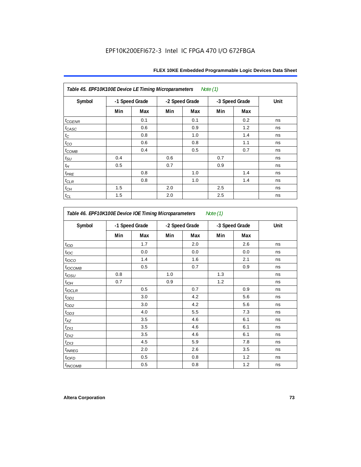| Table 45. EPF10K100E Device LE Timing Microparameters Note (1) |                |     |     |                |     |                |      |  |  |  |
|----------------------------------------------------------------|----------------|-----|-----|----------------|-----|----------------|------|--|--|--|
| Symbol                                                         | -1 Speed Grade |     |     | -2 Speed Grade |     | -3 Speed Grade | Unit |  |  |  |
|                                                                | Min            | Max | Min | Max            | Min | Max            |      |  |  |  |
| $t_{\text{GENR}}$                                              |                | 0.1 |     | 0.1            |     | 0.2            | ns   |  |  |  |
| $t_{CASC}$                                                     |                | 0.6 |     | 0.9            |     | 1.2            | ns   |  |  |  |
| $t_{\rm C}$                                                    |                | 0.8 |     | 1.0            |     | 1.4            | ns   |  |  |  |
| $t_{CO}$                                                       |                | 0.6 |     | 0.8            |     | 1.1            | ns   |  |  |  |
| $t_{COMB}$                                                     |                | 0.4 |     | 0.5            |     | 0.7            | ns   |  |  |  |
| $t_{\rm SU}$                                                   | 0.4            |     | 0.6 |                | 0.7 |                | ns   |  |  |  |
| $t_H\,$                                                        | 0.5            |     | 0.7 |                | 0.9 |                | ns   |  |  |  |
| $t_{PRE}$                                                      |                | 0.8 |     | 1.0            |     | 1.4            | ns   |  |  |  |
| $t_{\sf CLR}$                                                  |                | 0.8 |     | 1.0            |     | 1.4            | ns   |  |  |  |
| $t_{CH}$                                                       | 1.5            |     | 2.0 |                | 2.5 |                | ns   |  |  |  |
| $t_{CL}$                                                       | 1.5            |     | 2.0 |                | 2.5 |                | ns   |  |  |  |

| Symbol                    | -1 Speed Grade |     | -2 Speed Grade |     | -3 Speed Grade |     | Unit |
|---------------------------|----------------|-----|----------------|-----|----------------|-----|------|
|                           | Min            | Max | Min            | Max | Min            | Max |      |
| t <sub>IOD</sub>          |                | 1.7 |                | 2.0 |                | 2.6 | ns   |
| $t_{\text{IOC}}$          |                | 0.0 |                | 0.0 |                | 0.0 | ns   |
| $t_{IOCO}$                |                | 1.4 |                | 1.6 |                | 2.1 | ns   |
| t <sub>I</sub> OCOMB      |                | 0.5 |                | 0.7 |                | 0.9 | ns   |
| $t_{IOSU}$                | 0.8            |     | 1.0            |     | 1.3            |     | ns   |
| $t_{IOH}$                 | 0.7            |     | 0.9            |     | 1.2            |     | ns   |
| $t_{IOCLR}$               |                | 0.5 |                | 0.7 |                | 0.9 | ns   |
| $t_{OD1}$                 |                | 3.0 |                | 4.2 |                | 5.6 | ns   |
| $t_{OD2}$                 |                | 3.0 |                | 4.2 |                | 5.6 | ns   |
| $t_{OD3}$                 |                | 4.0 |                | 5.5 |                | 7.3 | ns   |
| $t_{XZ}$                  |                | 3.5 |                | 4.6 |                | 6.1 | ns   |
| $t_{ZX1}$                 |                | 3.5 |                | 4.6 |                | 6.1 | ns   |
| $t_{ZX2}$                 |                | 3.5 |                | 4.6 |                | 6.1 | ns   |
| $t_{ZX3}$                 |                | 4.5 |                | 5.9 |                | 7.8 | ns   |
| $t_{INREG}$               |                | 2.0 |                | 2.6 |                | 3.5 | ns   |
| $t_{IOFD}$                |                | 0.5 |                | 0.8 |                | 1.2 | ns   |
| <i>t<sub>INCOMB</sub></i> |                | 0.5 |                | 0.8 |                | 1.2 | ns   |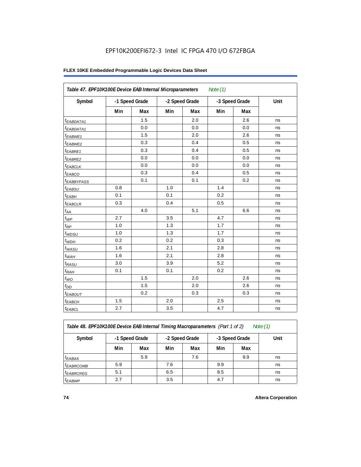# **FLEX 10KE Embedded Programmable Logic Devices Data Sheet**

| Table 47. EPF10K100E Device EAB Internal Microparameters |     |                |     |                | Note $(1)$ |                |      |
|----------------------------------------------------------|-----|----------------|-----|----------------|------------|----------------|------|
| Symbol                                                   |     | -1 Speed Grade |     | -2 Speed Grade |            | -3 Speed Grade | Unit |
|                                                          | Min | Max            | Min | Max            | Min        | Max            |      |
| <sup>t</sup> EABDATA1                                    |     | 1.5            |     | 2.0            |            | 2.6            | ns   |
| $t_{EABDATA1}$                                           |     | 0.0            |     | 0.0            |            | 0.0            | ns   |
| $t_{EABWE1}$                                             |     | 1.5            |     | 2.0            |            | 2.6            | ns   |
| t <sub>EABWE2</sub>                                      |     | 0.3            |     | 0.4            |            | 0.5            | ns   |
| t <sub>EABRE1</sub>                                      |     | 0.3            |     | 0.4            |            | 0.5            | ns   |
| $t_{EABRE2}$                                             |     | 0.0            |     | 0.0            |            | 0.0            | ns   |
| $t_{EABCLK}$                                             |     | 0.0            |     | 0.0            |            | 0.0            | ns   |
| $t_{EABCO}$                                              |     | 0.3            |     | 0.4            |            | 0.5            | ns   |
| t <sub>EABBYPASS</sub>                                   |     | 0.1            |     | 0.1            |            | 0.2            | ns   |
| $t_{EABSU}$                                              | 0.8 |                | 1.0 |                | 1.4        |                | ns   |
| $t_{EABH}$                                               | 0.1 |                | 0.1 |                | 0.2        |                | ns   |
| $t_{EABCLR}$                                             | 0.3 |                | 0.4 |                | 0.5        |                | ns   |
| $t_{AA}$                                                 |     | 4.0            |     | 5.1            |            | 6.6            | ns   |
| $t_{WP}$                                                 | 2.7 |                | 3.5 |                | 4.7        |                | ns   |
| $t_{RP}$                                                 | 1.0 |                | 1.3 |                | 1.7        |                | ns   |
| $t_{WDSU}$                                               | 1.0 |                | 1.3 |                | 1.7        |                | ns   |
| $t_{WDH}$                                                | 0.2 |                | 0.2 |                | 0.3        |                | ns   |
| $t_{WASU}$                                               | 1.6 |                | 2.1 |                | 2.8        |                | ns   |
| $t_{WAH}$                                                | 1.6 |                | 2.1 |                | 2.8        |                | ns   |
| $t_{RASU}$                                               | 3.0 |                | 3.9 |                | 5.2        |                | ns   |
| $t_{RAH}$                                                | 0.1 |                | 0.1 |                | 0.2        |                | ns   |
| $t_{WO}$                                                 |     | 1.5            |     | 2.0            |            | 2.6            | ns   |
| $t_{DD}$                                                 |     | 1.5            |     | 2.0            |            | 2.6            | ns   |
| $t_{EABOUT}$                                             |     | 0.2            |     | 0.3            |            | 0.3            | ns   |
| <sup>t</sup> EABCH                                       | 1.5 |                | 2.0 |                | 2.5        |                | ns   |
| $t_{EABCL}$                                              | 2.7 |                | 3.5 |                | 4.7        |                | ns   |

*Table 48. EPF10K100E Device EAB Internal Timing Macroparameters (Part 1 of 2)* 

| Symbol                | -1 Speed Grade |     | -2 Speed Grade |     |     | -3 Speed Grade | Unit |
|-----------------------|----------------|-----|----------------|-----|-----|----------------|------|
|                       | Min            | Max | Min            | Max | Min | Max            |      |
| $t_{EABA}$            |                | 5.9 |                | 7.6 |     | 9.9            | ns   |
| <sup>t</sup> EABRCOMB | 5.9            |     | 7.6            |     | 9.9 |                | ns   |
| <sup>t</sup> EABRCREG | 5.1            |     | 6.5            |     | 8.5 |                | ns   |
| <sup>t</sup> EABWP    | 2.7            |     | 3.5            |     | 4.7 |                | ns   |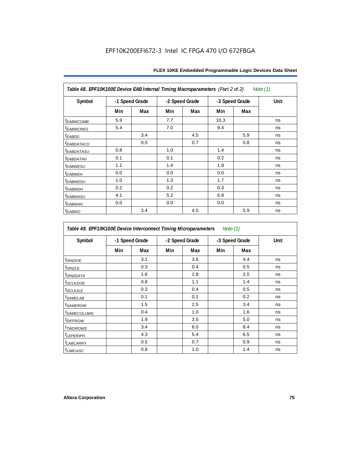| Table 48. EPF10K100E Device EAB Internal Timing Macroparameters (Part 2 of 2)<br>Note (1) |                |     |     |                |      |                |      |  |  |  |
|-------------------------------------------------------------------------------------------|----------------|-----|-----|----------------|------|----------------|------|--|--|--|
| Symbol                                                                                    | -1 Speed Grade |     |     | -2 Speed Grade |      | -3 Speed Grade | Unit |  |  |  |
|                                                                                           | Min            | Max | Min | Max            | Min  | Max            |      |  |  |  |
| <b><i>EABWCOMB</i></b>                                                                    | 5.9            |     | 7.7 |                | 10.3 |                | ns   |  |  |  |
| <sup>t</sup> EABWCREG                                                                     | 5.4            |     | 7.0 |                | 9.4  |                | ns   |  |  |  |
| <sup>t</sup> EABDD                                                                        |                | 3.4 |     | 4.5            |      | 5.9            | ns   |  |  |  |
| <b><i>EABDATACO</i></b>                                                                   |                | 0.5 |     | 0.7            |      | 0.8            | ns   |  |  |  |
| <sup>t</sup> EABDATASU                                                                    | 0.8            |     | 1.0 |                | 1.4  |                | ns   |  |  |  |
| <sup>t</sup> EABDATAH                                                                     | 0.1            |     | 0.1 |                | 0.2  |                | ns   |  |  |  |
| <b><i>EABWESU</i></b>                                                                     | 1.1            |     | 1.4 |                | 1.9  |                | ns   |  |  |  |
| <sup>t</sup> EABWEH                                                                       | 0.0            |     | 0.0 |                | 0.0  |                | ns   |  |  |  |
| <sup>t</sup> EABWDSU                                                                      | 1.0            |     | 1.3 |                | 1.7  |                | ns   |  |  |  |
| <sup>t</sup> EABWDH                                                                       | 0.2            |     | 0.2 |                | 0.3  |                | ns   |  |  |  |
| <sup>t</sup> EABWASU                                                                      | 4.1            |     | 5.2 |                | 6.8  |                | ns   |  |  |  |
| <sup>t</sup> EABWAH                                                                       | 0.0            |     | 0.0 |                | 0.0  |                | ns   |  |  |  |
| t <sub>EABWO</sub>                                                                        |                | 3.4 |     | 4.5            |      | 5.9            | ns   |  |  |  |

*Table 49. EPF10K100E Device Interconnect Timing Microparameters Note (1)*

| Symbol                     |     | -1 Speed Grade |     | -2 Speed Grade |     | -3 Speed Grade | Unit |
|----------------------------|-----|----------------|-----|----------------|-----|----------------|------|
|                            | Min | Max            | Min | Max            | Min | Max            |      |
| $tD$ IN2IOE                |     | 3.1            |     | 3.6            |     | 4.4            | ns   |
| t <sub>DIN2LE</sub>        |     | 0.3            |     | 0.4            |     | 0.5            | ns   |
| <sup>t</sup> DIN2DATA      |     | 1.6            |     | 1.8            |     | 2.0            | ns   |
| $t_{DCLK2IOE}$             |     | 0.8            |     | 1.1            |     | 1.4            | ns   |
| $t$ <sub>DCLK2LE</sub>     |     | 0.3            |     | 0.4            |     | 0.5            | ns   |
| <sup>t</sup> SAMELAB       |     | 0.1            |     | 0.1            |     | 0.2            | ns   |
| <i>t</i> SAMEROW           |     | 1.5            |     | 2.5            |     | 3.4            | ns   |
| <sup>t</sup> SAMECOLUMN    |     | 0.4            |     | 1.0            |     | 1.6            | ns   |
| <i>t<sub>DIFFROW</sub></i> |     | 1.9            |     | 3.5            |     | 5.0            | ns   |
| <i>t</i> TWOROWS           |     | 3.4            |     | 6.0            |     | 8.4            | ns   |
| <sup>t</sup> LEPERIPH      |     | 4.3            |     | 5.4            |     | 6.5            | ns   |
| t <sub>LABCARRY</sub>      |     | 0.5            |     | 0.7            |     | 0.9            | ns   |
| $t_{LABCASC}$              |     | 0.8            |     | 1.0            |     | 1.4            | ns   |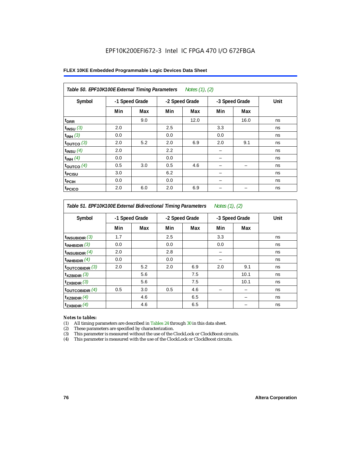#### **FLEX 10KE Embedded Programmable Logic Devices Data Sheet**

| Table 50. EPF10K100E External Timing Parameters Notes (1), (2) |                |     |     |                |     |                |      |  |  |  |
|----------------------------------------------------------------|----------------|-----|-----|----------------|-----|----------------|------|--|--|--|
| Symbol                                                         | -1 Speed Grade |     |     | -2 Speed Grade |     | -3 Speed Grade | Unit |  |  |  |
|                                                                | Min            | Max | Min | Max            | Min | Max            |      |  |  |  |
| t <sub>DRR</sub>                                               |                | 9.0 |     | 12.0           |     | 16.0           | ns   |  |  |  |
| $t_{INSU}$ (3)                                                 | 2.0            |     | 2.5 |                | 3.3 |                | ns   |  |  |  |
| $t_{INH}$ (3)                                                  | 0.0            |     | 0.0 |                | 0.0 |                | ns   |  |  |  |
| $t_{OUTCO}$ (3)                                                | 2.0            | 5.2 | 2.0 | 6.9            | 2.0 | 9.1            | ns   |  |  |  |
| $t_{INSU}$ (4)                                                 | 2.0            |     | 2.2 |                |     |                | ns   |  |  |  |
| $t_{INH}$ (4)                                                  | 0.0            |     | 0.0 |                |     |                | ns   |  |  |  |
| $t_{OUTCO}$ (4)                                                | 0.5            | 3.0 | 0.5 | 4.6            |     | -              | ns   |  |  |  |
| <sup>t</sup> PCISU                                             | 3.0            |     | 6.2 |                |     |                | ns   |  |  |  |
| <sup>t</sup> PCIH                                              | 0.0            |     | 0.0 |                |     |                | ns   |  |  |  |
| <sup>t</sup> PCICO                                             | 2.0            | 6.0 | 2.0 | 6.9            |     |                | ns   |  |  |  |

*Table 51. EPF10K100E External Bidirectional Timing Parameters Notes (1), (2)*

| Symbol              |     | -1 Speed Grade |     | -2 Speed Grade |     | -3 Speed Grade | Unit |
|---------------------|-----|----------------|-----|----------------|-----|----------------|------|
|                     | Min | Max            | Min | Max            | Min | Max            |      |
| $t_{INSUBIDIR}$ (3) | 1.7 |                | 2.5 |                | 3.3 |                | ns   |
| $t_{INHBIDIR}$ (3)  | 0.0 |                | 0.0 |                | 0.0 |                | ns   |
| $t_{INSUBIDIR}(4)$  | 2.0 |                | 2.8 |                |     |                | ns   |
| $t_{INHBIDIR}(4)$   | 0.0 |                | 0.0 |                |     |                | ns   |
| toutcobidir $(3)$   | 2.0 | 5.2            | 2.0 | 6.9            | 2.0 | 9.1            | ns   |
| $t_{XZBIDIR}$ (3)   |     | 5.6            |     | 7.5            |     | 10.1           | ns   |
| $t_{ZXBIDIR}$ (3)   |     | 5.6            |     | 7.5            |     | 10.1           | ns   |
| toutcobidir $(4)$   | 0.5 | 3.0            | 0.5 | 4.6            |     |                | ns   |
| $t_{XZBIDIR}$ (4)   |     | 4.6            |     | 6.5            |     |                | ns   |
| $t_{ZXBIDIR}$ (4)   |     | 4.6            |     | 6.5            |     |                | ns   |

#### *Notes to tables:*

(1) All timing parameters are described in Tables 24 through 30 in this data sheet.

(2) These parameters are specified by characterization.

(3) This parameter is measured without the use of the ClockLock or ClockBoost circuits.

(4) This parameter is measured with the use of the ClockLock or ClockBoost circuits.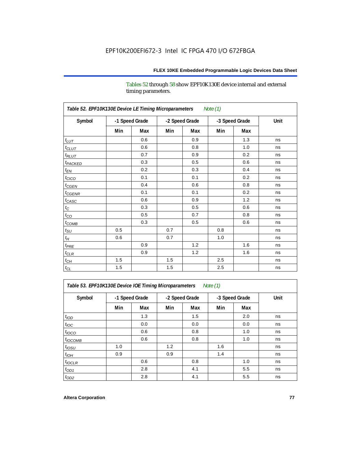Tables 52 through 58 show EPF10K130E device internal and external timing parameters.

| Table 52. EPF10K130E Device LE Timing Microparameters<br><b>Note (1)</b> |                |     |     |                |     |                |      |  |  |  |
|--------------------------------------------------------------------------|----------------|-----|-----|----------------|-----|----------------|------|--|--|--|
| Symbol                                                                   | -1 Speed Grade |     |     | -2 Speed Grade |     | -3 Speed Grade | Unit |  |  |  |
|                                                                          | Min            | Max | Min | Max            | Min | Max            |      |  |  |  |
| $t_{LUT}$                                                                |                | 0.6 |     | 0.9            |     | 1.3            | ns   |  |  |  |
| $t_{CLUT}$                                                               |                | 0.6 |     | 0.8            |     | 1.0            | ns   |  |  |  |
| $t_{RLUT}$                                                               |                | 0.7 |     | 0.9            |     | 0.2            | ns   |  |  |  |
| t <sub>PACKED</sub>                                                      |                | 0.3 |     | 0.5            |     | 0.6            | ns   |  |  |  |
| $t_{EN}$                                                                 |                | 0.2 |     | 0.3            |     | 0.4            | ns   |  |  |  |
| $t_{CICO}$                                                               |                | 0.1 |     | 0.1            |     | 0.2            | ns   |  |  |  |
| $t_{CGEN}$                                                               |                | 0.4 |     | 0.6            |     | 0.8            | ns   |  |  |  |
| $t_{\text{CGENR}}$                                                       |                | 0.1 |     | 0.1            |     | 0.2            | ns   |  |  |  |
| $t_{CASC}$                                                               |                | 0.6 |     | 0.9            |     | 1.2            | ns   |  |  |  |
| $t_{\rm C}$                                                              |                | 0.3 |     | 0.5            |     | 0.6            | ns   |  |  |  |
| $t_{CO}$                                                                 |                | 0.5 |     | 0.7            |     | 0.8            | ns   |  |  |  |
| $t_{\text{COMB}}$                                                        |                | 0.3 |     | 0.5            |     | 0.6            | ns   |  |  |  |
| $t_{\rm SU}$                                                             | 0.5            |     | 0.7 |                | 0.8 |                | ns   |  |  |  |
| $t_H$                                                                    | 0.6            |     | 0.7 |                | 1.0 |                | ns   |  |  |  |
| $t_{PRE}$                                                                |                | 0.9 |     | 1.2            |     | 1.6            | ns   |  |  |  |
| $t_{CLR}$                                                                |                | 0.9 |     | 1.2            |     | 1.6            | ns   |  |  |  |
| $t_{CH}$                                                                 | 1.5            |     | 1.5 |                | 2.5 |                | ns   |  |  |  |
| $t_{\rm CL}$                                                             | 1.5            |     | 1.5 |                | 2.5 |                | ns   |  |  |  |

*Table 53. EPF10K130E Device IOE Timing Microparameters Note (1)*

| Symbol           |     | -1 Speed Grade |     | -2 Speed Grade |     | -3 Speed Grade | Unit |  |
|------------------|-----|----------------|-----|----------------|-----|----------------|------|--|
|                  | Min | Max            | Min | Max            | Min | Max            |      |  |
| t <sub>IOD</sub> |     | 1.3            |     | 1.5            |     | 2.0            | ns   |  |
| $t_{\text{IOC}}$ |     | 0.0            |     | 0.0            |     | 0.0            | ns   |  |
| $t_{IOCO}$       |     | 0.6            |     | 0.8            |     | 1.0            | ns   |  |
| $t_{IOCOMB}$     |     | 0.6            |     | 0.8            |     | 1.0            | ns   |  |
| $t_{IOSU}$       | 1.0 |                | 1.2 |                | 1.6 |                | ns   |  |
| $t_{IOH}$        | 0.9 |                | 0.9 |                | 1.4 |                | ns   |  |
| $t_{IOCLR}$      |     | 0.6            |     | 0.8            |     | 1.0            | ns   |  |
| $t_{OD1}$        |     | 2.8            |     | 4.1            |     | 5.5            | ns   |  |
| $t_{OD2}$        |     | 2.8            |     | 4.1            |     | 5.5            | ns   |  |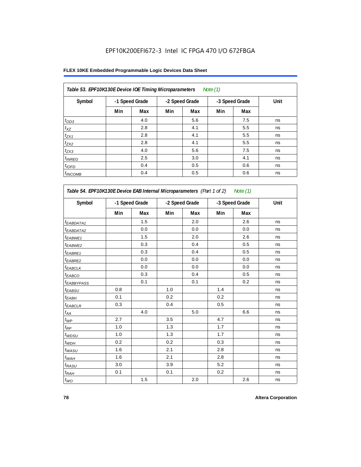| Table 53. EPF10K130E Device IOE Timing Microparameters<br>Note $(1)$ |                |     |     |                |     |                |      |  |  |  |  |
|----------------------------------------------------------------------|----------------|-----|-----|----------------|-----|----------------|------|--|--|--|--|
| Symbol                                                               | -1 Speed Grade |     |     | -2 Speed Grade |     | -3 Speed Grade | Unit |  |  |  |  |
|                                                                      | Min            | Max | Min | Max            | Min | Max            |      |  |  |  |  |
| $t_{OD3}$                                                            |                | 4.0 |     | 5.6            |     | 7.5            | ns   |  |  |  |  |
| $t_{XZ}$                                                             |                | 2.8 |     | 4.1            |     | 5.5            | ns   |  |  |  |  |
| $t_{ZX1}$                                                            |                | 2.8 |     | 4.1            |     | 5.5            | ns   |  |  |  |  |
| $t_{ZX2}$                                                            |                | 2.8 |     | 4.1            |     | 5.5            | ns   |  |  |  |  |
| $t_{ZX3}$                                                            |                | 4.0 |     | 5.6            |     | 7.5            | ns   |  |  |  |  |
| $t_{INREG}$                                                          |                | 2.5 |     | 3.0            |     | 4.1            | ns   |  |  |  |  |
| $t_{IOFD}$                                                           |                | 0.4 |     | 0.5            |     | 0.6            | ns   |  |  |  |  |
| $t_{INCOMB}$                                                         |                | 0.4 |     | 0.5            |     | 0.6            | ns   |  |  |  |  |

| Table 54. EPF10K130E Device EAB Internal Microparameters (Part 1 of 2) Note (1) |     |                |                |     |     |                |      |  |  |  |
|---------------------------------------------------------------------------------|-----|----------------|----------------|-----|-----|----------------|------|--|--|--|
| Symbol                                                                          |     | -1 Speed Grade | -2 Speed Grade |     |     | -3 Speed Grade | Unit |  |  |  |
|                                                                                 | Min | Max            | Min            | Max | Min | Max            |      |  |  |  |
| <sup>t</sup> EABDATA1                                                           |     | 1.5            |                | 2.0 |     | 2.6            | ns   |  |  |  |
| <sup>t</sup> EABDATA2                                                           |     | 0.0            |                | 0.0 |     | 0.0            | ns   |  |  |  |
| t <sub>EABWE1</sub>                                                             |     | 1.5            |                | 2.0 |     | 2.6            | ns   |  |  |  |
| t <sub>EABWE2</sub>                                                             |     | 0.3            |                | 0.4 |     | 0.5            | ns   |  |  |  |
| t <sub>EABRE1</sub>                                                             |     | 0.3            |                | 0.4 |     | 0.5            | ns   |  |  |  |
| <sup>t</sup> EABRE2                                                             |     | 0.0            |                | 0.0 |     | 0.0            | ns   |  |  |  |
| t <sub>EABCLK</sub>                                                             |     | 0.0            |                | 0.0 |     | 0.0            | ns   |  |  |  |
| t <sub>EABCO</sub>                                                              |     | 0.3            |                | 0.4 |     | 0.5            | ns   |  |  |  |
| t <sub>EABBYPASS</sub>                                                          |     | 0.1            |                | 0.1 |     | 0.2            | ns   |  |  |  |
| $t_{EABSU}$                                                                     | 0.8 |                | 1.0            |     | 1.4 |                | ns   |  |  |  |
| t <sub>ЕАВН</sub>                                                               | 0.1 |                | 0.2            |     | 0.2 |                | ns   |  |  |  |
| <sup>t</sup> EABCLR                                                             | 0.3 |                | 0.4            |     | 0.5 |                | ns   |  |  |  |
| $t_{AA}$                                                                        |     | 4.0            |                | 5.0 |     | 6.6            | ns   |  |  |  |
| $t_{WP}$                                                                        | 2.7 |                | 3.5            |     | 4.7 |                | ns   |  |  |  |
| $t_{\mathsf{RP}}$                                                               | 1.0 |                | 1.3            |     | 1.7 |                | ns   |  |  |  |
| $t_{WDSU}$                                                                      | 1.0 |                | 1.3            |     | 1.7 |                | ns   |  |  |  |
| $t_{WDH}$                                                                       | 0.2 |                | 0.2            |     | 0.3 |                | ns   |  |  |  |
| $t_{WASU}$                                                                      | 1.6 |                | 2.1            |     | 2.8 |                | ns   |  |  |  |
| $t_{WAH}$                                                                       | 1.6 |                | 2.1            |     | 2.8 |                | ns   |  |  |  |
| $t_{RASU}$                                                                      | 3.0 |                | 3.9            |     | 5.2 |                | ns   |  |  |  |
| $t_{RAH}$                                                                       | 0.1 |                | 0.1            |     | 0.2 |                | ns   |  |  |  |
| $t_{WO}$                                                                        |     | 1.5            |                | 2.0 |     | 2.6            | ns   |  |  |  |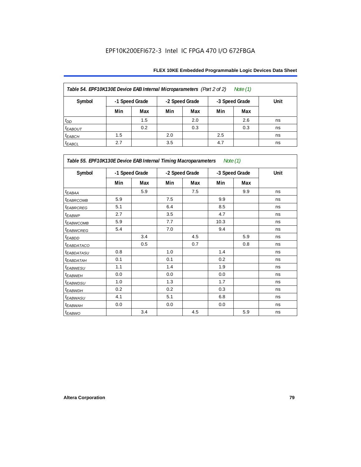| Table 54. EPF10K130E Device EAB Internal Microparameters (Part 2 of 2)<br>Note (1) |                                                    |     |     |     |     |     |      |  |  |  |
|------------------------------------------------------------------------------------|----------------------------------------------------|-----|-----|-----|-----|-----|------|--|--|--|
| Symbol                                                                             | -1 Speed Grade<br>-2 Speed Grade<br>-3 Speed Grade |     |     |     |     |     | Unit |  |  |  |
|                                                                                    | Min                                                | Max | Min | Max | Min | Max |      |  |  |  |
| $t_{DD}$                                                                           |                                                    | 1.5 |     | 2.0 |     | 2.6 | ns   |  |  |  |
| <b><i>EABOUT</i></b>                                                               |                                                    | 0.2 |     | 0.3 |     | 0.3 | ns   |  |  |  |
| $t_{EABCH}$                                                                        | 1.5                                                |     | 2.0 |     | 2.5 |     | ns   |  |  |  |
| $t_{EABCL}$                                                                        | 2.7                                                |     | 3.5 |     | 4.7 |     | ns   |  |  |  |

| Table 55. EPF10K130E Device EAB Internal Timing Macroparameters Note (1) |     |                |                |     |                |     |             |
|--------------------------------------------------------------------------|-----|----------------|----------------|-----|----------------|-----|-------------|
| Symbol                                                                   |     | -1 Speed Grade | -2 Speed Grade |     | -3 Speed Grade |     | <b>Unit</b> |
|                                                                          | Min | Max            | Min            | Max | Min            | Max |             |
| $t_{EABA}$                                                               |     | 5.9            |                | 7.5 |                | 9.9 | ns          |
| <sup>t</sup> EABRCOMB                                                    | 5.9 |                | 7.5            |     | 9.9            |     | ns          |
| <sup>t</sup> EABRCREG                                                    | 5.1 |                | 6.4            |     | 8.5            |     | ns          |
| t <sub>EABWP</sub>                                                       | 2.7 |                | 3.5            |     | 4.7            |     | ns          |
| <sup>t</sup> EABWCOMB                                                    | 5.9 |                | 7.7            |     | 10.3           |     | ns          |
| <sup>t</sup> EABWCREG                                                    | 5.4 |                | 7.0            |     | 9.4            |     | ns          |
| <sup>t</sup> EABDD                                                       |     | 3.4            |                | 4.5 |                | 5.9 | ns          |
| <sup>t</sup> EABDATACO                                                   |     | 0.5            |                | 0.7 |                | 0.8 | ns          |
| <sup>t</sup> EABDATASU                                                   | 0.8 |                | 1.0            |     | 1.4            |     | ns          |
| <sup>t</sup> EABDATAH                                                    | 0.1 |                | 0.1            |     | 0.2            |     | ns          |
| t <sub>EABWESU</sub>                                                     | 1.1 |                | 1.4            |     | 1.9            |     | ns          |
| <sup>t</sup> EABWEH                                                      | 0.0 |                | 0.0            |     | 0.0            |     | ns          |
| <sup>t</sup> EABWDSU                                                     | 1.0 |                | 1.3            |     | 1.7            |     | ns          |
| <sup>t</sup> EABWDH                                                      | 0.2 |                | 0.2            |     | 0.3            |     | ns          |
| <sup>t</sup> EABWASU                                                     | 4.1 |                | 5.1            |     | 6.8            |     | ns          |
| <sup>t</sup> EABWAH                                                      | 0.0 |                | 0.0            |     | 0.0            |     | ns          |
| t <sub>EABWO</sub>                                                       |     | 3.4            |                | 4.5 |                | 5.9 | ns          |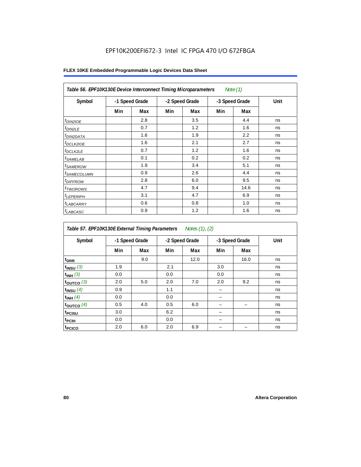| Table 56. EPF10K130E Device Interconnect Timing Microparameters<br>Note $(1)$ |                |     |                |     |     |                |      |  |  |  |
|-------------------------------------------------------------------------------|----------------|-----|----------------|-----|-----|----------------|------|--|--|--|
| Symbol                                                                        | -1 Speed Grade |     | -2 Speed Grade |     |     | -3 Speed Grade | Unit |  |  |  |
|                                                                               | Min            | Max | Min            | Max | Min | Max            |      |  |  |  |
| $t_{DIN2IOE}$                                                                 |                | 2.8 |                | 3.5 |     | 4.4            | ns   |  |  |  |
| $t_{DIN2LE}$                                                                  |                | 0.7 |                | 1.2 |     | 1.6            | ns   |  |  |  |
| <sup>t</sup> DIN2DATA                                                         |                | 1.6 |                | 1.9 |     | 2.2            | ns   |  |  |  |
| $t_{DCLK2IOE}$                                                                |                | 1.6 |                | 2.1 |     | 2.7            | ns   |  |  |  |
| <sup>t</sup> DCLK2LE                                                          |                | 0.7 |                | 1.2 |     | 1.6            | ns   |  |  |  |
| t <sub>SAMELAB</sub>                                                          |                | 0.1 |                | 0.2 |     | 0.2            | ns   |  |  |  |
| <i>t</i> SAMEROW                                                              |                | 1.9 |                | 3.4 |     | 5.1            | ns   |  |  |  |
| <sup>t</sup> SAMECOLUMN                                                       |                | 0.9 |                | 2.6 |     | 4.4            | ns   |  |  |  |
| <i>t<sub>DIFFROW</sub></i>                                                    |                | 2.8 |                | 6.0 |     | 9.5            | ns   |  |  |  |
| <sup>t</sup> TWOROWS                                                          |                | 4.7 |                | 9.4 |     | 14.6           | ns   |  |  |  |
| <sup>t</sup> LEPERIPH                                                         |                | 3.1 |                | 4.7 |     | 6.9            | ns   |  |  |  |
| t <sub>LABCARRY</sub>                                                         |                | 0.6 |                | 0.8 |     | 1.0            | ns   |  |  |  |
| t <sub>LABCASC</sub>                                                          |                | 0.9 |                | 1.2 |     | 1.6            | ns   |  |  |  |

| Symbol             |     | -1 Speed Grade |     | -2 Speed Grade |     | -3 Speed Grade | Unit |
|--------------------|-----|----------------|-----|----------------|-----|----------------|------|
|                    | Min | Max            | Min | Max            | Min | Max            |      |
| t <sub>DRR</sub>   |     | 9.0            |     | 12.0           |     | 16.0           | ns   |
| $t_{INSU}$ (3)     | 1.9 |                | 2.1 |                | 3.0 |                | ns   |
| $t_{INH}$ (3)      | 0.0 |                | 0.0 |                | 0.0 |                | ns   |
| $t_{OUT}$ co $(3)$ | 2.0 | 5.0            | 2.0 | 7.0            | 2.0 | 9.2            | ns   |
| $t_{INSU}$ (4)     | 0.9 |                | 1.1 |                |     |                | ns   |
| $t_{INH}$ (4)      | 0.0 |                | 0.0 |                |     |                | ns   |
| toutco $(4)$       | 0.5 | 4.0            | 0.5 | 6.0            |     |                | ns   |
| t <sub>PCISU</sub> | 3.0 |                | 6.2 |                |     |                | ns   |
| <sup>t</sup> PCIH  | 0.0 |                | 0.0 |                |     |                | ns   |
| t <sub>PCICO</sub> | 2.0 | 6.0            | 2.0 | 6.9            |     |                | ns   |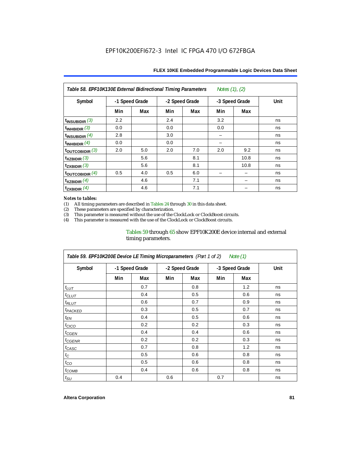| Table 58. EPF10K130E External Bidirectional Timing Parameters<br>Notes $(1)$ , $(2)$ |                |     |                |     |     |                |      |  |  |  |
|--------------------------------------------------------------------------------------|----------------|-----|----------------|-----|-----|----------------|------|--|--|--|
| Symbol                                                                               | -1 Speed Grade |     | -2 Speed Grade |     |     | -3 Speed Grade | Unit |  |  |  |
|                                                                                      | Min            | Max | Min            | Max | Min | Max            |      |  |  |  |
| $t_{INSUBIDIR}$ (3)                                                                  | 2.2            |     | 2.4            |     | 3.2 |                | ns   |  |  |  |
| t <sub>INHBIDIR</sub> $(3)$                                                          | 0.0            |     | 0.0            |     | 0.0 |                | ns   |  |  |  |
| $t_{\text{INSUBIDIR}}$ (4)                                                           | 2.8            |     | 3.0            |     |     |                | ns   |  |  |  |
| $t_{INHBIDIR}$ $(4)$                                                                 | 0.0            |     | 0.0            |     |     |                | ns   |  |  |  |
| t <sub>outcobidir</sub> $(3)$                                                        | 2.0            | 5.0 | 2.0            | 7.0 | 2.0 | 9.2            | ns   |  |  |  |
| $txz$ BIDIR $(3)$                                                                    |                | 5.6 |                | 8.1 |     | 10.8           | ns   |  |  |  |
| $t_{ZXBIDIR}$ (3)                                                                    |                | 5.6 |                | 8.1 |     | 10.8           | ns   |  |  |  |
| toutcobidir $(4)$                                                                    | 0.5            | 4.0 | 0.5            | 6.0 |     |                | ns   |  |  |  |
| $t_{XZBIDIR}$ (4)                                                                    |                | 4.6 |                | 7.1 |     |                | ns   |  |  |  |
| $t_{ZXBIDIR}$ (4)                                                                    |                | 4.6 |                | 7.1 |     |                | ns   |  |  |  |

#### *Notes to tables:*

(1) All timing parameters are described in Tables 24 through 30 in this data sheet.<br>(2) These parameters are specified by characterization.

(2) These parameters are specified by characterization.<br>
(3) This parameter is measured without the use of the C

This parameter is measured without the use of the ClockLock or ClockBoost circuits.

(4) This parameter is measured with the use of the ClockLock or ClockBoost circuits.

#### Tables 59 through 65 show EPF10K200E device internal and external timing parameters.

| Table 59. EPF10K200E Device LE Timing Microparameters (Part 1 of 2) Note (1) |                |     |                |     |                |     |      |  |  |  |
|------------------------------------------------------------------------------|----------------|-----|----------------|-----|----------------|-----|------|--|--|--|
| Symbol                                                                       | -1 Speed Grade |     | -2 Speed Grade |     | -3 Speed Grade |     | Unit |  |  |  |
|                                                                              | Min            | Max | Min            | Max | Min            | Max |      |  |  |  |
| $t_{LUT}$                                                                    |                | 0.7 |                | 0.8 |                | 1.2 | ns   |  |  |  |
| $t_{CLUT}$                                                                   |                | 0.4 |                | 0.5 |                | 0.6 | ns   |  |  |  |
| $t_{RLUT}$                                                                   |                | 0.6 |                | 0.7 |                | 0.9 | ns   |  |  |  |
| <sup>t</sup> PACKED                                                          |                | 0.3 |                | 0.5 |                | 0.7 | ns   |  |  |  |
| $t_{EN}$                                                                     |                | 0.4 |                | 0.5 |                | 0.6 | ns   |  |  |  |
| $t_{CICO}$                                                                   |                | 0.2 |                | 0.2 |                | 0.3 | ns   |  |  |  |
| $t_{GEN}$                                                                    |                | 0.4 |                | 0.4 |                | 0.6 | ns   |  |  |  |
| <sup>t</sup> CGENR                                                           |                | 0.2 |                | 0.2 |                | 0.3 | ns   |  |  |  |
| $t_{CASC}$                                                                   |                | 0.7 |                | 0.8 |                | 1.2 | ns   |  |  |  |
| $t_{\rm C}$                                                                  |                | 0.5 |                | 0.6 |                | 0.8 | ns   |  |  |  |
| $t_{CO}$                                                                     |                | 0.5 |                | 0.6 |                | 0.8 | ns   |  |  |  |
| $t_{COMB}$                                                                   |                | 0.4 |                | 0.6 |                | 0.8 | ns   |  |  |  |
| $t_{\rm SU}$                                                                 | 0.4            |     | 0.6            |     | 0.7            |     | ns   |  |  |  |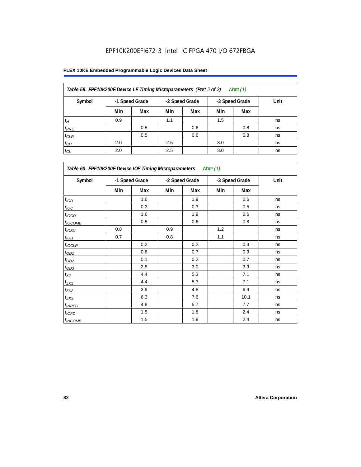| Table 59. EPF10K200E Device LE Timing Microparameters (Part 2 of 2) |                |     |                |     |                | Note (1) |      |
|---------------------------------------------------------------------|----------------|-----|----------------|-----|----------------|----------|------|
| Symbol                                                              | -1 Speed Grade |     | -2 Speed Grade |     | -3 Speed Grade |          | Unit |
|                                                                     | Min            | Max | Min            | Max | Min            | Max      |      |
| $t_H$                                                               | 0.9            |     | 1.1            |     | 1.5            |          | ns   |
| $t_{PRE}$                                                           |                | 0.5 |                | 0.6 |                | 0.8      | ns   |
| $t_{CLR}$                                                           |                | 0.5 |                | 0.6 |                | 0.8      | ns   |
| $t_{CH}$                                                            | 2.0            |     | 2.5            |     | 3.0            |          | ns   |
| $t_{CL}$                                                            | 2.0            |     | 2.5            |     | 3.0            |          | ns   |

| Table 60. EPF10K200E Device IOE Timing Microparameters Note (1) |                |     |                |     |                |      |      |  |  |
|-----------------------------------------------------------------|----------------|-----|----------------|-----|----------------|------|------|--|--|
| Symbol                                                          | -1 Speed Grade |     | -2 Speed Grade |     | -3 Speed Grade |      | Unit |  |  |
|                                                                 | Min            | Max | Min            | Max | Min            | Max  |      |  |  |
| t <sub>IOD</sub>                                                |                | 1.6 |                | 1.9 |                | 2.6  | ns   |  |  |
| $t_{\text{IOC}}$                                                |                | 0.3 |                | 0.3 |                | 0.5  | ns   |  |  |
| $t_{IOCO}$                                                      |                | 1.6 |                | 1.9 |                | 2.6  | ns   |  |  |
| $t_{IOCOMB}$                                                    |                | 0.5 |                | 0.6 |                | 0.8  | ns   |  |  |
| $t_{IOSU}$                                                      | 0.8            |     | 0.9            |     | 1.2            |      | ns   |  |  |
| $t_{IOH}$                                                       | 0.7            |     | 0.8            |     | 1.1            |      | ns   |  |  |
| $t_{IOCLR}$                                                     |                | 0.2 |                | 0.2 |                | 0.3  | ns   |  |  |
| $t_{OD1}$                                                       |                | 0.6 |                | 0.7 |                | 0.9  | ns   |  |  |
| $t_{OD2}$                                                       |                | 0.1 |                | 0.2 |                | 0.7  | ns   |  |  |
| $t_{\underline{OD3}}$                                           |                | 2.5 |                | 3.0 |                | 3.9  | ns   |  |  |
| $t_{\mathsf{XZ}}$                                               |                | 4.4 |                | 5.3 |                | 7.1  | ns   |  |  |
| $t_{ZX1}$                                                       |                | 4.4 |                | 5.3 |                | 7.1  | ns   |  |  |
| $t_{ZX2}$                                                       |                | 3.9 |                | 4.8 |                | 6.9  | ns   |  |  |
| $t_{ZX3}$                                                       |                | 6.3 |                | 7.6 |                | 10.1 | ns   |  |  |
| $t_{INREG}$                                                     |                | 4.8 |                | 5.7 |                | 7.7  | ns   |  |  |
| $t_{IOFD}$                                                      |                | 1.5 |                | 1.8 |                | 2.4  | ns   |  |  |
| $t_{INCOMB}$                                                    |                | 1.5 |                | 1.8 |                | 2.4  | ns   |  |  |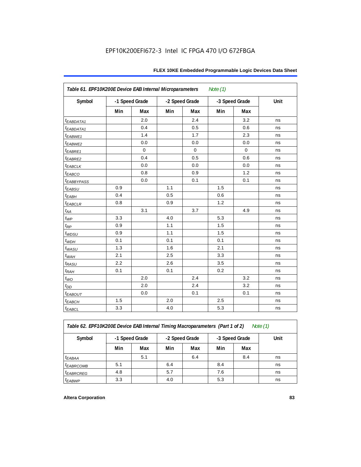| Table 61. EPF10K200E Device EAB Internal Microparameters<br>Note $(1)$ |     |                |     |                |     |                |      |  |  |  |
|------------------------------------------------------------------------|-----|----------------|-----|----------------|-----|----------------|------|--|--|--|
| Symbol                                                                 |     | -1 Speed Grade |     | -2 Speed Grade |     | -3 Speed Grade | Unit |  |  |  |
|                                                                        | Min | Max            | Min | Max            | Min | Max            |      |  |  |  |
| <i>EABDATA1</i>                                                        |     | 2.0            |     | 2.4            |     | 3.2            | ns   |  |  |  |
| $t_{EABDATA1}$                                                         |     | 0.4            |     | 0.5            |     | 0.6            | ns   |  |  |  |
| t <sub>EABWE1</sub>                                                    |     | 1.4            |     | 1.7            |     | 2.3            | ns   |  |  |  |
| t <sub>EABWE2</sub>                                                    |     | 0.0            |     | 0.0            |     | 0.0            | ns   |  |  |  |
| $t_{EABRE1}$                                                           |     | $\mathbf 0$    |     | $\pmb{0}$      |     | $\mathbf 0$    | ns   |  |  |  |
| $t_{EABRE2}$                                                           |     | 0.4            |     | 0.5            |     | 0.6            | ns   |  |  |  |
| $t_{EABCLK}$                                                           |     | 0.0            |     | 0.0            |     | 0.0            | ns   |  |  |  |
| t <sub>EABCO</sub>                                                     |     | 0.8            |     | 0.9            |     | 1.2            | ns   |  |  |  |
| <i><b>EABBYPASS</b></i>                                                |     | 0.0            |     | 0.1            |     | 0.1            | ns   |  |  |  |
| $t_{EABSU}$                                                            | 0.9 |                | 1.1 |                | 1.5 |                | ns   |  |  |  |
| $t_{EABH}$                                                             | 0.4 |                | 0.5 |                | 0.6 |                | ns   |  |  |  |
| $t_{EABCLR}$                                                           | 0.8 |                | 0.9 |                | 1.2 |                | ns   |  |  |  |
| $t_{\!A\!A}$                                                           |     | 3.1            |     | 3.7            |     | 4.9            | ns   |  |  |  |
| $t_{WP}$                                                               | 3.3 |                | 4.0 |                | 5.3 |                | ns   |  |  |  |
| $t_{RP}$                                                               | 0.9 |                | 1.1 |                | 1.5 |                | ns   |  |  |  |
| $t_{WDSU}$                                                             | 0.9 |                | 1.1 |                | 1.5 |                | ns   |  |  |  |
| $t_{WDH}$                                                              | 0.1 |                | 0.1 |                | 0.1 |                | ns   |  |  |  |
| $t_{WASU}$                                                             | 1.3 |                | 1.6 |                | 2.1 |                | ns   |  |  |  |
| $t_{W\!AH}$                                                            | 2.1 |                | 2.5 |                | 3.3 |                | ns   |  |  |  |
| $t_{RASU}$                                                             | 2.2 |                | 2.6 |                | 3.5 |                | ns   |  |  |  |
| $t_{RAH}$                                                              | 0.1 |                | 0.1 |                | 0.2 |                | ns   |  |  |  |
| $t_{WO}$                                                               |     | 2.0            |     | 2.4            |     | 3.2            | ns   |  |  |  |
| $t_{DD}$                                                               |     | 2.0            |     | 2.4            |     | 3.2            | ns   |  |  |  |
| $t_{EABOUT}$                                                           |     | 0.0            |     | 0.1            |     | 0.1            | ns   |  |  |  |
| $t_{EABCH}$                                                            | 1.5 |                | 2.0 |                | 2.5 |                | ns   |  |  |  |
| $t_{EABCL}$                                                            | 3.3 |                | 4.0 |                | 5.3 |                | ns   |  |  |  |

*Table 62. EPF10K200E Device EAB Internal Timing Macroparameters (Part 1 of 2) Note (1)*

| Symbol                      | -1 Speed Grade |     | -2 Speed Grade |     | -3 Speed Grade |     | Unit |  |  |  |  |
|-----------------------------|----------------|-----|----------------|-----|----------------|-----|------|--|--|--|--|
|                             | Min            | Max | Min            | Max | Min            | Max |      |  |  |  |  |
| $t_{EABA}$                  |                | 5.1 |                | 6.4 |                | 8.4 | ns   |  |  |  |  |
| <i>t<sub>EABRCOMB</sub></i> | 5.1            |     | 6.4            |     | 8.4            |     | ns   |  |  |  |  |
| <b><i>EABRCREG</i></b>      | 4.8            |     | 5.7            |     | 7.6            |     | ns   |  |  |  |  |
| <b>t</b> EABWP              | 3.3            |     | 4.0            |     | 5.3            |     | ns   |  |  |  |  |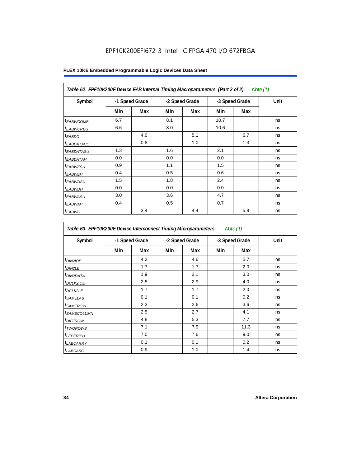| Table 62. EPF10K200E Device EAB Internal Timing Macroparameters (Part 2 of 2)<br>Note $(1)$ |     |                |                |     |                |     |      |  |  |  |
|---------------------------------------------------------------------------------------------|-----|----------------|----------------|-----|----------------|-----|------|--|--|--|
| Symbol                                                                                      |     | -1 Speed Grade | -2 Speed Grade |     | -3 Speed Grade |     | Unit |  |  |  |
|                                                                                             | Min | Max            | Min            | Max | Min            | Max |      |  |  |  |
| <sup>t</sup> EABWCOMB                                                                       | 6.7 |                | 8.1            |     | 10.7           |     | ns   |  |  |  |
| <sup>t</sup> EABWCREG                                                                       | 6.6 |                | 8.0            |     | 10.6           |     | ns   |  |  |  |
| <sup>t</sup> EABDD                                                                          |     | 4.0            |                | 5.1 |                | 6.7 | ns   |  |  |  |
| <i>EABDATACO</i>                                                                            |     | 0.8            |                | 1.0 |                | 1.3 | ns   |  |  |  |
| <sup>t</sup> EABDATASU                                                                      | 1.3 |                | 1.6            |     | 2.1            |     | ns   |  |  |  |
| <sup>t</sup> EABDATAH                                                                       | 0.0 |                | 0.0            |     | 0.0            |     | ns   |  |  |  |
| <sup>t</sup> EABWESU                                                                        | 0.9 |                | 1.1            |     | 1.5            |     | ns   |  |  |  |
| $t_{EABWEH}$                                                                                | 0.4 |                | 0.5            |     | 0.6            |     | ns   |  |  |  |
| <sup>t</sup> EABWDSU                                                                        | 1.5 |                | 1.8            |     | 2.4            |     | ns   |  |  |  |
| <sup>t</sup> EABWDH                                                                         | 0.0 |                | 0.0            |     | 0.0            |     | ns   |  |  |  |
| <sup>t</sup> EABWASU                                                                        | 3.0 |                | 3.6            |     | 4.7            |     | ns   |  |  |  |
| <sup>t</sup> EABWAH                                                                         | 0.4 |                | 0.5            |     | 0.7            |     | ns   |  |  |  |
| $t_{EABWO}$                                                                                 |     | 3.4            |                | 4.4 |                | 5.8 | ns   |  |  |  |

| Symbol                  | -1 Speed Grade |     | -2 Speed Grade |     | -3 Speed Grade |      | Unit |
|-------------------------|----------------|-----|----------------|-----|----------------|------|------|
|                         | Min            | Max | Min            | Max | Min            | Max  |      |
| $t_{DINZIOE}$           |                | 4.2 |                | 4.6 |                | 5.7  | ns   |
| t <sub>DIN2LE</sub>     |                | 1.7 |                | 1.7 |                | 2.0  | ns   |
| <sup>t</sup> DIN2DATA   |                | 1.9 |                | 2.1 |                | 3.0  | ns   |
| <sup>t</sup> DCLK2IOE   |                | 2.5 |                | 2.9 |                | 4.0  | ns   |
| <sup>t</sup> DCLK2LE    |                | 1.7 |                | 1.7 |                | 2.0  | ns   |
| <sup>t</sup> SAMELAB    |                | 0.1 |                | 0.1 |                | 0.2  | ns   |
| <sup>t</sup> SAMEROW    |                | 2.3 |                | 2.6 |                | 3.6  | ns   |
| <sup>t</sup> SAMECOLUMN |                | 2.5 |                | 2.7 |                | 4.1  | ns   |
| <sup>t</sup> DIFFROW    |                | 4.8 |                | 5.3 |                | 7.7  | ns   |
| <sup>t</sup> TWOROWS    |                | 7.1 |                | 7.9 |                | 11.3 | ns   |
| <sup>t</sup> LEPERIPH   |                | 7.0 |                | 7.6 |                | 9.0  | ns   |
| <sup>t</sup> LABCARRY   |                | 0.1 |                | 0.1 |                | 0.2  | ns   |
| t <sub>LABCASC</sub>    |                | 0.9 |                | 1.0 |                | 1.4  | ns   |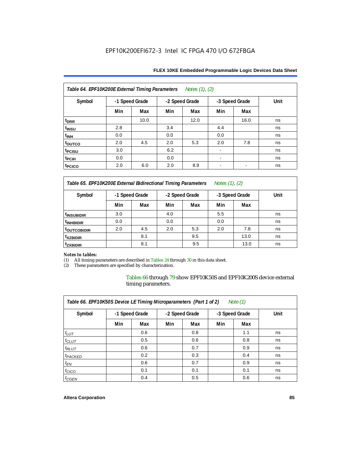| FLEX 10KE Embedded Programmable Logic Devices Data Sheet |  |
|----------------------------------------------------------|--|
|----------------------------------------------------------|--|

| Table 64. EPF10K200E External Timing Parameters<br>Notes (1), (2) |                |      |     |                |     |                          |      |  |  |  |  |
|-------------------------------------------------------------------|----------------|------|-----|----------------|-----|--------------------------|------|--|--|--|--|
| Symbol                                                            | -1 Speed Grade |      |     | -2 Speed Grade |     | -3 Speed Grade           | Unit |  |  |  |  |
|                                                                   | Min            | Max  | Min | Max            | Min | Max                      |      |  |  |  |  |
| t <sub>DRR</sub>                                                  |                | 10.0 |     | 12.0           |     | 16.0                     | ns   |  |  |  |  |
| t <sub>INSU</sub>                                                 | 2.8            |      | 3.4 |                | 4.4 |                          | ns   |  |  |  |  |
| $t_{\mathsf{INH}}$                                                | 0.0            |      | 0.0 |                | 0.0 |                          | ns   |  |  |  |  |
| toutco                                                            | 2.0            | 4.5  | 2.0 | 5.3            | 2.0 | 7.8                      | ns   |  |  |  |  |
| t <sub>PCISU</sub>                                                | 3.0            |      | 6.2 |                |     |                          | ns   |  |  |  |  |
| t <sub>PCIH</sub>                                                 | 0.0            |      | 0.0 |                |     |                          | ns   |  |  |  |  |
| t <sub>PCICO</sub>                                                | 2.0            | 6.0  | 2.0 | 8.9            | -   | $\overline{\phantom{a}}$ | ns   |  |  |  |  |

*Table 65. EPF10K200E External Bidirectional Timing Parameters Notes (1), (2)*

| Symbol                  | -1 Speed Grade |     | -2 Speed Grade |     | -3 Speed Grade |      | Unit |
|-------------------------|----------------|-----|----------------|-----|----------------|------|------|
|                         | Min            | Max | Min            | Max | Min            | Max  |      |
| <sup>t</sup> INSUBIDIR  | 3.0            |     | 4.0            |     | 5.5            |      | ns   |
| <sup>t</sup> INHBIDIR   | 0.0            |     | 0.0            |     | 0.0            |      | ns   |
| <sup>T</sup> OUTCOBIDIR | 2.0            | 4.5 | 2.0            | 5.3 | 2.0            | 7.8  | ns   |
| <sup>t</sup> xzbidir    |                | 8.1 |                | 9.5 |                | 13.0 | ns   |
| <sup>T</sup> ZXBIDIR    |                | 8.1 |                | 9.5 |                | 13.0 | ns   |

# *Notes to tables:*

(1) All timing parameters are described in Tables 24 through 30 in this data sheet.<br>(2) These parameters are specified by characterization.

These parameters are specified by characterization.

Tables 66 through 79 show EPF10K50S and EPF10K200S device external timing parameters.

| Table 66. EPF10K50S Device LE Timing Microparameters (Part 1 of 2)<br>Note $(1)$ |                |     |                |     |                |     |      |  |  |  |
|----------------------------------------------------------------------------------|----------------|-----|----------------|-----|----------------|-----|------|--|--|--|
| Symbol                                                                           | -1 Speed Grade |     | -2 Speed Grade |     | -3 Speed Grade |     | Unit |  |  |  |
|                                                                                  | Min            | Max | Min            | Max | Min            | Max |      |  |  |  |
| $t_{LUT}$                                                                        |                | 0.6 |                | 0.8 |                | 1.1 | ns   |  |  |  |
| $t_{CLUT}$                                                                       |                | 0.5 |                | 0.6 |                | 0.8 | ns   |  |  |  |
| $t_{RLUT}$                                                                       |                | 0.6 |                | 0.7 |                | 0.9 | ns   |  |  |  |
| t <sub>PACKED</sub>                                                              |                | 0.2 |                | 0.3 |                | 0.4 | ns   |  |  |  |
| $t_{EN}$                                                                         |                | 0.6 |                | 0.7 |                | 0.9 | ns   |  |  |  |
| $t_{CICO}$                                                                       |                | 0.1 |                | 0.1 |                | 0.1 | ns   |  |  |  |
| $t_{\text{GEN}}$                                                                 |                | 0.4 |                | 0.5 |                | 0.6 | ns   |  |  |  |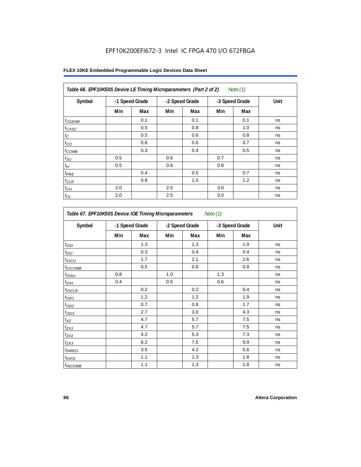|  |  |  | FLEX 10KE Embedded Programmable Logic Devices Data Sheet |  |  |  |  |
|--|--|--|----------------------------------------------------------|--|--|--|--|
|--|--|--|----------------------------------------------------------|--|--|--|--|

| Symbol            |     | -1 Speed Grade | -2 Speed Grade |     | -3 Speed Grade |     | Unit |
|-------------------|-----|----------------|----------------|-----|----------------|-----|------|
|                   | Min | Max            | Min            | Max | Min            | Max |      |
| $t_{GENR}$        |     | 0.1            |                | 0.1 |                | 0.1 | ns   |
| t <sub>CASC</sub> |     | 0.5            |                | 0.8 |                | 1.0 | ns   |
| $t_C$             |     | 0.5            |                | 0.6 |                | 0.8 | ns   |
| $t_{CO}$          |     | 0.6            |                | 0.6 |                | 0.7 | ns   |
| $t_{COMB}$        |     | 0.3            |                | 0.4 |                | 0.5 | ns   |
| $t_{\text{SU}}$   | 0.5 |                | 0.6            |     | 0.7            |     | ns   |
| $t_H$             | 0.5 |                | 0.6            |     | 0.8            |     | ns   |
| $t_{PRE}$         |     | 0.4            |                | 0.5 |                | 0.7 | ns   |
| $t_{CLR}$         |     | 0.8            |                | 1.0 |                | 1.2 | ns   |
| $t_{CH}$          | 2.0 |                | 2.5            |     | 3.0            |     | ns   |
| $t_{CL}$          | 2.0 |                | 2.5            |     | 3.0            |     | ns   |

| Table 67. EPF10K50S Device IOE Timing Microparameters Note (1) |                |     |     |                |     |                |      |  |  |
|----------------------------------------------------------------|----------------|-----|-----|----------------|-----|----------------|------|--|--|
| Symbol                                                         | -1 Speed Grade |     |     | -2 Speed Grade |     | -3 Speed Grade | Unit |  |  |
|                                                                | Min            | Max | Min | Max            | Min | Max            |      |  |  |
| t <sub>IOD</sub>                                               |                | 1.3 |     | 1.3            |     | 1.9            | ns   |  |  |
| $t_{\text{IOC}}$                                               |                | 0.3 |     | 0.4            |     | 0.4            | ns   |  |  |
| $t_{IOCO}$                                                     |                | 1.7 |     | 2.1            |     | 2.6            | ns   |  |  |
| $t_{IOCOMB}$                                                   |                | 0.5 |     | 0.6            |     | 0.8            | ns   |  |  |
| $t_{IOSU}$                                                     | 0.8            |     | 1.0 |                | 1.3 |                | ns   |  |  |
| $t_{IOH}$                                                      | 0.4            |     | 0.5 |                | 0.6 |                | ns   |  |  |
| $t_{IOCLR}$                                                    |                | 0.2 |     | 0.2            |     | 0.4            | ns   |  |  |
| $t_{OD1}$                                                      |                | 1.2 |     | 1.2            |     | 1.9            | ns   |  |  |
| $t_{OD2}$                                                      |                | 0.7 |     | 0.8            |     | 1.7            | ns   |  |  |
| $t_{OD3}$                                                      |                | 2.7 |     | 3.0            |     | 4.3            | ns   |  |  |
| $t_{XZ}$                                                       |                | 4.7 |     | 5.7            |     | 7.5            | ns   |  |  |
| $t_{ZX1}$                                                      |                | 4.7 |     | 5.7            |     | 7.5            | ns   |  |  |
| $t_{ZX2}$                                                      |                | 4.2 |     | 5.3            |     | 7.3            | ns   |  |  |
| $t_{ZX3}$                                                      |                | 6.2 |     | 7.5            |     | 9.9            | ns   |  |  |
| $t_{INREG}$                                                    |                | 3.5 |     | 4.2            |     | 5.6            | ns   |  |  |
| $t_{IOED}$                                                     |                | 1.1 |     | 1.3            |     | 1.8            | ns   |  |  |
| <i>t</i> <sub>INCOMB</sub>                                     |                | 1.1 |     | 1.3            |     | 1.8            | ns   |  |  |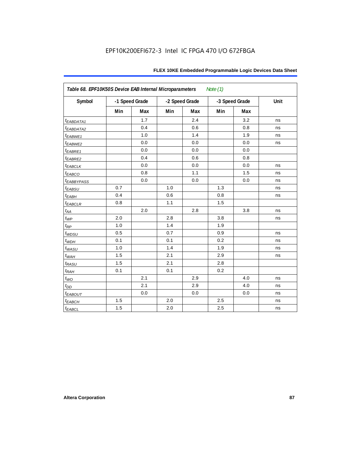| Table 68. EPF10K50S Device EAB Internal Microparameters<br>Note $(1)$ |     |                |     |                |     |                |      |  |  |  |
|-----------------------------------------------------------------------|-----|----------------|-----|----------------|-----|----------------|------|--|--|--|
| Symbol                                                                |     | -1 Speed Grade |     | -2 Speed Grade |     | -3 Speed Grade | Unit |  |  |  |
|                                                                       | Min | Max            | Min | Max            | Min | Max            |      |  |  |  |
| t <sub>EABDATA1</sub>                                                 |     | 1.7            |     | 2.4            |     | 3.2            | ns   |  |  |  |
| $t_{EABDATA2}$                                                        |     | 0.4            |     | 0.6            |     | 0.8            | ns   |  |  |  |
| $t_{EABWE1}$                                                          |     | 1.0            |     | 1.4            |     | 1.9            | ns   |  |  |  |
| t <sub>EABWE2</sub>                                                   |     | 0.0            |     | 0.0            |     | 0.0            | ns   |  |  |  |
| $t_{EABRE1}$                                                          |     | 0.0            |     | 0.0            |     | 0.0            |      |  |  |  |
| $t_{EABRE2}$                                                          |     | 0.4            |     | 0.6            |     | 0.8            |      |  |  |  |
| $t_{EABCLK}$                                                          |     | 0.0            |     | 0.0            |     | 0.0            | ns   |  |  |  |
| $t_{EABCO}$                                                           |     | 0.8            |     | 1.1            |     | 1.5            | ns   |  |  |  |
| <i><b>EABBYPASS</b></i>                                               |     | 0.0            |     | 0.0            |     | 0.0            | ns   |  |  |  |
| $t_{EABSU}$                                                           | 0.7 |                | 1.0 |                | 1.3 |                | ns   |  |  |  |
| $t_{EABH}$                                                            | 0.4 |                | 0.6 |                | 0.8 |                | ns   |  |  |  |
| $t_{EABCLR}$                                                          | 0.8 |                | 1.1 |                | 1.5 |                |      |  |  |  |
| $t_{AA}$                                                              |     | 2.0            |     | 2.8            |     | 3.8            | ns   |  |  |  |
| $t_{WP}$                                                              | 2.0 |                | 2.8 |                | 3.8 |                | ns   |  |  |  |
| $t_{\!R\!P}$                                                          | 1.0 |                | 1.4 |                | 1.9 |                |      |  |  |  |
| $t_{WDSU}$                                                            | 0.5 |                | 0.7 |                | 0.9 |                | ns   |  |  |  |
| $t_{WDH}$                                                             | 0.1 |                | 0.1 |                | 0.2 |                | ns   |  |  |  |
| $t_{WASU}$                                                            | 1.0 |                | 1.4 |                | 1.9 |                | ns   |  |  |  |
| $t_{W\!AH}$                                                           | 1.5 |                | 2.1 |                | 2.9 |                | ns   |  |  |  |
| $t_{RASU}$                                                            | 1.5 |                | 2.1 |                | 2.8 |                |      |  |  |  |
| $t_{RAH}$                                                             | 0.1 |                | 0.1 |                | 0.2 |                |      |  |  |  |
| $t_{WO}$                                                              |     | 2.1            |     | 2.9            |     | 4.0            | ns   |  |  |  |
| $t_{DD}$                                                              |     | 2.1            |     | 2.9            |     | 4.0            | ns   |  |  |  |
| $t_{EABOUT}$                                                          |     | 0.0            |     | 0.0            |     | 0.0            | ns   |  |  |  |
| $t_{EABCH}$                                                           | 1.5 |                | 2.0 |                | 2.5 |                | ns   |  |  |  |
| $t_{EABCL}$                                                           | 1.5 |                | 2.0 |                | 2.5 |                | ns   |  |  |  |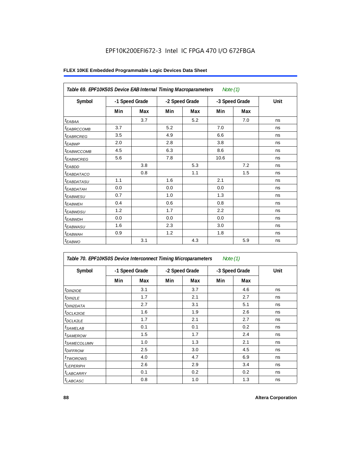| Table 69. EPF10K50S Device EAB Internal Timing Macroparameters |                |     |                |     | Note $(1)$     |     |      |
|----------------------------------------------------------------|----------------|-----|----------------|-----|----------------|-----|------|
| Symbol                                                         | -1 Speed Grade |     | -2 Speed Grade |     | -3 Speed Grade |     | Unit |
|                                                                | Min            | Max | Min            | Max | Min            | Max |      |
| $t_{EABA}$                                                     |                | 3.7 |                | 5.2 |                | 7.0 | ns   |
| <sup>t</sup> EABRCCOMB                                         | 3.7            |     | 5.2            |     | 7.0            |     | ns   |
| <sup>t</sup> EABRCREG                                          | 3.5            |     | 4.9            |     | 6.6            |     | ns   |
| $t_{EABWP}$                                                    | 2.0            |     | 2.8            |     | 3.8            |     | ns   |
| <sup>t</sup> EABWCCOMB                                         | 4.5            |     | 6.3            |     | 8.6            |     | ns   |
| t <sub>EABWCREG</sub>                                          | 5.6            |     | 7.8            |     | 10.6           |     | ns   |
| $t_{EABDD}$                                                    |                | 3.8 |                | 5.3 |                | 7.2 | ns   |
| <i>EABDATACO</i>                                               |                | 0.8 |                | 1.1 |                | 1.5 | ns   |
| <sup>t</sup> EABDATASU                                         | 1.1            |     | 1.6            |     | 2.1            |     | ns   |
| t <sub>EABDATAH</sub>                                          | 0.0            |     | 0.0            |     | 0.0            |     | ns   |
| t <sub>EABWESU</sub>                                           | 0.7            |     | 1.0            |     | 1.3            |     | ns   |
| $t_{EABWEH}$                                                   | 0.4            |     | 0.6            |     | 0.8            |     | ns   |
| t <sub>EABWDSU</sub>                                           | 1.2            |     | 1.7            |     | 2.2            |     | ns   |
| t <sub>EABWDH</sub>                                            | 0.0            |     | 0.0            |     | 0.0            |     | ns   |
| t <sub>EABWASU</sub>                                           | 1.6            |     | 2.3            |     | 3.0            |     | ns   |
| <sup>t</sup> EABWAH                                            | 0.9            |     | 1.2            |     | 1.8            |     | ns   |
| $t_{EABWO}$                                                    |                | 3.1 |                | 4.3 |                | 5.9 | ns   |

| Table 70. EPF10K50S Device Interconnect Timing Microparameters |                |     |                |     | Note $(1)$     |     |      |
|----------------------------------------------------------------|----------------|-----|----------------|-----|----------------|-----|------|
| Symbol                                                         | -1 Speed Grade |     | -2 Speed Grade |     | -3 Speed Grade |     | Unit |
|                                                                | Min            | Max | Min            | Max | Min            | Max |      |
| $t_{DIN2IOE}$                                                  |                | 3.1 |                | 3.7 |                | 4.6 | ns   |
| <sup>t</sup> DIN2LE                                            |                | 1.7 |                | 2.1 |                | 2.7 | ns   |
| <sup>t</sup> DIN2DATA                                          |                | 2.7 |                | 3.1 |                | 5.1 | ns   |
| <sup>t</sup> DCLK2IOE                                          |                | 1.6 |                | 1.9 |                | 2.6 | ns   |
| <sup>t</sup> DCLK2LE                                           |                | 1.7 |                | 2.1 |                | 2.7 | ns   |
| <sup>t</sup> SAMELAB                                           |                | 0.1 |                | 0.1 |                | 0.2 | ns   |
| <sup>t</sup> SAMEROW                                           |                | 1.5 |                | 1.7 |                | 2.4 | ns   |
| <sup>t</sup> SAMECOLUMN                                        |                | 1.0 |                | 1.3 |                | 2.1 | ns   |
| <i>t<sub>DIFFROW</sub></i>                                     |                | 2.5 |                | 3.0 |                | 4.5 | ns   |
| <sup>t</sup> TWOROWS                                           |                | 4.0 |                | 4.7 |                | 6.9 | ns   |
| <sup>t</sup> LEPERIPH                                          |                | 2.6 |                | 2.9 |                | 3.4 | ns   |
| <sup>t</sup> LABCARRY                                          |                | 0.1 |                | 0.2 |                | 0.2 | ns   |
| t <sub>LABCASC</sub>                                           |                | 0.8 |                | 1.0 |                | 1.3 | ns   |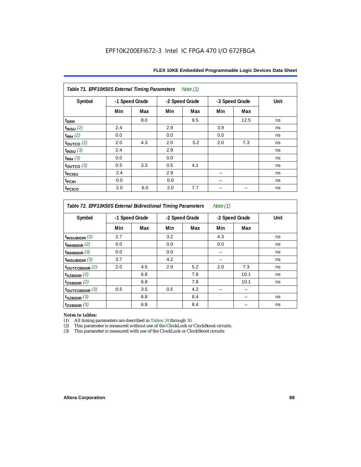| Table 71. EPF10K50S External Timing Parameters<br>Note (1) |                |     |     |                |                |      |      |  |  |  |  |
|------------------------------------------------------------|----------------|-----|-----|----------------|----------------|------|------|--|--|--|--|
| Symbol                                                     | -1 Speed Grade |     |     | -2 Speed Grade | -3 Speed Grade |      | Unit |  |  |  |  |
|                                                            | Min            | Max | Min | Max            | Min            | Max  |      |  |  |  |  |
| t <sub>DRR</sub>                                           |                | 8.0 |     | 9.5            |                | 12.5 | ns   |  |  |  |  |
| $t_{INSU}$ (2)                                             | 2.4            |     | 2.9 |                | 3.9            |      | ns   |  |  |  |  |
| $t_{INH}$ (2)                                              | 0.0            |     | 0.0 |                | 0.0            |      | ns   |  |  |  |  |
| $\tt_{\text{OUTCO}}$ (2)                                   | 2.0            | 4.3 | 2.0 | 5.2            | 2.0            | 7.3  | ns   |  |  |  |  |
| $t_{INSU}$ (3)                                             | 2.4            |     | 2.9 |                |                |      | ns   |  |  |  |  |
| $t_{INH}$ (3)                                              | 0.0            |     | 0.0 |                |                |      | ns   |  |  |  |  |
| $\tt_{\text{OUTCO}}$ (3)                                   | 0.5            | 3.3 | 0.5 | 4.1            |                |      | ns   |  |  |  |  |
| t <sub>PCISU</sub>                                         | 2.4            |     | 2.9 |                |                |      | ns   |  |  |  |  |
| t <sub>PCIH</sub>                                          | 0.0            |     | 0.0 |                |                |      | ns   |  |  |  |  |
| t <sub>PCICO</sub>                                         | 2.0            | 6.0 | 2.0 | 7.7            |                |      | ns   |  |  |  |  |

*Table 72. EPF10K50S External Bidirectional Timing Parameters Note (1)*

| Symbol                     | -1 Speed Grade |     |     | -2 Speed Grade |     | -3 Speed Grade |    |
|----------------------------|----------------|-----|-----|----------------|-----|----------------|----|
|                            | Min            | Max | Min | Max            | Min | Max            |    |
| $t_{INSUBIDIR}$ (2)        | 2.7            |     | 3.2 |                | 4.3 |                | ns |
| $t_{INHBIDIR}$ (2)         | 0.0            |     | 0.0 |                | 0.0 |                | ns |
| $t_{INHBIDIR}$ (3)         | 0.0            |     | 0.0 |                |     |                | ns |
| $t_{INSUBIDIR}$ (3)        | 3.7            |     | 4.2 |                |     |                | ns |
| $t_{\text{OUTCOBIDIR}}(2)$ | 2.0            | 4.5 | 2.0 | 5.2            | 2.0 | 7.3            | ns |
| $t_{XZBIDIR}$ $(2)$        |                | 6.8 |     | 7.8            |     | 10.1           | ns |
| $t_{ZXBIDIR}$ (2)          |                | 6.8 |     | 7.8            |     | 10.1           | ns |
| toutcobidir $(3)$          | 0.5            | 3.5 | 0.5 | 4.2            |     |                |    |
| $t_{XZBIDIR}$ (3)          |                | 6.8 |     | 8.4            |     |                | ns |
| $t_{ZXBIDIR}$ (3)          |                | 6.8 |     | 8.4            |     |                | ns |

*Notes to tables:* All timing parameters are described in Tables 24 through 30.

(2) This parameter is measured without use of the ClockLock or ClockBoost circuits.<br>(3) This parameter is measured with use of the ClockLock or ClockBoost circuits

This parameter is measured with use of the ClockLock or ClockBoost circuits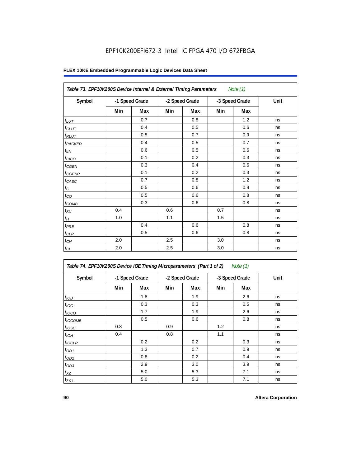| Table 73. EPF10K200S Device Internal & External Timing Parameters |                |     |     |                |     | Note $(1)$     |      |
|-------------------------------------------------------------------|----------------|-----|-----|----------------|-----|----------------|------|
| Symbol                                                            | -1 Speed Grade |     |     | -2 Speed Grade |     | -3 Speed Grade | Unit |
|                                                                   | Min            | Max | Min | Max            | Min | Max            |      |
| $t_{LUT}$                                                         |                | 0.7 |     | 0.8            |     | 1.2            | ns   |
| $t_{CLUT}$                                                        |                | 0.4 |     | 0.5            |     | 0.6            | ns   |
| $t_{RLUT}$                                                        |                | 0.5 |     | 0.7            |     | 0.9            | ns   |
| t <sub>PACKED</sub>                                               |                | 0.4 |     | 0.5            |     | 0.7            | ns   |
| $t_{EN}$                                                          |                | 0.6 |     | 0.5            |     | 0.6            | ns   |
| $t_{CICO}$                                                        |                | 0.1 |     | 0.2            |     | 0.3            | ns   |
| $t_{CGEN}$                                                        |                | 0.3 |     | 0.4            |     | 0.6            | ns   |
| $t_{\text{GENR}}$                                                 |                | 0.1 |     | 0.2            |     | 0.3            | ns   |
| $t_{CASC}$                                                        |                | 0.7 |     | 0.8            |     | 1.2            | ns   |
| $t_{\rm C}$                                                       |                | 0.5 |     | 0.6            |     | 0.8            | ns   |
| $t_{\rm CO}$                                                      |                | 0.5 |     | 0.6            |     | 0.8            | ns   |
| $t_{COMB}$                                                        |                | 0.3 |     | 0.6            |     | 0.8            | ns   |
| $t_{\rm SU}$                                                      | 0.4            |     | 0.6 |                | 0.7 |                | ns   |
| $t_H\,$                                                           | 1.0            |     | 1.1 |                | 1.5 |                | ns   |
| $t_{PRE}$                                                         |                | 0.4 |     | 0.6            |     | 0.8            | ns   |
| $t_{CLR}$                                                         |                | 0.5 |     | 0.6            |     | 0.8            | ns   |
| $t_{CH}$                                                          | 2.0            |     | 2.5 |                | 3.0 |                | ns   |
| $t_{CL}$                                                          | 2.0            |     | 2.5 |                | 3.0 |                | ns   |

| Table 74. EPF10K200S Device IOE Timing Microparameters (Part 1 of 2) Note (1) |  |  |  |  |
|-------------------------------------------------------------------------------|--|--|--|--|
|-------------------------------------------------------------------------------|--|--|--|--|

| Symbol           | -1 Speed Grade |     |     | -2 Speed Grade |     | -3 Speed Grade | Unit |  |
|------------------|----------------|-----|-----|----------------|-----|----------------|------|--|
|                  | Min            | Max | Min | Max            | Min | Max            |      |  |
| t <sub>IOD</sub> |                | 1.8 |     | 1.9            |     | 2.6            | ns   |  |
| $t_{\text{IOC}}$ |                | 0.3 |     | 0.3            |     | 0.5            | ns   |  |
| $t_{IOCO}$       |                | 1.7 |     | 1.9            |     | 2.6            | ns   |  |
| $t_{IOCOMB}$     |                | 0.5 |     | 0.6            |     | 0.8            | ns   |  |
| $t_{IOSU}$       | 0.8            |     | 0.9 |                | 1.2 |                | ns   |  |
| $t_{IOH}$        | 0.4            |     | 0.8 |                | 1.1 |                | ns   |  |
| $t_{IOCLR}$      |                | 0.2 |     | 0.2            |     | 0.3            | ns   |  |
| $t_{OD1}$        |                | 1.3 |     | 0.7            |     | 0.9            | ns   |  |
| $t_{OD2}$        |                | 0.8 |     | 0.2            |     | 0.4            | ns   |  |
| $t_{OD3}$        |                | 2.9 |     | 3.0            |     | 3.9            | ns   |  |
| $t_{XZ}$         |                | 5.0 |     | 5.3            |     | 7.1            | ns   |  |
| $t_{ZX1}$        |                | 5.0 |     | 5.3            |     | 7.1            | ns   |  |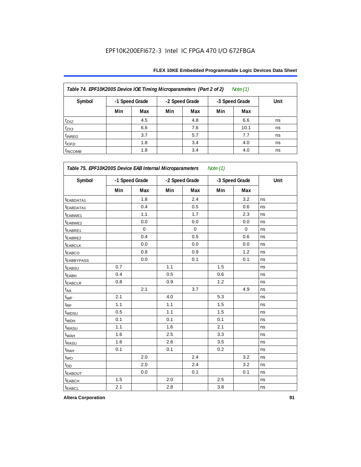| FLEX 10KE Embedded Programmable Logic Devices Data Sheet |  |
|----------------------------------------------------------|--|
|----------------------------------------------------------|--|

| Table 74. EPF10K200S Device IOE Timing Microparameters (Part 2 of 2)<br>Note (1) |                                                    |     |     |     |      |      |    |  |  |  |
|----------------------------------------------------------------------------------|----------------------------------------------------|-----|-----|-----|------|------|----|--|--|--|
| Symbol                                                                           | -1 Speed Grade<br>-2 Speed Grade<br>-3 Speed Grade |     |     |     | Unit |      |    |  |  |  |
|                                                                                  | Min                                                | Max | Min | Max | Min  | Max  |    |  |  |  |
| $t_{ZX2}$                                                                        |                                                    | 4.5 |     | 4.8 |      | 6.6  | ns |  |  |  |
| $t_{ZX3}$                                                                        |                                                    | 6.6 |     | 7.6 |      | 10.1 | ns |  |  |  |
| $t_{INREG}$                                                                      |                                                    | 3.7 |     | 5.7 |      | 7.7  | ns |  |  |  |
| $t_{IOFD}$                                                                       |                                                    | 1.8 |     | 3.4 |      | 4.0  | ns |  |  |  |
| $t_{INCOMB}$                                                                     |                                                    | 1.8 |     | 3.4 |      | 4.0  | ns |  |  |  |

| Symbol                 | -1 Speed Grade |             |     | -2 Speed Grade |     | -3 Speed Grade |    |
|------------------------|----------------|-------------|-----|----------------|-----|----------------|----|
|                        | Min            | Max         | Min | Max            | Min | Max            |    |
| t <sub>EABDATA1</sub>  |                | 1.8         |     | 2.4            |     | 3.2            | ns |
| t <sub>EABDATA1</sub>  |                | 0.4         |     | 0.5            |     | 0.6            | ns |
| t <sub>EABWE1</sub>    |                | 1.1         |     | 1.7            |     | 2.3            | ns |
| t <sub>EABWE2</sub>    |                | 0.0         |     | 0.0            |     | 0.0            | ns |
| t <sub>EABRE1</sub>    |                | $\mathbf 0$ |     | 0              |     | $\mathbf 0$    | ns |
| t <sub>EABRE2</sub>    |                | 0.4         |     | 0.5            |     | 0.6            | ns |
| <sup>t</sup> EABCLK    |                | 0.0         |     | 0.0            |     | 0.0            | ns |
| <b>EABCO</b>           |                | 0.8         |     | 0.9            |     | 1.2            | ns |
| <sup>t</sup> EABBYPASS |                | 0.0         |     | 0.1            |     | 0.1            | ns |
| t <sub>EABSU</sub>     | 0.7            |             | 1.1 |                | 1.5 |                | ns |
| <sup>t</sup> EABH      | 0.4            |             | 0.5 |                | 0.6 |                | ns |
| t <sub>EABCLR</sub>    | 0.8            |             | 0.9 |                | 1.2 |                | ns |
| $t_{AA}$               |                | 2.1         |     | 3.7            |     | 4.9            | ns |
| $t_{WP}$               | 2.1            |             | 4.0 |                | 5.3 |                | ns |
| $t_{RP}$               | 1.1            |             | 1.1 |                | 1.5 |                | ns |
| t <sub>WDSU</sub>      | 0.5            |             | 1.1 |                | 1.5 |                | ns |
| t <sub>WDH</sub>       | 0.1            |             | 0.1 |                | 0.1 |                | ns |
| t <sub>WASU</sub>      | 1.1            |             | 1.6 |                | 2.1 |                | ns |
| t <sub>WAH</sub>       | 1.6            |             | 2.5 |                | 3.3 |                | ns |
| t <sub>RASU</sub>      | 1.6            |             | 2.6 |                | 3.5 |                | ns |
| $t_{\sf RAH}$          | 0.1            |             | 0.1 |                | 0.2 |                | ns |
| $t_{\text{WO}}$        |                | 2.0         |     | 2.4            |     | 3.2            | ns |
| t <sub>DD</sub>        |                | 2.0         |     | 2.4            |     | 3.2            | ns |
| <b><i>EABOUT</i></b>   |                | 0.0         |     | 0.1            |     | 0.1            | ns |
| <b>t</b> EABCH         | 1.5            |             | 2.0 |                | 2.5 |                | ns |
| t <sub>EABCL</sub>     | 2.1            |             | 2.8 |                | 3.8 |                | ns |

**Altera Corporation 91**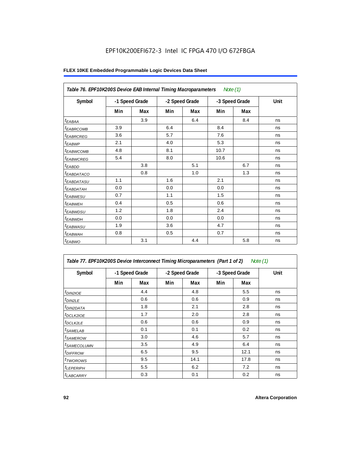| Table 76. EPF10K200S Device EAB Internal Timing Macroparameters Note (1) |                |     |                |     |                |     |      |  |
|--------------------------------------------------------------------------|----------------|-----|----------------|-----|----------------|-----|------|--|
| Symbol                                                                   | -1 Speed Grade |     | -2 Speed Grade |     | -3 Speed Grade |     | Unit |  |
|                                                                          | Min            | Max | Min            | Max | Min            | Max |      |  |
| $t_{EABA}$                                                               |                | 3.9 |                | 6.4 |                | 8.4 | ns   |  |
| <sup>t</sup> EABRCOMB                                                    | 3.9            |     | 6.4            |     | 8.4            |     | ns   |  |
| <i><b>EABRCREG</b></i>                                                   | 3.6            |     | 5.7            |     | 7.6            |     | ns   |  |
| $t_{EABWP}$                                                              | 2.1            |     | 4.0            |     | 5.3            |     | ns   |  |
| <sup>t</sup> ЕАВWСОМВ                                                    | 4.8            |     | 8.1            |     | 10.7           |     | ns   |  |
| <i>EABWCREG</i>                                                          | 5.4            |     | 8.0            |     | 10.6           |     | ns   |  |
| $t_{EABDD}$                                                              |                | 3.8 |                | 5.1 |                | 6.7 | ns   |  |
| t <sub>eabdataco</sub>                                                   |                | 0.8 |                | 1.0 |                | 1.3 | ns   |  |
| <sup>t</sup> EABDATASU                                                   | 1.1            |     | 1.6            |     | 2.1            |     | ns   |  |
| t <sub>EABDATAH</sub>                                                    | 0.0            |     | 0.0            |     | 0.0            |     | ns   |  |
| t <sub>EABWESU</sub>                                                     | 0.7            |     | 1.1            |     | 1.5            |     | ns   |  |
| $t_{EABWEH}$                                                             | 0.4            |     | 0.5            |     | 0.6            |     | ns   |  |
| t <sub>EABWDSU</sub>                                                     | 1.2            |     | 1.8            |     | 2.4            |     | ns   |  |
| t <sub>EABWDH</sub>                                                      | 0.0            |     | 0.0            |     | 0.0            |     | ns   |  |
| t <sub>EABWASU</sub>                                                     | 1.9            |     | 3.6            |     | 4.7            |     | ns   |  |
| <sup>t</sup> EABWAH                                                      | 0.8            |     | 0.5            |     | 0.7            |     | ns   |  |
| $t_{EABWO}$                                                              |                | 3.1 |                | 4.4 |                | 5.8 | ns   |  |

| Table 77. EPF10K200S Device Interconnect Timing Microparameters (Part 1 of 2) |                |     |     |                |     |                | Note (1) |
|-------------------------------------------------------------------------------|----------------|-----|-----|----------------|-----|----------------|----------|
| Symbol                                                                        | -1 Speed Grade |     |     | -2 Speed Grade |     | -3 Speed Grade | Unit     |
|                                                                               | Min            | Max | Min | Max            | Min | Max            |          |
| $t_{DIN2IOE}$                                                                 |                | 4.4 |     | 4.8            |     | 5.5            | ns       |
| $t_{DIN2LE}$                                                                  |                | 0.6 |     | 0.6            |     | 0.9            | ns       |
| <sup>t</sup> DIN2DATA                                                         |                | 1.8 |     | 2.1            |     | 2.8            | ns       |
| <sup>t</sup> DCLK2IOE                                                         |                | 1.7 |     | 2.0            |     | 2.8            | ns       |
| <sup>t</sup> DCLK2LE                                                          |                | 0.6 |     | 0.6            |     | 0.9            | ns       |
| <sup>t</sup> SAMELAB                                                          |                | 0.1 |     | 0.1            |     | 0.2            | ns       |
| <sup>t</sup> SAMEROW                                                          |                | 3.0 |     | 4.6            |     | 5.7            | ns       |
| <sup>t</sup> SAMECOLUMN                                                       |                | 3.5 |     | 4.9            |     | 6.4            | ns       |
| <sup>t</sup> DIFFROW                                                          |                | 6.5 |     | 9.5            |     | 12.1           | ns       |
| <sup>t</sup> TWOROWS                                                          |                | 9.5 |     | 14.1           |     | 17.8           | ns       |
| <sup>t</sup> LEPERIPH                                                         |                | 5.5 |     | 6.2            |     | 7.2            | ns       |
| <b><i>LABCARRY</i></b>                                                        |                | 0.3 |     | 0.1            |     | 0.2            | ns       |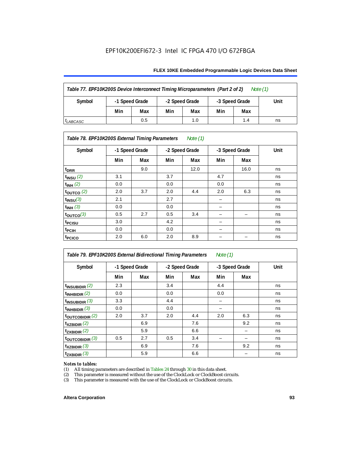#### **FLEX 10KE Embedded Programmable Logic Devices Data Sheet**

| Table 77. EPF10K200S Device Interconnect Timing Microparameters (Part 2 of 2)<br>Note $(1)$ |                |     |                |     |                |     |      |
|---------------------------------------------------------------------------------------------|----------------|-----|----------------|-----|----------------|-----|------|
| Symbol                                                                                      | -1 Speed Grade |     | -2 Speed Grade |     | -3 Speed Grade |     | Unit |
|                                                                                             | Min            | Max | Min            | Max | Min            | Max |      |
| <sup>I</sup> LABCASC                                                                        |                | 0.5 |                | 1.0 |                | 1.4 | ns   |

#### *Table 78. EPF10K200S External Timing Parameters Note (1)*

| Symbol                    |     | -1 Speed Grade |     | -2 Speed Grade |     | -3 Speed Grade | Unit |
|---------------------------|-----|----------------|-----|----------------|-----|----------------|------|
|                           | Min | Max            | Min | Max            | Min | Max            |      |
| t <sub>DRR</sub>          |     | 9.0            |     | 12.0           |     | 16.0           | ns   |
| $t$ <sub>INSU</sub> $(2)$ | 3.1 |                | 3.7 |                | 4.7 |                | ns   |
| $t_{INH}$ (2)             | 0.0 |                | 0.0 |                | 0.0 |                | ns   |
| $t_{\text{OUTCO}}(2)$     | 2.0 | 3.7            | 2.0 | 4.4            | 2.0 | 6.3            | ns   |
| $t_{INSU}(3)$             | 2.1 |                | 2.7 |                |     |                | ns   |
| $t_{INH}$ (3)             | 0.0 |                | 0.0 |                | -   |                | ns   |
| $t_{OUTCO}(3)$            | 0.5 | 2.7            | 0.5 | 3.4            | -   | -              | ns   |
| t <sub>PCISU</sub>        | 3.0 |                | 4.2 |                | -   |                | ns   |
| <sup>t</sup> PCIH         | 0.0 |                | 0.0 |                | -   |                | ns   |
| t <sub>PCICO</sub>        | 2.0 | 6.0            | 2.0 | 8.9            |     |                | ns   |

| Table 79. EPF10K200S External Bidirectional Timing Parameters<br>Note $(1)$ |                |     |                |     |                |     |      |
|-----------------------------------------------------------------------------|----------------|-----|----------------|-----|----------------|-----|------|
| Symbol                                                                      | -1 Speed Grade |     | -2 Speed Grade |     | -3 Speed Grade |     | Unit |
|                                                                             | Min            | Max | Min            | Max | Min            | Max |      |
| $t_{\text{INSUBIDIR}}(2)$                                                   | 2.3            |     | 3.4            |     | 4.4            |     | ns   |
| $t_{INHBIDIR}$ (2)                                                          | 0.0            |     | 0.0            |     | 0.0            |     | ns   |
| $t_{INSUBIDIR}$ (3)                                                         | 3.3            |     | 4.4            |     |                |     | ns   |
| $t_{INHBIDIR}$ (3)                                                          | 0.0            |     | 0.0            |     |                |     | ns   |
| toutcobidir $(2)$                                                           | 2.0            | 3.7 | 2.0            | 4.4 | 2.0            | 6.3 | ns   |
| $t_{XZBIDIR}$ (2)                                                           |                | 6.9 |                | 7.6 |                | 9.2 | ns   |
| $t_{ZXBIDIR}$ (2)                                                           |                | 5.9 |                | 6.6 |                |     | ns   |
| $t_{\text{OUTC}OBIDIR}$ (3)                                                 | 0.5            | 2.7 | 0.5            | 3.4 |                |     | ns   |
| $t_{XZBIDIR}$ (3)                                                           |                | 6.9 |                | 7.6 |                | 9.2 | ns   |
| $t_{ZXBIDIR}$ (3)                                                           |                | 5.9 |                | 6.6 |                |     | ns   |

# *Notes to tables:*<br>(1) All timing p

(1) All timing parameters are described in Tables  $24$  through  $30$  in this data sheet.<br>
(2) This parameter is measured without the use of the ClockLock or ClockBoost ci

(2) This parameter is measured without the use of the ClockLock or ClockBoost circuits.<br>(3) This parameter is measured with the use of the ClockLock or ClockBoost circuits.

This parameter is measured with the use of the ClockLock or ClockBoost circuits.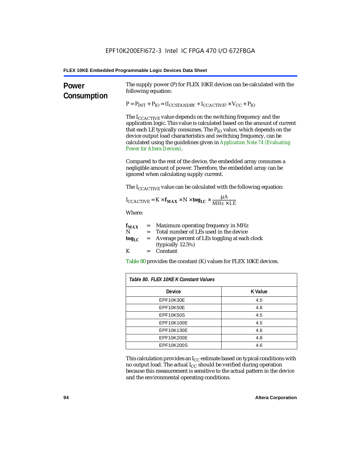| Power<br>Consumption | The supply power (P) for FLEX 10KE devices can be calculated with the<br>following equation:<br>$P = P_{INT} + P_{IO} = (I_{COSTANDBY} + I_{CCACTIVE}) \times V_{CC} + P_{IO}$<br>The $I_{\text{CCACTIVE}}$ value depends on the switching frequency and the<br>application logic. This value is calculated based on the amount of current<br>that each LE typically consumes. The $P_{IO}$ value, which depends on the<br>device output load characteristics and switching frequency, can be<br>calculated using the guidelines given in Application Note 74 (Evaluating<br><b>Power for Altera Devices).</b><br>Compared to the rest of the device, the embedded array consumes a<br>negligible amount of power. Therefore, the embedded array can be |                |  |  |  |
|----------------------|---------------------------------------------------------------------------------------------------------------------------------------------------------------------------------------------------------------------------------------------------------------------------------------------------------------------------------------------------------------------------------------------------------------------------------------------------------------------------------------------------------------------------------------------------------------------------------------------------------------------------------------------------------------------------------------------------------------------------------------------------------|----------------|--|--|--|
|                      | ignored when calculating supply current.<br>The I <sub>CCACTIVE</sub> value can be calculated with the following equation:<br>$I_{\text{CCACTIVE}} = K \times f_{\text{MAX}} \times N \times \text{tog}_{\text{LC}} \times \frac{\mu A}{\text{MHz} \times \text{LE}}$<br>Where:<br>= Maximum operating frequency in MHz<br>$f_{MAX}$<br>N<br>Total number of LEs used in the device<br>$=$<br>Average percent of LEs toggling at each clock<br>tog <sub>LC</sub><br>$=$<br>(typically 12.5%)<br>K<br>Constant<br>$=$<br>Table 80 provides the constant (K) values for FLEX 10KE devices.                                                                                                                                                                |                |  |  |  |
|                      | Table 80. FLEX 10KE K Constant Values                                                                                                                                                                                                                                                                                                                                                                                                                                                                                                                                                                                                                                                                                                                   |                |  |  |  |
|                      | Device                                                                                                                                                                                                                                                                                                                                                                                                                                                                                                                                                                                                                                                                                                                                                  | <b>K</b> Value |  |  |  |
|                      | EPF10K30E                                                                                                                                                                                                                                                                                                                                                                                                                                                                                                                                                                                                                                                                                                                                               | 4.5            |  |  |  |
|                      | EPF10K50E<br>4.8                                                                                                                                                                                                                                                                                                                                                                                                                                                                                                                                                                                                                                                                                                                                        |                |  |  |  |
|                      | <b>EPF10K50S</b><br>4.5                                                                                                                                                                                                                                                                                                                                                                                                                                                                                                                                                                                                                                                                                                                                 |                |  |  |  |
|                      | EPF10K100E<br>4.5                                                                                                                                                                                                                                                                                                                                                                                                                                                                                                                                                                                                                                                                                                                                       |                |  |  |  |
|                      | EPF10K130E<br>4.6                                                                                                                                                                                                                                                                                                                                                                                                                                                                                                                                                                                                                                                                                                                                       |                |  |  |  |
|                      | EPF10K200E<br>4.8                                                                                                                                                                                                                                                                                                                                                                                                                                                                                                                                                                                                                                                                                                                                       |                |  |  |  |
|                      | EPF10K200S<br>4.6                                                                                                                                                                                                                                                                                                                                                                                                                                                                                                                                                                                                                                                                                                                                       |                |  |  |  |

This calculation provides an  $\rm I_{CC}$  estimate based on typical conditions with no output load. The actual I $_{\rm CC}$  should be verified during operation because this measurement is sensitive to the actual pattern in the device and the environmental operating conditions.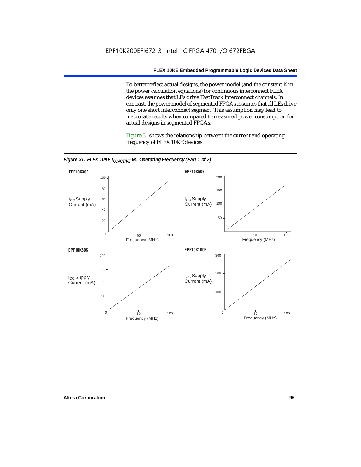To better reflect actual designs, the power model (and the constant K in the power calculation equations) for continuous interconnect FLEX devices assumes that LEs drive FastTrack Interconnect channels. In contrast, the power model of segmented FPGAs assumes that all LEs drive only one short interconnect segment. This assumption may lead to inaccurate results when compared to measured power consumption for actual designs in segmented FPGAs.

Figure 31 shows the relationship between the current and operating frequency of FLEX 10KE devices.



*Figure 31. FLEX 10KE I<sub>CCACTIVE</sub> vs. Operating Frequency (Part 1 of 2)*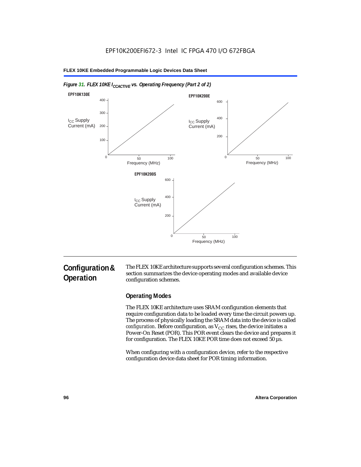

#### *Figure 31. FLEX 10KE I<sub>CCACTIVE</sub> vs. Operating Frequency (Part 2 of 2)*

# **Configuration & Operation**

The FLEX 10KE architecture supports several configuration schemes. This section summarizes the device operating modes and available device configuration schemes.

# **Operating Modes**

The FLEX 10KE architecture uses SRAM configuration elements that require configuration data to be loaded every time the circuit powers up. The process of physically loading the SRAM data into the device is called *configuration.* Before configuration, as  $V_{CC}$  rises, the device initiates a Power-On Reset (POR). This POR event clears the device and prepares it for configuration. The FLEX 10KE POR time does not exceed 50 µs.

When configuring with a configuration device, refer to the respective configuration device data sheet for POR timing information.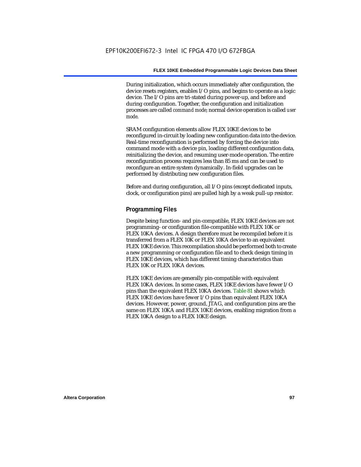During initialization, which occurs immediately after configuration, the device resets registers, enables I/O pins, and begins to operate as a logic device. The I/O pins are tri-stated during power-up, and before and during configuration. Together, the configuration and initialization processes are called *command mode*; normal device operation is called *user mode*.

SRAM configuration elements allow FLEX 10KE devices to be reconfigured in-circuit by loading new configuration data into the device. Real-time reconfiguration is performed by forcing the device into command mode with a device pin, loading different configuration data, reinitializing the device, and resuming user-mode operation. The entire reconfiguration process requires less than 85 ms and can be used to reconfigure an entire system dynamically. In-field upgrades can be performed by distributing new configuration files.

Before and during configuration, all I/O pins (except dedicated inputs, clock, or configuration pins) are pulled high by a weak pull-up resistor.

#### **Programming Files**

Despite being function- and pin-compatible, FLEX 10KE devices are not programming- or configuration file-compatible with FLEX 10K or FLEX 10KA devices. A design therefore must be recompiled before it is transferred from a FLEX 10K or FLEX 10KA device to an equivalent FLEX 10KE device. This recompilation should be performed both to create a new programming or configuration file and to check design timing in FLEX 10KE devices, which has different timing characteristics than FLEX 10K or FLEX 10KA devices.

FLEX 10KE devices are generally pin-compatible with equivalent FLEX 10KA devices. In some cases, FLEX 10KE devices have fewer I/O pins than the equivalent FLEX 10KA devices. Table 81 shows which FLEX 10KE devices have fewer I/O pins than equivalent FLEX 10KA devices. However, power, ground, JTAG, and configuration pins are the same on FLEX 10KA and FLEX 10KE devices, enabling migration from a FLEX 10KA design to a FLEX 10KE design.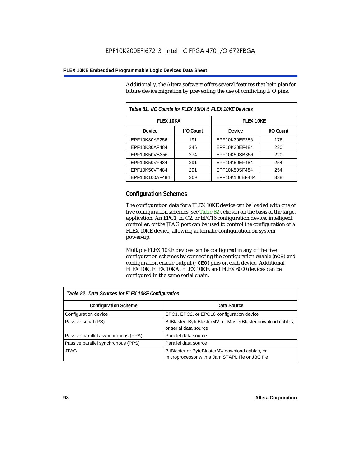Additionally, the Altera software offers several features that help plan for future device migration by preventing the use of conflicting I/O pins.

| Table 81. I/O Counts for FLEX 10KA & FLEX 10KE Devices |           |                  |           |  |
|--------------------------------------------------------|-----------|------------------|-----------|--|
| <b>FLEX 10KA</b>                                       |           | <b>FLEX 10KE</b> |           |  |
| Device                                                 | I/O Count | Device           | I/O Count |  |
| EPF10K30AF256                                          | 191       | EPF10K30EF256    | 176       |  |
| EPF10K30AF484                                          | 246       | EPF10K30EF484    | 220       |  |
| EPF10K50VB356                                          | 274       | EPF10K50SB356    | 220       |  |
| EPF10K50VF484                                          | 291       | EPF10K50EF484    | 254       |  |
| EPF10K50VF484                                          | 291       | EPF10K50SF484    | 254       |  |
| EPF10K100AF484                                         | 369       | EPF10K100EF484   | 338       |  |

# **Configuration Schemes**

The configuration data for a FLEX 10KE device can be loaded with one of five configuration schemes (see Table 82), chosen on the basis of the target application. An EPC1, EPC2, or EPC16 configuration device, intelligent controller, or the JTAG port can be used to control the configuration of a FLEX 10KE device, allowing automatic configuration on system power-up.

Multiple FLEX 10KE devices can be configured in any of the five configuration schemes by connecting the configuration enable (nCE) and configuration enable output (nCEO) pins on each device. Additional FLEX 10K, FLEX 10KA, FLEX 10KE, and FLEX 6000 devices can be configured in the same serial chain.

| Table 82. Data Sources for FLEX 10KE Configuration |                                                                                                     |  |  |  |
|----------------------------------------------------|-----------------------------------------------------------------------------------------------------|--|--|--|
| <b>Configuration Scheme</b>                        | Data Source                                                                                         |  |  |  |
| Configuration device                               | EPC1, EPC2, or EPC16 configuration device                                                           |  |  |  |
| Passive serial (PS)                                | BitBlaster, ByteBlasterMV, or MasterBlaster download cables,<br>or serial data source               |  |  |  |
| Passive parallel asynchronous (PPA)                | Parallel data source                                                                                |  |  |  |
| Passive parallel synchronous (PPS)                 | Parallel data source                                                                                |  |  |  |
| <b>JTAG</b>                                        | BitBlaster or ByteBlasterMV download cables, or<br>microprocessor with a Jam STAPL file or JBC file |  |  |  |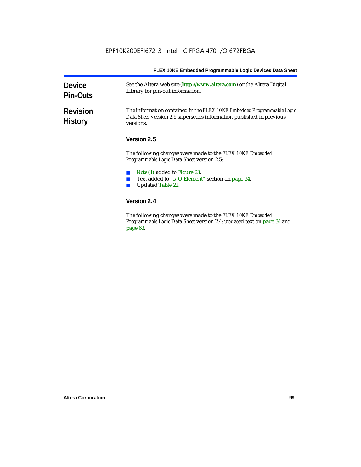| <b>Device</b><br><b>Pin-Outs</b>  | See the Altera web site (http://www.altera.com) or the Altera Digital<br>Library for pin-out information.                                                  |
|-----------------------------------|------------------------------------------------------------------------------------------------------------------------------------------------------------|
| <b>Revision</b><br><b>History</b> | The information contained in the FLEX 10KE Embedded Programmable Logic<br>Data Sheet version 2.5 supersedes information published in previous<br>versions. |
|                                   | Version 2.5                                                                                                                                                |
|                                   | The following changes were made to the FLEX 10KE Embedded<br><i>Programmable Logic Data Sheet version 2.5:</i>                                             |
|                                   | Note (1) added to Figure 23.<br>Text added to "I/O Element" section on page 34.<br><b>Updated Table 22.</b>                                                |
|                                   | Version 2.4                                                                                                                                                |
|                                   | The following changes were made to the FLFV 10KF Embedded                                                                                                  |

The following changes were made to the *FLEX 10KE Embedded Programmable Logic Data Sheet* version 2.4: updated text on page 34 and page 63.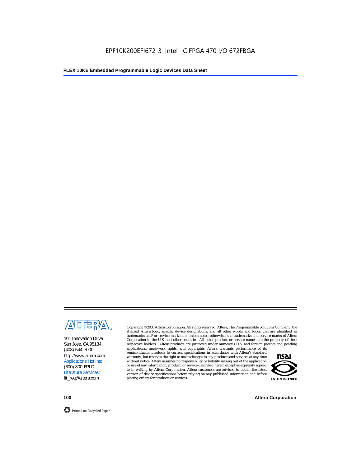

101 Innovation Drive San Jose, CA 95134 (408) 544-7000 http://www.altera.com Applications Hotline: (800) 800-EPLD Literature Services: lit\_req@altera.com

Copyright © 2003 Altera Corporation. All rights reserved. Altera, The Programmable Solutions Company, the stylized Altera logo, specific device designations, and all other words and logos that are identified as trademarks and/or service marks are, unless noted otherwise, the trademarks and service marks of Altera Corporation in the U.S. and other countries. All other product or service names are the property of their respective holders. Altera products are protected under numerous U.S. and foreign patents and pending

applications, maskwork rights, and copyrights. Altera warrants performance of its semiconductor products to current specifications in accordance with Altera's standard warranty, but reserves the right to make changes to any products and services at any time without notice. Altera assumes no responsibility or liability arising out of the application or use of any information, product, or service described herein except as expressly agreed to in writing by Altera Corporation. Altera customers are advised to obtain the latest version of device specifications before relying on any published information and before placing orders for products or services.



**100 Altera Corporation**